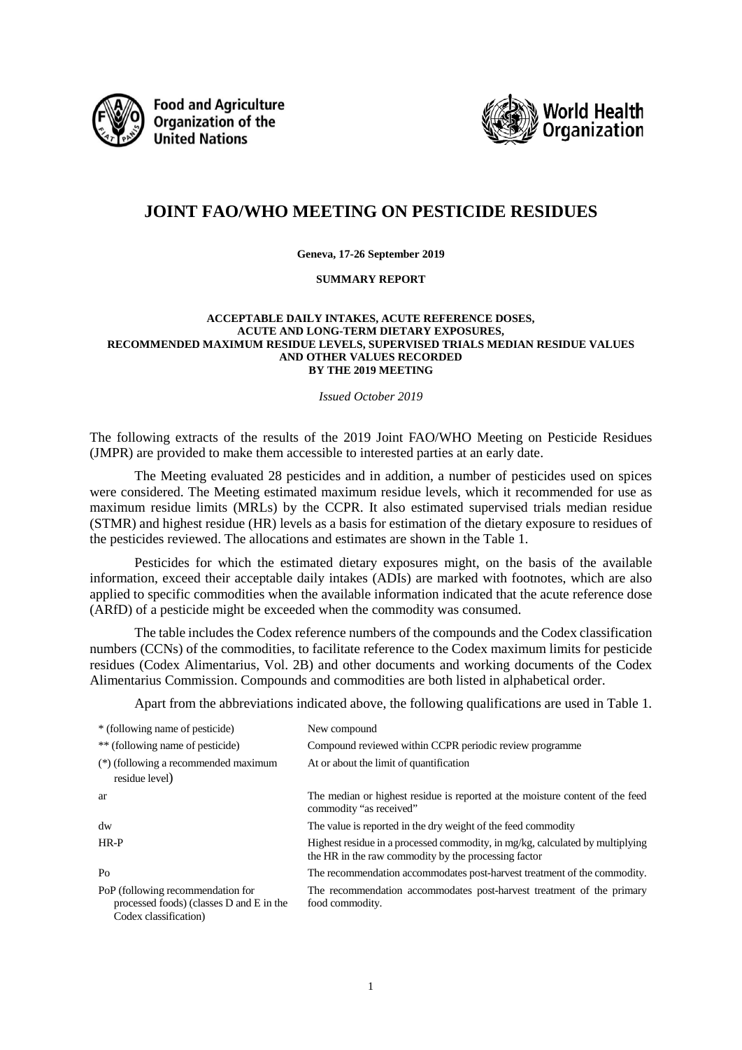

**Food and Agriculture Organization of the United Nations** 



# **JOINT FAO/WHO MEETING ON PESTICIDE RESIDUES**

#### **Geneva, 17-26 September 2019**

#### **SUMMARY REPORT**

#### **ACCEPTABLE DAILY INTAKES, ACUTE REFERENCE DOSES, ACUTE AND LONG-TERM DIETARY EXPOSURES, RECOMMENDED MAXIMUM RESIDUE LEVELS, SUPERVISED TRIALS MEDIAN RESIDUE VALUES AND OTHER VALUES RECORDED BY THE 2019 MEETING**

#### *Issued October 2019*

The following extracts of the results of the 2019 Joint FAO/WHO Meeting on Pesticide Residues (JMPR) are provided to make them accessible to interested parties at an early date.

The Meeting evaluated 28 pesticides and in addition, a number of pesticides used on spices were considered. The Meeting estimated maximum residue levels, which it recommended for use as maximum residue limits (MRLs) by the CCPR. It also estimated supervised trials median residue (STMR) and highest residue (HR) levels as a basis for estimation of the dietary exposure to residues of the pesticides reviewed. The allocations and estimates are shown in the Table 1.

Pesticides for which the estimated dietary exposures might, on the basis of the available information, exceed their acceptable daily intakes (ADIs) are marked with footnotes, which are also applied to specific commodities when the available information indicated that the acute reference dose (ARfD) of a pesticide might be exceeded when the commodity was consumed.

The table includes the Codex reference numbers of the compounds and the Codex classification numbers (CCNs) of the commodities, to facilitate reference to the Codex maximum limits for pesticide residues (Codex Alimentarius, Vol. 2B) and other documents and working documents of the Codex Alimentarius Commission. Compounds and commodities are both listed in alphabetical order.

Apart from the abbreviations indicated above, the following qualifications are used in Table 1.

| * (following name of pesticide)                                                                        | New compound                                                                                                                          |
|--------------------------------------------------------------------------------------------------------|---------------------------------------------------------------------------------------------------------------------------------------|
| ** (following name of pesticide)                                                                       | Compound reviewed within CCPR periodic review programme                                                                               |
| (*) (following a recommended maximum<br>residue level)                                                 | At or about the limit of quantification                                                                                               |
| ar                                                                                                     | The median or highest residue is reported at the moisture content of the feed<br>commodity "as received"                              |
| $\mathrm{d}\mathrm{w}$                                                                                 | The value is reported in the dry weight of the feed commodity                                                                         |
| HR-P                                                                                                   | Highest residue in a processed commodity, in mg/kg, calculated by multiplying<br>the HR in the raw commodity by the processing factor |
| P <sub>0</sub>                                                                                         | The recommendation accommodates post-harvest treatment of the commodity.                                                              |
| PoP (following recommendation for<br>processed foods) (classes D and E in the<br>Codex classification) | The recommendation accommodates post-harvest treatment of the primary<br>food commodity.                                              |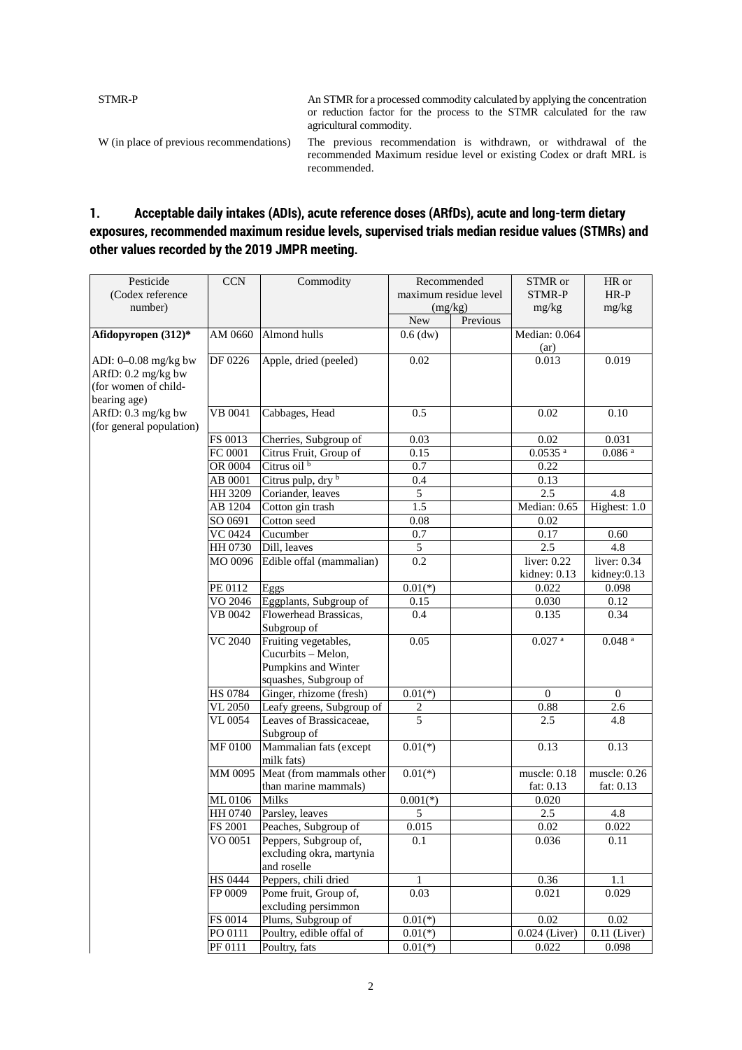STMR-P An STMR for a processed commodity calculated by applying the concentration or reduction factor for the process to the STMR calculated for the raw agricultural commodity. W (in place of previous recommendations) The previous recommendation is withdrawn, or withdrawal of the recommended Maximum residue level or existing Codex or draft MRL is recommended.

# **1. Acceptable daily intakes (ADIs), acute reference doses (ARfDs), acute and long-term dietary exposures, recommended maximum residue levels, supervised trials median residue values (STMRs) and other values recorded by the 2019 JMPR meeting.**

| Pesticide                | <b>CCN</b>         | Commodity                                         | Recommended             |          | STMR or                       | HR or                |
|--------------------------|--------------------|---------------------------------------------------|-------------------------|----------|-------------------------------|----------------------|
| (Codex reference         |                    |                                                   | maximum residue level   |          | STMR-P                        | $HR-P$               |
| number)                  |                    |                                                   | (mg/kg)                 |          | mg/kg                         | mg/kg                |
|                          |                    |                                                   | New                     | Previous |                               |                      |
| Afidopyropen $(312)*$    | AM 0660            | Almond hulls                                      | $0.6$ (dw)              |          | Median: 0.064                 |                      |
|                          |                    |                                                   |                         |          | (ar)                          |                      |
| ADI: 0-0.08 mg/kg bw     | DF 0226            | Apple, dried (peeled)                             | 0.02                    |          | 0.013                         | 0.019                |
| ARfD: 0.2 mg/kg bw       |                    |                                                   |                         |          |                               |                      |
| (for women of child-     |                    |                                                   |                         |          |                               |                      |
| bearing age)             |                    |                                                   |                         |          |                               |                      |
| ARfD: 0.3 mg/kg bw       | VB 0041            | Cabbages, Head                                    | 0.5                     |          | 0.02                          | 0.10                 |
| (for general population) |                    |                                                   |                         |          |                               |                      |
|                          | FS 0013            | Cherries, Subgroup of                             | 0.03                    |          | 0.02<br>$0.0535$ <sup>a</sup> | 0.031                |
|                          | FC 0001            | Citrus Fruit, Group of<br>Citrus oil <sup>b</sup> | 0.15                    |          |                               | $0.086$ $^{\rm a}$   |
|                          | OR 0004            |                                                   | 0.7                     |          | 0.22                          |                      |
|                          | AB 0001            | Citrus pulp, dry b                                | 0.4                     |          | 0.13                          |                      |
|                          | HH 3209            | Coriander, leaves                                 | 5                       |          | 2.5                           | 4.8                  |
|                          | AB 1204<br>SO 0691 | Cotton gin trash                                  | 1.5                     |          | Median: 0.65                  | Highest: 1.0         |
|                          |                    | Cotton seed<br>Cucumber                           | $0.08\,$                |          | 0.02                          | 0.60                 |
|                          | VC 0424<br>HH 0730 | Dill, leaves                                      | 0.7<br>5                |          | 0.17<br>2.5                   | 4.8                  |
|                          | MO 0096            | Edible offal (mammalian)                          | 0.2                     |          | liver: 0.22                   | liver: 0.34          |
|                          |                    |                                                   |                         |          | kidney: 0.13                  | kidney:0.13          |
|                          | PE 0112            | Eggs                                              | $0.01(*)$               |          | 0.022                         | 0.098                |
|                          | VO 2046            | Eggplants, Subgroup of                            | 0.15                    |          | 0.030                         | 0.12                 |
|                          | <b>VB</b> 0042     | Flowerhead Brassicas,                             | 0.4                     |          | 0.135                         | 0.34                 |
|                          |                    | Subgroup of                                       |                         |          |                               |                      |
|                          | <b>VC 2040</b>     | Fruiting vegetables,                              | 0.05                    |          | $0.027$ $^{\rm a}$            | $0.048$ <sup>a</sup> |
|                          |                    | Cucurbits - Melon,                                |                         |          |                               |                      |
|                          |                    | Pumpkins and Winter                               |                         |          |                               |                      |
|                          |                    | squashes, Subgroup of                             |                         |          |                               |                      |
|                          | <b>HS 0784</b>     | Ginger, rhizome (fresh)                           | $0.01(*)$               |          | $\overline{0}$                | $\mathbf{0}$         |
|                          | VL 2050            | Leafy greens, Subgroup of                         | $\overline{\mathbf{c}}$ |          | 0.88                          | 2.6                  |
|                          | VL 0054            | Leaves of Brassicaceae,                           | 5                       |          | 2.5                           | $\overline{4.8}$     |
|                          |                    | Subgroup of                                       |                         |          |                               |                      |
|                          | MF 0100            | Mammalian fats (except                            | $0.01(*)$               |          | 0.13                          | 0.13                 |
|                          |                    | milk fats)                                        |                         |          |                               |                      |
|                          | MM 0095            | Meat (from mammals other                          | $0.01(*)$               |          | muscle: 0.18                  | muscle: 0.26         |
|                          |                    | than marine mammals)                              |                         |          | fat: 0.13                     | fat: 0.13            |
|                          | ML 0106            | Milks                                             | $0.001(*)$              |          | 0.020                         |                      |
|                          | HH 0740            | Parsley, leaves                                   | 5                       |          | 2.5                           | 4.8                  |
|                          | FS 2001            | Peaches, Subgroup of                              | 0.015                   |          | 0.02                          | 0.022                |
|                          | VO 0051            | Peppers, Subgroup of,                             | 0.1                     |          | 0.036                         | 0.11                 |
|                          |                    | excluding okra, martynia                          |                         |          |                               |                      |
|                          | <b>HS 0444</b>     | and roselle<br>Peppers, chili dried               |                         |          | 0.36                          |                      |
|                          | FP 0009            | Pome fruit, Group of,                             | $\mathbf{1}$<br>0.03    |          | 0.021                         | 1.1<br>0.029         |
|                          |                    | excluding persimmon                               |                         |          |                               |                      |
|                          | FS 0014            | Plums, Subgroup of                                | $0.01(*)$               |          | 0.02                          | 0.02                 |
|                          | PO 0111            | Poultry, edible offal of                          | $0.01(*)$               |          | 0.024 (Liver)                 | $0.11$ (Liver)       |
|                          | PF 0111            | Poultry, fats                                     | $0.01(*)$               |          | 0.022                         | 0.098                |
|                          |                    |                                                   |                         |          |                               |                      |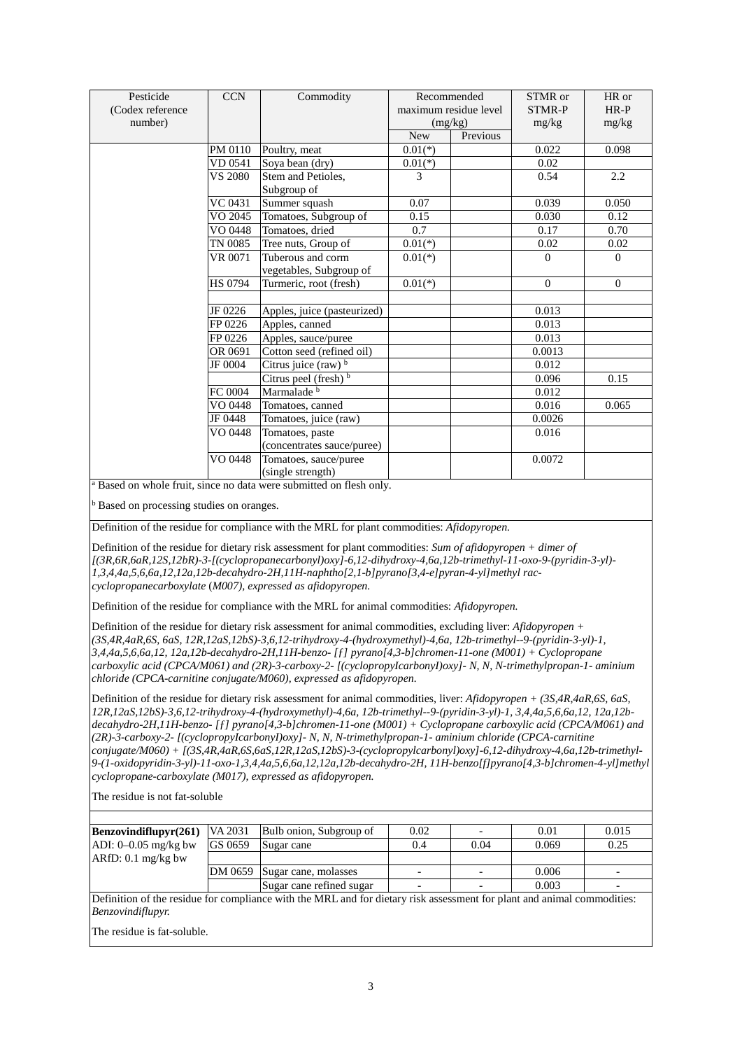| Pesticide        | <b>CCN</b>     | Commodity                                    |            | Recommended           | STMR or       | HR or    |
|------------------|----------------|----------------------------------------------|------------|-----------------------|---------------|----------|
| (Codex reference |                |                                              |            | maximum residue level | <b>STMR-P</b> | $HR-P$   |
| number)          |                |                                              |            | (mg/kg)               | mg/kg         | mg/kg    |
|                  |                |                                              | <b>New</b> | Previous              |               |          |
|                  | PM 0110        | Poultry, meat                                | $0.01(*)$  |                       | 0.022         | 0.098    |
|                  | VD 0541        | Soya bean (dry)                              | $0.01(*)$  |                       | 0.02          |          |
|                  | <b>VS 2080</b> | Stem and Petioles.<br>Subgroup of            | 3          |                       | 0.54          | 2.2      |
|                  | VC 0431        | Summer squash                                | 0.07       |                       | 0.039         | 0.050    |
|                  | VO 2045        | Tomatoes, Subgroup of                        | 0.15       |                       | 0.030         | 0.12     |
|                  | VO 0448        | Tomatoes, dried                              | 0.7        |                       | 0.17          | 0.70     |
|                  | TN 0085        | Tree nuts, Group of                          | $0.01(*)$  |                       | 0.02          | 0.02     |
|                  | VR 0071        | Tuberous and corm<br>vegetables, Subgroup of | $0.01(*)$  |                       | $\Omega$      | $\Omega$ |
|                  | <b>HS 0794</b> | Turmeric, root (fresh)                       | $0.01(*)$  |                       | $\Omega$      | $\theta$ |
|                  |                |                                              |            |                       |               |          |
|                  | JF 0226        | Apples, juice (pasteurized)                  |            |                       | 0.013         |          |
|                  | FP 0226        | Apples, canned                               |            |                       | 0.013         |          |
|                  | FP 0226        | Apples, sauce/puree                          |            |                       | 0.013         |          |
|                  | OR 0691        | Cotton seed (refined oil)                    |            |                       | 0.0013        |          |
|                  | JF 0004        | Citrus juice (raw) b                         |            |                       | 0.012         |          |
|                  |                | Citrus peel (fresh) b                        |            |                       | 0.096         | 0.15     |
|                  | FC 0004        | Marmalade <sup>b</sup>                       |            |                       | 0.012         |          |
|                  | VO 0448        | Tomatoes, canned                             |            |                       | 0.016         | 0.065    |
|                  | JF 0448        | Tomatoes, juice (raw)                        |            |                       | 0.0026        |          |
|                  | VO 0448        | Tomatoes, paste                              |            |                       | 0.016         |          |
|                  |                | (concentrates sauce/puree)                   |            |                       |               |          |
|                  | VO 0448        | Tomatoes, sauce/puree                        |            |                       | 0.0072        |          |
|                  |                | (single strength)                            |            |                       |               |          |

<sup>a</sup> Based on whole fruit, since no data were submitted on flesh only.

<sup>b</sup> Based on processing studies on oranges.

Definition of the residue for compliance with the MRL for plant commodities: *Afidopyropen.*

Definition of the residue for dietary risk assessment for plant commodities: *Sum of afidopyropen + dimer of [(3R,6R,6aR,12S,12bR)-3-[(cyclopropanecarbonyl)oxy]-6,12-dihydroxy-4,6a,12b-trimethyl-11-oxo-9-(pyridin-3-yl)- 1,3,4,4a,5,6,6a,12,12a,12b-decahydro-2H,11H-naphtho[2,1-b]pyrano[3,4-e]pyran-4-yl]methyl raccyclopropanecarboxylate* (*M007), expressed as afidopyropen.*

Definition of the residue for compliance with the MRL for animal commodities: *Afidopyropen.*

Definition of the residue for dietary risk assessment for animal commodities, excluding liver: *Afidopyropen + (3S,4R,4aR,6S, 6aS, 12R,12aS,12bS)-3,6,12-trihydroxy-4-(hydroxymethyl)-4,6a, 12b-trimethyl--9-(pyridin-3-yl)-1, 3,4,4a,5,6,6a,12, 12a,12b-decahydro-2H,11H-benzo- [ƒ] pyrano[4,3-b]chromen-11-one (M001) + Cyclopropane carboxylic acid (CPCA/M061) and (2R)-3-carboxy-2- [(cyclopropyIcarbonyI)oxy]- N, N, N-trimethylpropan-1- aminium chloride (CPCA-carnitine conjugate/M060), expressed as afidopyropen.*

Definition of the residue for dietary risk assessment for animal commodities, liver: *Afidopyropen + (3S,4R,4aR,6S, 6aS, 12R,12aS,12bS)-3,6,12-trihydroxy-4-(hydroxymethyl)-4,6a, 12b-trimethyl--9-(pyridin-3-yl)-1, 3,4,4a,5,6,6a,12, 12a,12bdecahydro-2H,11H-benzo- [ƒ] pyrano[4,3-b]chromen-11-one (M001) + Cyclopropane carboxylic acid (CPCA/M061) and (2R)-3-carboxy-2- [(cyclopropyIcarbonyI)oxy]- N, N, N-trimethylpropan-1- aminium chloride (CPCA-carnitine conjugate/M060) + [(3S,4R,4aR,6S,6aS,12R,12aS,12bS)-3-(cyclopropylcarbonyl)oxy]-6,12-dihydroxy-4,6a,12b-trimethyl-9-(1-oxidopyridin-3-yl)-11-oxo-1,3,4,4a,5,6,6a,12,12a,12b-decahydro-2H, 11H-benzo[f]pyrano[4,3-b]chromen-4-yl]methyl cyclopropane-carboxylate (M017), expressed as afidopyropen.*

The residue is not fat-soluble

| $\text{Benzovindiflupyter}(261)$ |         | VA 2031 Bulb onion, Subgroup of | 0.02 |      | 0.01  | 0.015                    |
|----------------------------------|---------|---------------------------------|------|------|-------|--------------------------|
| ADI: $0-0.05$ mg/kg bw           | GS 0659 | Sugar cane                      | 0.4  | 0.04 | 0.069 | 0.25                     |
| $ARfD: 0.1$ mg/kg bw             |         |                                 |      |      |       |                          |
|                                  |         | DM 0659 Sugar cane, molasses    |      |      | 0.006 | $\overline{\phantom{a}}$ |
|                                  |         | Sugar cane refined sugar        |      |      | 0.003 |                          |

Definition of the residue for compliance with the MRL and for dietary risk assessment for plant and animal commodities: *Benzovindiflupyr.*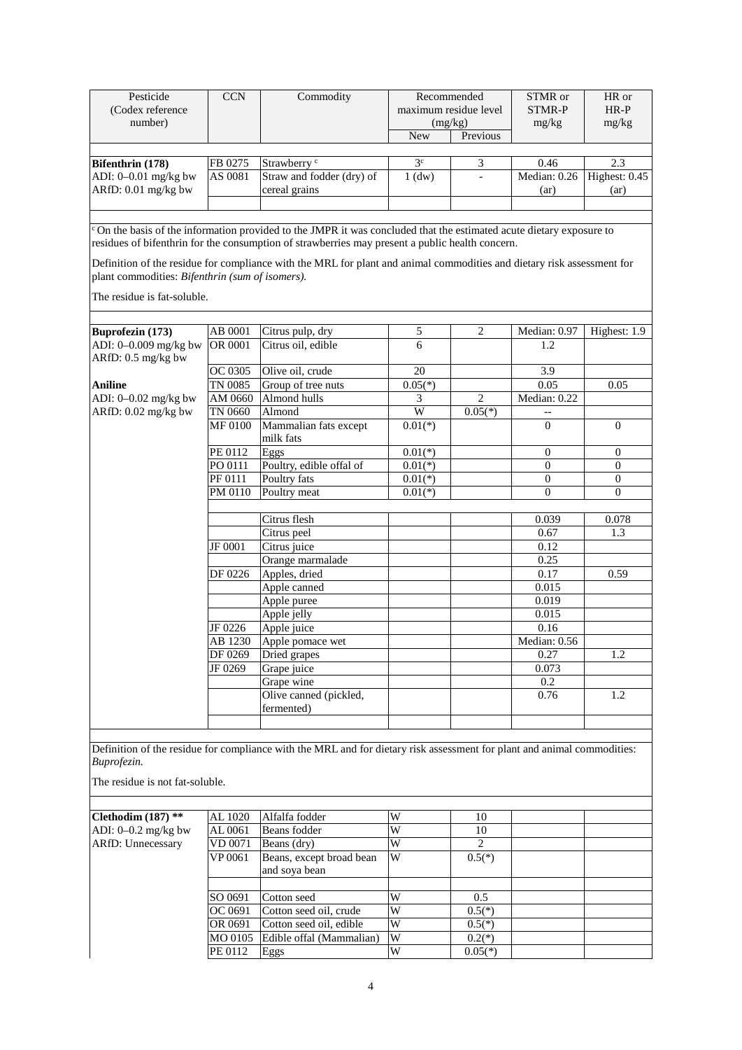| Pesticide<br>(Codex reference<br>number)        | <b>CCN</b> | Commodity                                                                                                                                                                                                                                                                                                                                                    | <b>New</b>     | Recommended<br>maximum residue level<br>(mg/kg)<br>Previous | STMR or<br><b>STMR-P</b><br>mg/kg | HR or<br>$HR-P$<br>mg/kg |
|-------------------------------------------------|------------|--------------------------------------------------------------------------------------------------------------------------------------------------------------------------------------------------------------------------------------------------------------------------------------------------------------------------------------------------------------|----------------|-------------------------------------------------------------|-----------------------------------|--------------------------|
|                                                 |            |                                                                                                                                                                                                                                                                                                                                                              |                |                                                             |                                   |                          |
| Bifenthrin (178)                                | FB 0275    | Strawberry <sup>c</sup>                                                                                                                                                                                                                                                                                                                                      | 3 <sup>c</sup> | $\mathfrak{Z}$                                              | 0.46                              | 2.3                      |
| ADI: 0-0.01 mg/kg bw<br>ARfD: 0.01 mg/kg bw     | AS 0081    | Straw and fodder (dry) of<br>cereal grains                                                                                                                                                                                                                                                                                                                   | $1$ (dw)       | $\overline{\phantom{a}}$                                    | Median: 0.26<br>(ar)              | Highest: 0.45<br>(ar)    |
|                                                 |            |                                                                                                                                                                                                                                                                                                                                                              |                |                                                             |                                   |                          |
| plant commodities: Bifenthrin (sum of isomers). |            | <sup>c</sup> On the basis of the information provided to the JMPR it was concluded that the estimated acute dietary exposure to<br>residues of bifenthrin for the consumption of strawberries may present a public health concern.<br>Definition of the residue for compliance with the MRL for plant and animal commodities and dietary risk assessment for |                |                                                             |                                   |                          |
| The residue is fat-soluble.                     |            |                                                                                                                                                                                                                                                                                                                                                              |                |                                                             |                                   |                          |
| Buprofezin (173)                                | AB 0001    | Citrus pulp, dry                                                                                                                                                                                                                                                                                                                                             | 5              | $\overline{2}$                                              | Median: 0.97                      | Highest: 1.9             |
| ADI: 0-0.009 mg/kg bw<br>ARfD: 0.5 mg/kg bw     | OR 0001    | Citrus oil, edible                                                                                                                                                                                                                                                                                                                                           | 6              |                                                             | 1.2                               |                          |
|                                                 | OC 0305    | Olive oil, crude                                                                                                                                                                                                                                                                                                                                             | 20             |                                                             | 3.9                               |                          |
| Aniline                                         | TN 0085    | Group of tree nuts                                                                                                                                                                                                                                                                                                                                           | $0.05(*)$      |                                                             | 0.05                              | 0.05                     |
| ADI: 0-0.02 mg/kg bw                            | AM 0660    | Almond hulls                                                                                                                                                                                                                                                                                                                                                 | 3              | $\overline{2}$                                              | Median: 0.22                      |                          |
| ARfD: 0.02 mg/kg bw                             | TN 0660    | Almond                                                                                                                                                                                                                                                                                                                                                       | W              | $0.05(*)$                                                   | $-$                               |                          |
|                                                 | MF 0100    | Mammalian fats except<br>milk fats                                                                                                                                                                                                                                                                                                                           | $0.01(*)$      |                                                             | $\Omega$                          | $\theta$                 |
|                                                 | PE 0112    | Eggs                                                                                                                                                                                                                                                                                                                                                         | $0.01(*)$      |                                                             | $\mathbf{0}$                      | 0                        |
|                                                 | PO 0111    | Poultry, edible offal of                                                                                                                                                                                                                                                                                                                                     | $0.01(*)$      |                                                             | $\boldsymbol{0}$                  | $\boldsymbol{0}$         |
|                                                 | PF 0111    | Poultry fats                                                                                                                                                                                                                                                                                                                                                 | $0.01(*)$      |                                                             | $\overline{0}$                    | $\mathbf{0}$             |
|                                                 | PM 0110    | Poultry meat                                                                                                                                                                                                                                                                                                                                                 | $0.01(*)$      |                                                             | $\overline{0}$                    | $\mathbf{0}$             |
|                                                 |            | Citrus flesh                                                                                                                                                                                                                                                                                                                                                 |                |                                                             |                                   |                          |
|                                                 |            | Citrus peel                                                                                                                                                                                                                                                                                                                                                  |                |                                                             | 0.039<br>0.67                     | 0.078<br>1.3             |
|                                                 | JF 0001    | Citrus juice                                                                                                                                                                                                                                                                                                                                                 |                |                                                             | 0.12                              |                          |
|                                                 |            | Orange marmalade                                                                                                                                                                                                                                                                                                                                             |                |                                                             | 0.25                              |                          |
|                                                 | DF 0226    | Apples, dried                                                                                                                                                                                                                                                                                                                                                |                |                                                             | 0.17                              | 0.59                     |
|                                                 |            | Apple canned                                                                                                                                                                                                                                                                                                                                                 |                |                                                             | 0.015                             |                          |
|                                                 |            | Apple puree                                                                                                                                                                                                                                                                                                                                                  |                |                                                             | 0.019                             |                          |
|                                                 |            | Apple jelly                                                                                                                                                                                                                                                                                                                                                  |                |                                                             | 0.015                             |                          |
|                                                 | JF 0226    | Apple juice                                                                                                                                                                                                                                                                                                                                                  |                |                                                             | 0.16                              |                          |
|                                                 | AB 1230    | Apple pomace wet                                                                                                                                                                                                                                                                                                                                             |                |                                                             | Median: 0.56                      |                          |
|                                                 | DF 0269    | Dried grapes                                                                                                                                                                                                                                                                                                                                                 |                |                                                             | 0.27                              | 1.2                      |
|                                                 | JF 0269    | Grape juice                                                                                                                                                                                                                                                                                                                                                  |                |                                                             | 0.073                             |                          |
|                                                 |            | Grape wine                                                                                                                                                                                                                                                                                                                                                   |                |                                                             | 0.2                               |                          |
|                                                 |            | Olive canned (pickled,<br>fermented)                                                                                                                                                                                                                                                                                                                         |                |                                                             | 0.76                              | 1.2                      |
|                                                 |            |                                                                                                                                                                                                                                                                                                                                                              |                |                                                             |                                   |                          |
| Buprofezin.                                     |            | Definition of the residue for compliance with the MRL and for dietary risk assessment for plant and animal commodities:                                                                                                                                                                                                                                      |                |                                                             |                                   |                          |
| The residue is not fat-soluble.                 |            |                                                                                                                                                                                                                                                                                                                                                              |                |                                                             |                                   |                          |
|                                                 |            |                                                                                                                                                                                                                                                                                                                                                              |                |                                                             |                                   |                          |
| Clethodim $(187)$ **                            | AL 1020    | Alfalfa fodder                                                                                                                                                                                                                                                                                                                                               | W              | 10                                                          |                                   |                          |
| ADI: 0-0.2 mg/kg bw                             | AL 0061    | Beans fodder                                                                                                                                                                                                                                                                                                                                                 | $\overline{W}$ | 10                                                          |                                   |                          |
| <b>ARfD: Unnecessary</b>                        | VD 0071    | Beans (dry)                                                                                                                                                                                                                                                                                                                                                  | W              | 2                                                           |                                   |                          |
|                                                 | VP 0061    | Beans, except broad bean<br>and soya bean                                                                                                                                                                                                                                                                                                                    | W              | $0.5(*)$                                                    |                                   |                          |
|                                                 |            |                                                                                                                                                                                                                                                                                                                                                              |                |                                                             |                                   |                          |
|                                                 | SO 0691    | Cotton seed                                                                                                                                                                                                                                                                                                                                                  | W              | 0.5                                                         |                                   |                          |
|                                                 | OC 0691    | Cotton seed oil, crude                                                                                                                                                                                                                                                                                                                                       | W              | $0.5(*)$                                                    |                                   |                          |
|                                                 | OR 0691    | Cotton seed oil, edible                                                                                                                                                                                                                                                                                                                                      | $\overline{W}$ | $0.5(*)$                                                    |                                   |                          |
|                                                 | MO 0105    | Edible offal (Mammalian)                                                                                                                                                                                                                                                                                                                                     | $\overline{W}$ | $0.2(*)$                                                    |                                   |                          |
|                                                 | PE 0112    | Eggs                                                                                                                                                                                                                                                                                                                                                         | W              | $0.05(*)$                                                   |                                   |                          |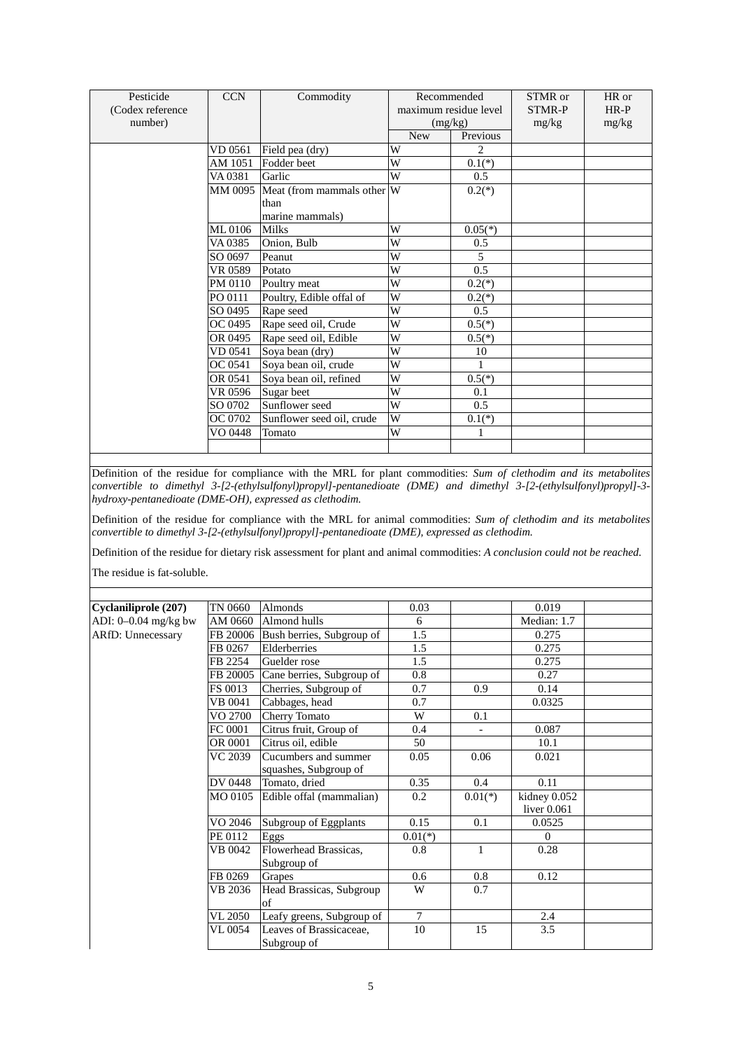| Pesticide        | <b>CCN</b> | Commodity                          |            | Recommended           | STMR or       | HR or  |
|------------------|------------|------------------------------------|------------|-----------------------|---------------|--------|
| (Codex reference |            |                                    |            | maximum residue level | <b>STMR-P</b> | $HR-P$ |
| number)          |            |                                    |            | (mg/kg)               | mg/kg         | mg/kg  |
|                  |            |                                    | <b>New</b> | Previous              |               |        |
|                  | VD 0561    | Field pea (dry)                    | W          | 2                     |               |        |
|                  | AM 1051    | Fodder beet                        | W          | $0.1(*)$              |               |        |
|                  | VA 0381    | Garlic                             | W          | 0.5                   |               |        |
|                  |            | MM 0095 Meat (from mammals other W |            | $0.2(*)$              |               |        |
|                  |            | than                               |            |                       |               |        |
|                  |            | marine mammals)                    |            |                       |               |        |
|                  | ML 0106    | <b>Milks</b>                       | W          | $0.05(*)$             |               |        |
|                  | VA 0385    | Onion, Bulb                        | W          | 0.5                   |               |        |
|                  | SO 0697    | Peanut                             | W          | 5                     |               |        |
|                  | VR 0589    | Potato                             | W          | 0.5                   |               |        |
|                  | PM 0110    | Poultry meat                       | W          | $0.2(*)$              |               |        |
|                  | PO 0111    | Poultry, Edible offal of           | W          | $0.2(*)$              |               |        |
|                  | SO 0495    | Rape seed                          | W          | 0.5                   |               |        |
|                  | OC 0495    | Rape seed oil, Crude               | W          | $0.5(*)$              |               |        |
|                  | OR 0495    | Rape seed oil, Edible              | W          | $0.5(*)$              |               |        |
|                  | VD 0541    | Soya bean (dry)                    | W          | 10                    |               |        |
|                  | OC 0541    | Soya bean oil, crude               | W          | 1                     |               |        |
|                  | OR 0541    | Soya bean oil, refined             | W          | $0.5(*)$              |               |        |
|                  | VR 0596    | Sugar beet                         | W          | 0.1                   |               |        |
|                  | SO 0702    | Sunflower seed                     | W          | 0.5                   |               |        |
|                  | OC 0702    | Sunflower seed oil, crude          | W          | $0.1(*)$              |               |        |
|                  | VO 0448    | Tomato                             | W          | 1                     |               |        |
|                  |            |                                    |            |                       |               |        |

Definition of the residue for compliance with the MRL for plant commodities: *Sum of clethodim and its metabolites convertible to dimethyl 3-[2-(ethylsulfonyl)propyl]-pentanedioate (DME) and dimethyl 3-[2-(ethylsulfonyl)propyl]-3 hydroxy-pentanedioate (DME-OH), expressed as clethodim.*

Definition of the residue for compliance with the MRL for animal commodities: *Sum of clethodim and its metabolites convertible to dimethyl 3-[2-(ethylsulfonyl)propyl]-pentanedioate (DME), expressed as clethodim.*

Definition of the residue for dietary risk assessment for plant and animal commodities: *A conclusion could not be reached.*

| Cyclaniliprole (207)     | TN 0660  | Almonds                   | 0.03      |              | 0.019         |  |
|--------------------------|----------|---------------------------|-----------|--------------|---------------|--|
| ADI: $0-0.04$ mg/kg bw   | AM 0660  | Almond hulls              | 6         |              | Median: 1.7   |  |
| <b>ARfD: Unnecessary</b> | FB 20006 | Bush berries, Subgroup of | 1.5       |              | 0.275         |  |
|                          | FB 0267  | Elderberries              | 1.5       |              | 0.275         |  |
|                          | FB 2254  | Guelder rose              | 1.5       |              | 0.275         |  |
|                          | FB 20005 | Cane berries, Subgroup of | 0.8       |              | 0.27          |  |
|                          | FS 0013  | Cherries, Subgroup of     | 0.7       | 0.9          | 0.14          |  |
|                          | VB 0041  | Cabbages, head            | 0.7       |              | 0.0325        |  |
|                          | VO 2700  | Cherry Tomato             | W         | 0.1          |               |  |
|                          | FC 0001  | Citrus fruit, Group of    | 0.4       |              | 0.087         |  |
|                          | OR 0001  | Citrus oil, edible        | 50        |              | 10.1          |  |
|                          | VC 2039  | Cucumbers and summer      | 0.05      | 0.06         | 0.021         |  |
|                          |          | squashes, Subgroup of     |           |              |               |  |
|                          | DV 0448  | Tomato, dried             | 0.35      | 0.4          | 0.11          |  |
|                          | MO 0105  | Edible offal (mammalian)  | 0.2       | $0.01(*)$    | kidney 0.052  |  |
|                          |          |                           |           |              | liver $0.061$ |  |
|                          | VO 2046  | Subgroup of Eggplants     | 0.15      | 0.1          | 0.0525        |  |
|                          | PE 0112  | Eggs                      | $0.01(*)$ |              | $\Omega$      |  |
|                          | VB 0042  | Flowerhead Brassicas,     | 0.8       | $\mathbf{1}$ | 0.28          |  |
|                          |          | Subgroup of               |           |              |               |  |
|                          | FB 0269  | Grapes                    | 0.6       | 0.8          | 0.12          |  |
|                          | VB 2036  | Head Brassicas, Subgroup  | W         | 0.7          |               |  |
|                          |          | of                        |           |              |               |  |
|                          | VL 2050  | Leafy greens, Subgroup of | $\tau$    |              | 2.4           |  |
|                          | VL 0054  | Leaves of Brassicaceae,   | 10        | 15           | 3.5           |  |
|                          |          | Subgroup of               |           |              |               |  |
|                          |          |                           |           |              |               |  |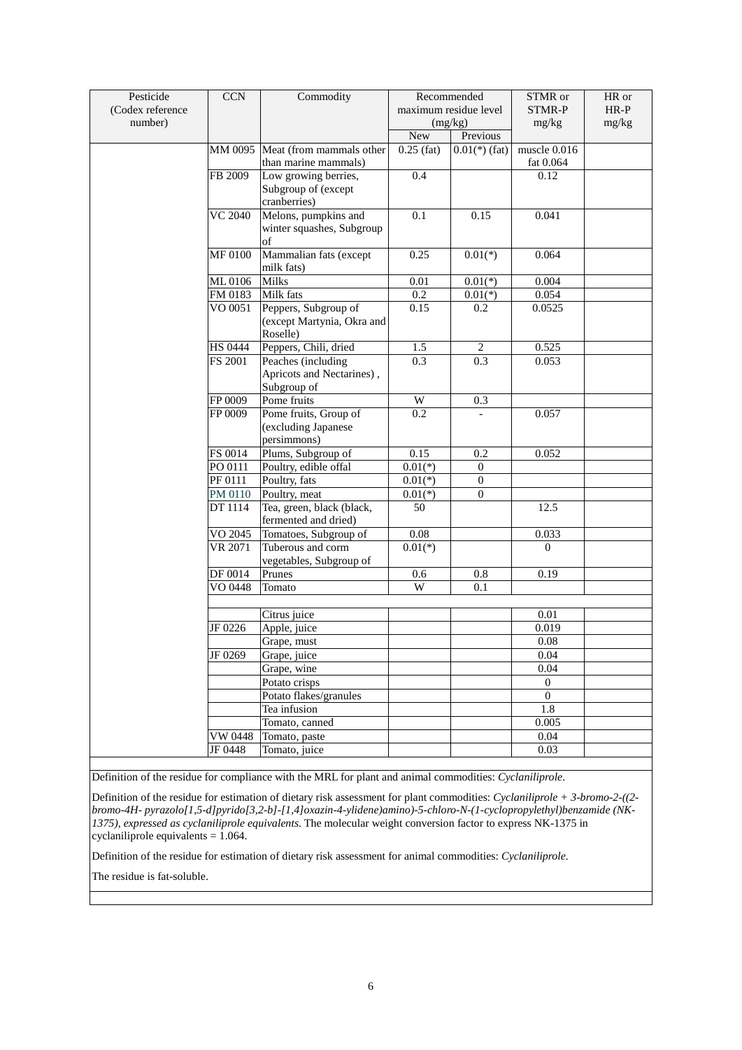| Pesticide        | <b>CCN</b>         | Commodity                                   |              | Recommended           | STMR or          | HR or  |
|------------------|--------------------|---------------------------------------------|--------------|-----------------------|------------------|--------|
| (Codex reference |                    |                                             |              | maximum residue level | STMR-P           | $HR-P$ |
| number)          |                    |                                             |              | (mg/kg)               | mg/kg            | mg/kg  |
|                  |                    |                                             | <b>New</b>   | Previous              |                  |        |
|                  |                    | MM 0095 Meat (from mammals other            | $0.25$ (fat) | $0.01(*)$ (fat)       | muscle $0.016$   |        |
|                  |                    | than marine mammals)                        |              |                       | fat 0.064        |        |
|                  | FB 2009            | Low growing berries,                        | 0.4          |                       | 0.12             |        |
|                  |                    | Subgroup of (except                         |              |                       |                  |        |
|                  |                    | cranberries)                                |              |                       |                  |        |
|                  | <b>VC 2040</b>     | Melons, pumpkins and                        | 0.1          | 0.15                  | 0.041            |        |
|                  |                    | winter squashes, Subgroup<br>of             |              |                       |                  |        |
|                  | <b>MF 0100</b>     | Mammalian fats (except                      | 0.25         | $0.01(*)$             | 0.064            |        |
|                  |                    | milk fats)                                  |              |                       |                  |        |
|                  | ML0106             | Milks                                       | 0.01         | $0.01(*)$             | 0.004            |        |
|                  | FM 0183            | Milk fats                                   | 0.2          | $0.01(*)$             | 0.054            |        |
|                  | VO 0051            | Peppers, Subgroup of                        | 0.15         | 0.2                   | 0.0525           |        |
|                  |                    | (except Martynia, Okra and                  |              |                       |                  |        |
|                  |                    | Roselle)                                    |              |                       |                  |        |
|                  | HS 0444            | Peppers, Chili, dried                       | 1.5          | 2                     | 0.525            |        |
|                  | FS 2001            | Peaches (including                          | 0.3          | 0.3                   | 0.053            |        |
|                  |                    | Apricots and Nectarines),                   |              |                       |                  |        |
|                  |                    | Subgroup of                                 |              |                       |                  |        |
|                  | FP 0009            | Pome fruits                                 | W            | 0.3                   |                  |        |
|                  | FP 0009            | Pome fruits, Group of                       | 0.2          |                       | 0.057            |        |
|                  |                    | (excluding Japanese                         |              |                       |                  |        |
|                  |                    | persimmons)                                 | 0.15         |                       | 0.052            |        |
|                  | FS 0014<br>PO 0111 | Plums, Subgroup of<br>Poultry, edible offal | $0.01(*)$    | 0.2<br>$\mathbf{0}$   |                  |        |
|                  | <b>PF 0111</b>     | Poultry, fats                               | $0.01(*)$    | $\boldsymbol{0}$      |                  |        |
|                  | PM 0110            | Poultry, meat                               | $0.01(*)$    | $\boldsymbol{0}$      |                  |        |
|                  | DT 1114            | Tea, green, black (black,                   | 50           |                       | 12.5             |        |
|                  |                    | fermented and dried)                        |              |                       |                  |        |
|                  | VO 2045            | Tomatoes, Subgroup of                       | 0.08         |                       | 0.033            |        |
|                  | <b>VR 2071</b>     | Tuberous and corm                           | $0.01(*)$    |                       | $\Omega$         |        |
|                  |                    | vegetables, Subgroup of                     |              |                       |                  |        |
|                  | DF 0014            | Prunes                                      | 0.6          | $0.8\,$               | 0.19             |        |
|                  | VO 0448            | Tomato                                      | W            | 0.1                   |                  |        |
|                  |                    |                                             |              |                       |                  |        |
|                  |                    | Citrus juice                                |              |                       | 0.01             |        |
|                  | JF 0226            | Apple, juice                                |              |                       | 0.019            |        |
|                  |                    | Grape, must                                 |              |                       | 0.08             |        |
|                  | JF 0269            | Grape, juice                                |              |                       | 0.04             |        |
|                  |                    | Grape, wine                                 |              |                       | 0.04             |        |
|                  |                    | Potato crisps                               |              |                       | $\boldsymbol{0}$ |        |
|                  |                    | Potato flakes/granules                      |              |                       | $\mathbf{0}$     |        |
|                  |                    | Tea infusion                                |              |                       | 1.8              |        |
|                  |                    | Tomato, canned                              |              |                       | 0.005            |        |
|                  | VW 0448            | Tomato, paste                               |              |                       | 0.04             |        |
|                  | JF 0448            | Tomato, juice                               |              |                       | 0.03             |        |

Definition of the residue for compliance with the MRL for plant and animal commodities: *Cyclaniliprole*.

Definition of the residue for estimation of dietary risk assessment for plant commodities: *Cyclaniliprole + 3-bromo-2-((2 bromo-4H- pyrazolo[1,5-d]pyrido[3,2-b]-[1,4]oxazin-4-ylidene)amino)-5-chloro-N-(1-cyclopropylethyl)benzamide (NK-1375), expressed as cyclaniliprole equivalents*. The molecular weight conversion factor to express NK-1375 in cyclaniliprole equivalents = 1.064.

Definition of the residue for estimation of dietary risk assessment for animal commodities: *Cyclaniliprole.*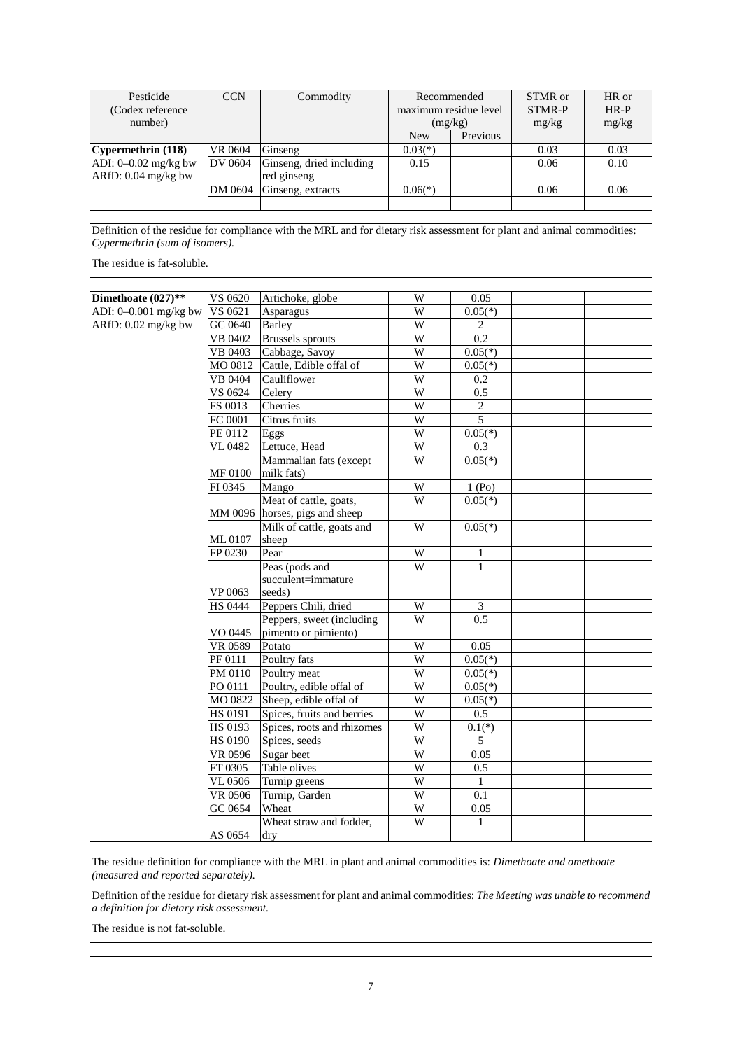| Pesticide              | <b>CCN</b> | Commodity                | Recommended           |          | STMR or | HR or  |
|------------------------|------------|--------------------------|-----------------------|----------|---------|--------|
| (Codex reference)      |            |                          | maximum residue level |          | STMR-P  | $HR-P$ |
| number)                |            |                          | (mg/kg)               |          | mg/kg   | mg/kg  |
|                        |            |                          | <b>New</b>            | Previous |         |        |
| Cypermethrin(118)      | VR 0604    | Ginseng                  | $0.03(*)$             |          | 0.03    | 0.03   |
| ADI: $0-0.02$ mg/kg bw | DV 0604    | Ginseng, dried including | 0.15                  |          | 0.06    | 0.10   |
| ARfD: 0.04 mg/kg bw    |            | red ginseng              |                       |          |         |        |
|                        | DM 0604    | Ginseng, extracts        | $0.06(*)$             |          | 0.06    | 0.06   |
|                        |            |                          |                       |          |         |        |

Definition of the residue for compliance with the MRL and for dietary risk assessment for plant and animal commodities: *Cypermethrin (sum of isomers).*

The residue is fat-soluble.

| Dimethoate $(027)$ ** | VS 0620                     | Artichoke, globe               | W                     | 0.05             |  |
|-----------------------|-----------------------------|--------------------------------|-----------------------|------------------|--|
| ADI: 0-0.001 mg/kg bw | VS 0621                     | Asparagus                      | W                     | $0.05(*)$        |  |
| ARfD: 0.02 mg/kg bw   | GC 0640                     | <b>Barley</b>                  | $\overline{W}$        | $\overline{c}$   |  |
|                       | VB 0402                     | <b>Brussels</b> sprouts        | $\overline{W}$        | 0.2              |  |
|                       | <b>VB 0403</b>              | Cabbage, Savoy                 | $\overline{W}$        | $0.05(*)$        |  |
|                       | MO 0812                     | Cattle, Edible offal of        | $\overline{W}$        | $0.05(*)$        |  |
|                       | VB 0404                     | Cauliflower                    | W                     | 0.2              |  |
|                       | VS 0624                     | Celery                         | W                     | 0.5              |  |
|                       | FS 0013                     | Cherries                       | $\overline{W}$        | $\overline{c}$   |  |
|                       | FC 0001                     | Citrus fruits                  | $\overline{W}$        | 5                |  |
|                       | PE 0112                     | Eggs                           | $\overline{W}$        | $0.05(*)$        |  |
|                       | VL 0482                     | Lettuce, Head                  | W                     | 0.3              |  |
|                       |                             | Mammalian fats (except         | W                     | $0.05(*)$        |  |
|                       | MF 0100                     | milk fats)                     |                       |                  |  |
|                       | FI 0345                     | Mango                          | W                     | 1(Po)            |  |
|                       |                             | Meat of cattle, goats,         | W                     | $0.05(*)$        |  |
|                       |                             | MM 0096 horses, pigs and sheep |                       |                  |  |
|                       |                             | Milk of cattle, goats and      | W                     | $0.05(*)$        |  |
|                       | ML0107                      | sheep                          |                       |                  |  |
|                       | FP 0230                     | Pear                           | W                     | 1                |  |
|                       |                             | Peas (pods and                 | W                     | $\mathbf{1}$     |  |
|                       |                             | succulent=immature             |                       |                  |  |
|                       | VP 0063                     | seeds)                         |                       |                  |  |
|                       | <b>HS 0444</b>              | Peppers Chili, dried           | W                     | 3                |  |
|                       |                             | Peppers, sweet (including      | $\overline{W}$        | $\overline{0.5}$ |  |
|                       | VO 0445                     | pimento or pimiento)           |                       |                  |  |
|                       | <b>VR 0589</b>              | Potato                         | W                     | 0.05             |  |
|                       | PF 0111                     | Poultry fats                   | $\overline{W}$        | $0.05(*)$        |  |
|                       | PM 0110                     | Poultry meat                   | $\overline{W}$        | $0.05(*)$        |  |
|                       | PO 0111                     | Poultry, edible offal of       | W                     | $0.05(*)$        |  |
|                       | MO 0822                     | Sheep, edible offal of         | $\overline{W}$        | $0.05(*)$        |  |
|                       | <b>HS 0191</b>              | Spices, fruits and berries     | $\overline{W}$        | 0.5              |  |
|                       | HS 0193                     | Spices, roots and rhizomes     | W                     | $0.1(*)$         |  |
|                       | HS 0190                     | Spices, seeds                  | $\overline{W}$        | 5                |  |
|                       | VR 0596                     | Sugar beet                     | W                     | 0.05             |  |
|                       | FT 0305                     | Table olives                   | $\overline{W}$        | 0.5              |  |
|                       | $\overline{\text{VL}}$ 0506 | Turnip greens                  | W                     | $\mathbf{1}$     |  |
|                       | VR 0506                     | Turnip, Garden                 | W                     | 0.1              |  |
|                       | GC 0654                     | Wheat                          | $\overline{\text{W}}$ | 0.05             |  |
|                       |                             | Wheat straw and fodder,        | $\overline{W}$        | $\mathbf{1}$     |  |
|                       | AS 0654                     | dry                            |                       |                  |  |

The residue definition for compliance with the MRL in plant and animal commodities is: *Dimethoate and omethoate (measured and reported separately).*

Definition of the residue for dietary risk assessment for plant and animal commodities: *The Meeting was unable to recommend a definition for dietary risk assessment.*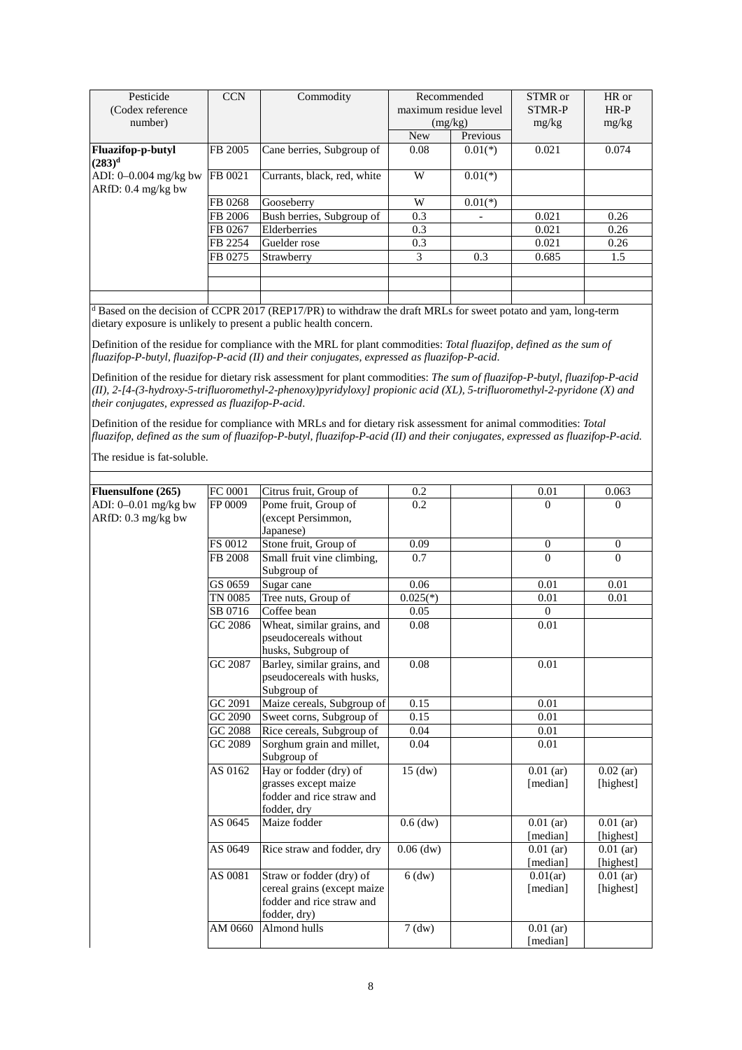| Pesticide                | <b>CCN</b> | Commodity                   |            | Recommended           | STMR or | HR or  |
|--------------------------|------------|-----------------------------|------------|-----------------------|---------|--------|
| (Codex reference)        |            |                             |            | maximum residue level | STMR-P  | $HR-P$ |
| number)                  |            |                             |            | (mg/kg)               | mg/kg   | mg/kg  |
|                          |            |                             | <b>New</b> | Previous              |         |        |
| <b>Fluazifop-p-butyl</b> | FB 2005    | Cane berries, Subgroup of   | 0.08       | $0.01(*)$             | 0.021   | 0.074  |
| $(283)^d$                |            |                             |            |                       |         |        |
| ADI: $0-0.004$ mg/kg bw  | FB 0021    | Currants, black, red, white | W          | $0.01(*)$             |         |        |
| $ARfD: 0.4$ mg/kg bw     |            |                             |            |                       |         |        |
|                          | FB 0268    | Gooseberry                  | W          | $0.01(*)$             |         |        |
|                          | FB 2006    | Bush berries, Subgroup of   | 0.3        |                       | 0.021   | 0.26   |
|                          | FB 0267    | Elderberries                | 0.3        |                       | 0.021   | 0.26   |
|                          | FB 2254    | Guelder rose                | 0.3        |                       | 0.021   | 0.26   |
|                          | FB 0275    | Strawberry                  | 3          | 0.3                   | 0.685   | 1.5    |
|                          |            |                             |            |                       |         |        |
|                          |            |                             |            |                       |         |        |
|                          |            |                             |            |                       |         |        |

<sup>d</sup> Based on the decision of CCPR 2017 (REP17/PR) to withdraw the draft MRLs for sweet potato and yam, long-term dietary exposure is unlikely to present a public health concern.

Definition of the residue for compliance with the MRL for plant commodities: *Total fluazifop, defined as the sum of fluazifop-P-butyl, fluazifop-P-acid (II) and their conjugates, expressed as fluazifop-P-acid*.

Definition of the residue for dietary risk assessment for plant commodities: *The sum of fluazifop-P-butyl, fluazifop-P-acid (II), 2-[4-(3-hydroxy-5-trifluoromethyl-2-phenoxy)pyridyloxy] propionic acid (XL), 5-trifluoromethyl-2-pyridone (X) and their conjugates, expressed as fluazifop-P-acid*.

Definition of the residue for compliance with MRLs and for dietary risk assessment for animal commodities: *Total fluazifop, defined as the sum of fluazifop-P-butyl, fluazifop-P-acid (II) and their conjugates, expressed as fluazifop-P-acid.*

| Fluensulfone (265)     | FC 0001 | Citrus fruit, Group of      | 0.2         | 0.01         | 0.063          |
|------------------------|---------|-----------------------------|-------------|--------------|----------------|
| ADI: $0-0.01$ mg/kg bw | FP 0009 | Pome fruit, Group of        | 0.2         | $\Omega$     | $\overline{0}$ |
| ARfD: 0.3 mg/kg bw     |         | (except Persimmon,          |             |              |                |
|                        |         | Japanese)                   |             |              |                |
|                        | FS 0012 | Stone fruit, Group of       | 0.09        | $\mathbf{0}$ | $\mathbf{0}$   |
|                        | FB 2008 | Small fruit vine climbing,  | 0.7         | $\Omega$     | $\Omega$       |
|                        |         | Subgroup of                 |             |              |                |
|                        | GS 0659 | Sugar cane                  | 0.06        | 0.01         | 0.01           |
|                        | TN 0085 | Tree nuts, Group of         | $0.025(*)$  | 0.01         | 0.01           |
|                        | SB 0716 | Coffee bean                 | 0.05        | $\theta$     |                |
|                        | GC 2086 | Wheat, similar grains, and  | 0.08        | 0.01         |                |
|                        |         | pseudocereals without       |             |              |                |
|                        |         | husks, Subgroup of          |             |              |                |
|                        | GC 2087 | Barley, similar grains, and | 0.08        | 0.01         |                |
|                        |         | pseudocereals with husks,   |             |              |                |
|                        |         | Subgroup of                 |             |              |                |
|                        | GC 2091 | Maize cereals, Subgroup of  | 0.15        | 0.01         |                |
|                        | GC 2090 | Sweet corns, Subgroup of    | 0.15        | 0.01         |                |
|                        | GC 2088 | Rice cereals, Subgroup of   | 0.04        | 0.01         |                |
|                        | GC 2089 | Sorghum grain and millet,   | 0.04        | 0.01         |                |
|                        |         | Subgroup of                 |             |              |                |
|                        | AS 0162 | Hay or fodder (dry) of      | $15$ (dw)   | $0.01$ (ar)  | $0.02$ (ar)    |
|                        |         | grasses except maize        |             | [median]     | [highest]      |
|                        |         | fodder and rice straw and   |             |              |                |
|                        |         | fodder, dry                 |             |              |                |
|                        | AS 0645 | Maize fodder                | $0.6$ (dw)  | $0.01$ (ar)  | $0.01$ (ar)    |
|                        |         |                             |             | [median]     | [highest]      |
|                        | AS 0649 | Rice straw and fodder, dry  | $0.06$ (dw) | $0.01$ (ar)  | $0.01$ (ar)    |
|                        |         |                             |             | [median]     | [highest]      |
|                        | AS 0081 | Straw or fodder (dry) of    | $6$ (dw)    | 0.01(ar)     | $0.01$ (ar)    |
|                        |         | cereal grains (except maize |             | [median]     | [highest]      |
|                        |         | fodder and rice straw and   |             |              |                |
|                        |         | fodder, dry)                |             |              |                |
|                        | AM 0660 | Almond hulls                | $7$ (dw)    | $0.01$ (ar)  |                |
|                        |         |                             |             | [median]     |                |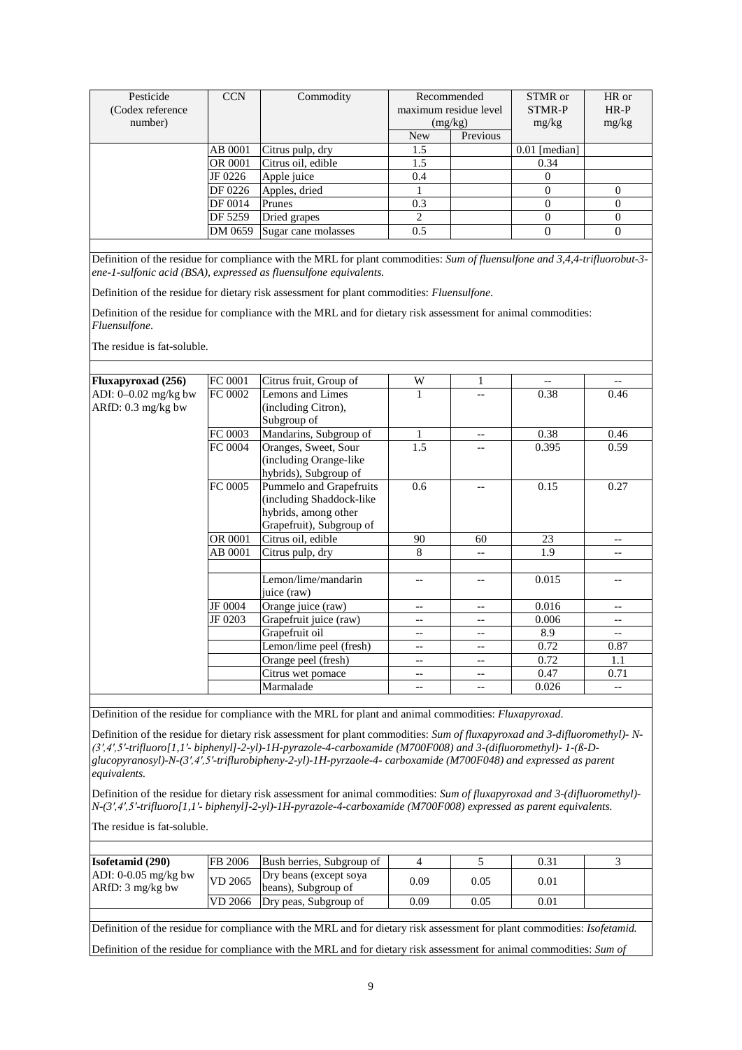| Pesticide<br>(Codex reference | <b>CCN</b> | Commodity           | Recommended<br>maximum residue level |          | STMR or<br><b>STMR-P</b> | HR or<br>$HR-P$ |
|-------------------------------|------------|---------------------|--------------------------------------|----------|--------------------------|-----------------|
| number)                       |            |                     |                                      | (mg/kg)  | mg/kg                    | mg/kg           |
|                               |            |                     | <b>New</b>                           | Previous |                          |                 |
|                               | AB 0001    | Citrus pulp, dry    | 1.5                                  |          | $0.01$ [median]          |                 |
|                               | OR 0001    | Citrus oil, edible  | 1.5                                  |          | 0.34                     |                 |
|                               | JF 0226    | Apple juice         | 0.4                                  |          |                          |                 |
|                               | DF 0226    | Apples, dried       |                                      |          |                          |                 |
|                               | DF 0014    | Prunes              | 0.3                                  |          |                          |                 |
|                               | DF 5259    | Dried grapes        | 2                                    |          |                          | $\Omega$        |
|                               | DM 0659    | Sugar cane molasses | 0.5                                  |          |                          | $\theta$        |

Definition of the residue for compliance with the MRL for plant commodities: *Sum of fluensulfone and 3,4,4-trifluorobut-3 ene-1-sulfonic acid (BSA), expressed as fluensulfone equivalents.* 

Definition of the residue for dietary risk assessment for plant commodities: *Fluensulfone*.

Definition of the residue for compliance with the MRL and for dietary risk assessment for animal commodities: *Fluensulfone*.

The residue is fat-soluble.

| <b>Fluxapyroxad</b> (256) | FC 0001 | Citrus fruit, Group of   | W     | 1                 | --    | $- -$             |
|---------------------------|---------|--------------------------|-------|-------------------|-------|-------------------|
| ADI: $0-0.02$ mg/kg bw    | FC 0002 | Lemons and Limes         | 1     | --                | 0.38  | 0.46              |
| $ARfD: 0.3$ mg/kg bw      |         | (including Citron),      |       |                   |       |                   |
|                           |         | Subgroup of              |       |                   |       |                   |
|                           | FC 0003 | Mandarins, Subgroup of   | 1     | $-$               | 0.38  | 0.46              |
|                           | FC 0004 | Oranges, Sweet, Sour     | 1.5   |                   | 0.395 | 0.59              |
|                           |         | (including Orange-like   |       |                   |       |                   |
|                           |         | hybrids), Subgroup of    |       |                   |       |                   |
|                           | FC 0005 | Pummelo and Grapefruits  | 0.6   |                   | 0.15  | 0.27              |
|                           |         | (including Shaddock-like |       |                   |       |                   |
|                           |         | hybrids, among other     |       |                   |       |                   |
|                           |         | Grapefruit), Subgroup of |       |                   |       |                   |
|                           | OR 0001 | Citrus oil, edible       | 90    | 60                | 23    | $-$               |
|                           | AB 0001 | Citrus pulp, dry         | 8     | --                | 1.9   |                   |
|                           |         |                          |       |                   |       |                   |
|                           |         | Lemon/lime/mandarin      |       |                   | 0.015 |                   |
|                           |         | juice (raw)              |       |                   |       |                   |
|                           | JF 0004 | Orange juice (raw)       |       | --                | 0.016 | $-$               |
|                           | JF 0203 | Grapefruit juice (raw)   | --    | $\qquad \qquad -$ | 0.006 | $-$               |
|                           |         | Grapefruit oil           | --    | $- -$             | 8.9   | $- -$             |
|                           |         | Lemon/lime peel (fresh)  | --    | $- -$             | 0.72  | 0.87              |
|                           |         | Orange peel (fresh)      | --    | $- -$             | 0.72  | 1.1               |
|                           |         | Citrus wet pomace        | $- -$ | $\qquad \qquad -$ | 0.47  | 0.71              |
|                           |         | Marmalade                | $- -$ | $- -$             | 0.026 | $\qquad \qquad -$ |

Definition of the residue for compliance with the MRL for plant and animal commodities: *Fluxapyroxad*.

Definition of the residue for dietary risk assessment for plant commodities: *Sum of fluxapyroxad and 3-difluoromethyl)- N- (3′,4′,5′-trifluoro[1,1′- biphenyl]-2-yl)-1H-pyrazole-4-carboxamide (M700F008) and 3-(difluoromethyl)- 1-(ß-Dglucopyranosyl)-N-(3′,4′,5′-triflurobipheny-2-yl)-1H-pyrzaole-4- carboxamide (M700F048) and expressed as parent equivalents.* 

Definition of the residue for dietary risk assessment for animal commodities: *Sum of fluxapyroxad and 3-(difluoromethyl)- N-(3′,4′,5′-trifluoro[1,1′- biphenyl]-2-yl)-1H-pyrazole-4-carboxamide (M700F008) expressed as parent equivalents.* 

The residue is fat-soluble.

| <b>Isofetamid</b> (290)                      | FB 2006 | Bush berries, Subgroup of                     |      |      | 0.31 |  |
|----------------------------------------------|---------|-----------------------------------------------|------|------|------|--|
| ADI: $0-0.05$ mg/kg bw<br>$ARfD: 3 mg/kg$ bw | VD 2065 | Dry beans (except soya<br>beans), Subgroup of | 0.09 | 0.05 | 0.01 |  |
|                                              | VD 2066 | Dry peas, Subgroup of                         | 0.09 | 0.05 | 0.01 |  |
|                                              |         |                                               |      |      |      |  |

Definition of the residue for compliance with the MRL and for dietary risk assessment for plant commodities: *Isofetamid.*

Definition of the residue for compliance with the MRL and for dietary risk assessment for animal commodities: *Sum of*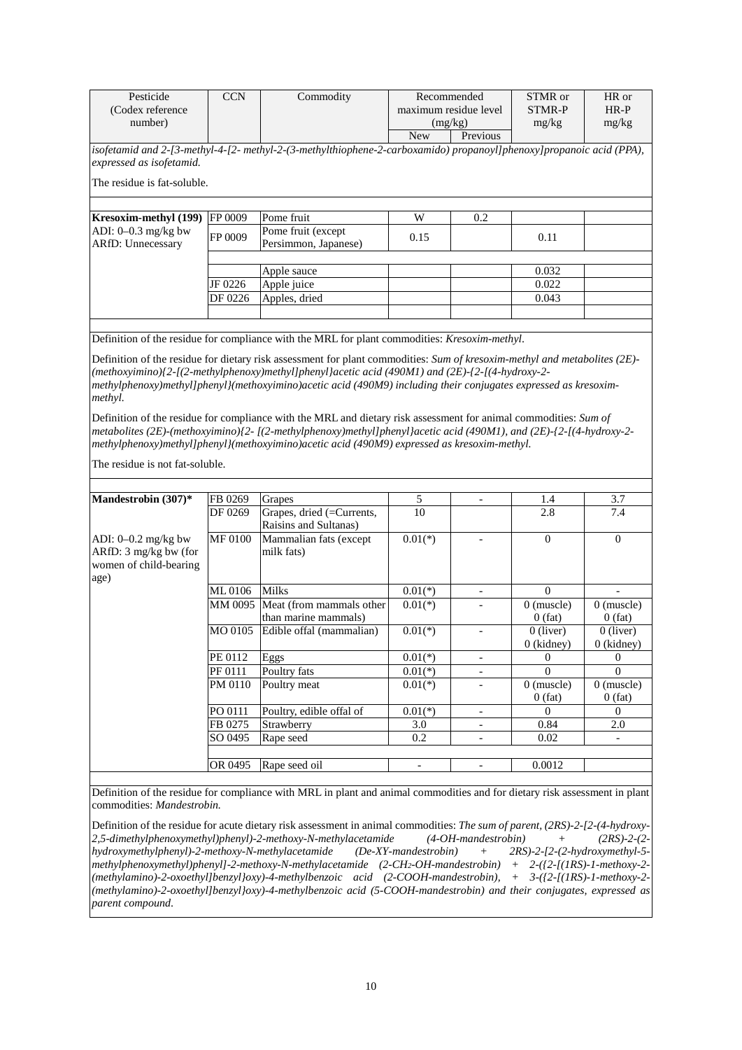| Pesticide<br>(Codex reference<br>number)                                 | <b>CCN</b><br>Commodity |                                                                                                                                                                                                                                                                                                                                                    | Recommended<br>maximum residue level<br>(mg/kg) |                                                                                                                                 | STMR or<br><b>STMR-P</b><br>mg/kg | HR or<br>$HR-P$<br>mg/kg  |
|--------------------------------------------------------------------------|-------------------------|----------------------------------------------------------------------------------------------------------------------------------------------------------------------------------------------------------------------------------------------------------------------------------------------------------------------------------------------------|-------------------------------------------------|---------------------------------------------------------------------------------------------------------------------------------|-----------------------------------|---------------------------|
|                                                                          |                         |                                                                                                                                                                                                                                                                                                                                                    | New                                             | Previous                                                                                                                        |                                   |                           |
| expressed as isofetamid.<br>The residue is fat-soluble.                  |                         | isofetamid and 2-[3-methyl-4-[2-methyl-2-(3-methylthiophene-2-carboxamido) propanoyl[phenoxy]propanoic acid (PPA),                                                                                                                                                                                                                                 |                                                 |                                                                                                                                 |                                   |                           |
|                                                                          | FP 0009                 | Pome fruit                                                                                                                                                                                                                                                                                                                                         | W                                               | 0.2                                                                                                                             |                                   |                           |
| Kresoxim-methyl (199)<br>ADI: 0-0.3 mg/kg bw<br><b>ARfD: Unnecessary</b> | FP 0009                 | Pome fruit (except<br>Persimmon, Japanese)                                                                                                                                                                                                                                                                                                         | 0.15                                            |                                                                                                                                 | 0.11                              |                           |
|                                                                          |                         | Apple sauce                                                                                                                                                                                                                                                                                                                                        |                                                 |                                                                                                                                 | 0.032                             |                           |
|                                                                          | JF 0226                 | Apple juice                                                                                                                                                                                                                                                                                                                                        |                                                 |                                                                                                                                 | 0.022                             |                           |
|                                                                          | DF 0226                 | Apples, dried                                                                                                                                                                                                                                                                                                                                      |                                                 |                                                                                                                                 | 0.043                             |                           |
|                                                                          |                         |                                                                                                                                                                                                                                                                                                                                                    |                                                 |                                                                                                                                 |                                   |                           |
|                                                                          |                         | Definition of the residue for compliance with the MRL for plant commodities: Kresoxim-methyl.                                                                                                                                                                                                                                                      |                                                 |                                                                                                                                 |                                   |                           |
| methyl.                                                                  |                         | Definition of the residue for dietary risk assessment for plant commodities: Sum of kresoxim-methyl and metabolites (2E)-<br>$(methoxyimin)$ /2-[(2-methylphenoxy)methyl]phenyl}acetic acid (490M1) and (2E)-{2-[(4-hydroxy-2-}<br>methylphenoxy)methyl]phenyl](methoxyimino)acetic acid (490M9) including their conjugates expressed as kresoxim- |                                                 |                                                                                                                                 |                                   |                           |
| The residue is not fat-soluble.                                          |                         | $metabolites (2E)-(methoxyimino)/2-[(2-methylphenoxy)methyl]phenyl] acetic acid (490MI), and (2E)-(2-[(4-hydroxy-2-met)~2]$<br>methylphenoxy)methyl]phenyl](methoxyimino)acetic acid (490M9) expressed as kresoxim-methyl.                                                                                                                         |                                                 |                                                                                                                                 |                                   |                           |
| Mandestrobin (307)*                                                      | FB 0269                 | Grapes                                                                                                                                                                                                                                                                                                                                             | 5                                               | $\overline{\phantom{0}}$                                                                                                        | 1.4                               | 3.7                       |
|                                                                          | DF 0269                 | Grapes, dried (=Currents,<br>Raisins and Sultanas)                                                                                                                                                                                                                                                                                                 | 10                                              |                                                                                                                                 | 2.8                               | 7.4                       |
| ADI: 0-0.2 mg/kg bw<br>ARfD: 3 mg/kg bw (for<br>women of child-bearing   | <b>MF 0100</b>          | Mammalian fats (except<br>milk fats)                                                                                                                                                                                                                                                                                                               | $0.01(*)$                                       |                                                                                                                                 | $\mathbf{0}$                      | $\overline{0}$            |
| age)                                                                     | ML 0106                 | <b>Milks</b>                                                                                                                                                                                                                                                                                                                                       | $0.01(*)$                                       |                                                                                                                                 | $\overline{0}$                    |                           |
|                                                                          |                         | MM 0095 Meat (from mammals other<br>than marine mammals)                                                                                                                                                                                                                                                                                           | $0.01(*)$                                       | $\overline{\phantom{a}}$                                                                                                        | $0$ (muscle)<br>$0$ (fat)         | $0$ (muscle)<br>$0$ (fat) |
|                                                                          |                         | MO 0105 Edible offal (mammalian)                                                                                                                                                                                                                                                                                                                   | $0.01(*)$                                       | $\overline{a}$                                                                                                                  | $0$ (liver)<br>0 (kidney)         | $0$ (liver)<br>0 (kidney) |
|                                                                          | PE 0112                 | Eggs                                                                                                                                                                                                                                                                                                                                               | $0.01(*)$                                       | $\overline{\phantom{0}}$                                                                                                        | 0                                 | $\theta$                  |
|                                                                          | PF 0111                 | Poultry fats                                                                                                                                                                                                                                                                                                                                       | $0.01(*)$                                       | Ξ.                                                                                                                              | 0                                 | $\Omega$                  |
|                                                                          | PM 0110                 | Poultry meat                                                                                                                                                                                                                                                                                                                                       | $0.01(*)$                                       | $\overline{\phantom{0}}$                                                                                                        | $0$ (muscle)<br>$0$ (fat)         | $0$ (muscle)<br>$0$ (fat) |
|                                                                          | PO 0111                 | Poultry, edible offal of                                                                                                                                                                                                                                                                                                                           | $0.01(*)$                                       | $\overline{a}$                                                                                                                  | $\mathbf{0}$                      | $\mathbf{0}$              |
|                                                                          | FB 0275                 | Strawberry                                                                                                                                                                                                                                                                                                                                         | 3.0                                             | $\overline{\phantom{a}}$                                                                                                        | 0.84                              | 2.0                       |
|                                                                          | SO 0495                 | Rape seed                                                                                                                                                                                                                                                                                                                                          | 0.2                                             | $\overline{\phantom{a}}$                                                                                                        | 0.02                              | $\overline{\phantom{a}}$  |
|                                                                          | OR 0495                 | Rape seed oil                                                                                                                                                                                                                                                                                                                                      | $\overline{\phantom{a}}$                        | $\overline{\phantom{a}}$                                                                                                        | 0.0012                            |                           |
| commodities: Mandestrobin.                                               |                         | Definition of the residue for compliance with MRL in plant and animal commodities and for dietary risk assessment in plant                                                                                                                                                                                                                         |                                                 | Definition of the residue for acute dietary risk assessment in animal commodities: The sum of parent $(2RS)$ -2- $(2-kydrory$ - |                                   |                           |

Definition of the residue for acute dietary risk assessment in animal commodities: *The sum of parent, (2RS)-2-[2-(4-hydroxy-2,5-dimethylphenoxymethyl)phenyl)-2-methoxy-N-methylacetamide (4-OH-mandestrobin) + (2RS)-2-(2 hydroxymethylphenyl)-2-methoxy-N-methylacetamide (De-XY-mandestrobin) + 2RS)-2-[2-(2-hydroxymethyl-5 methylphenoxymethyl)phenyl]-2-methoxy-N-methylacetamide (2-CH2-OH-mandestrobin) + 2-({2-[(1RS)-1-methoxy-2- (methylamino)-2-oxoethyl]benzyl}oxy)-4-methylbenzoic acid (2-COOH-mandestrobin), + 3-({2-[(1RS)-1-methoxy-2- (methylamino)-2-oxoethyl]benzyl}oxy)-4-methylbenzoic acid (5-COOH-mandestrobin) and their conjugates, expressed as parent compound*.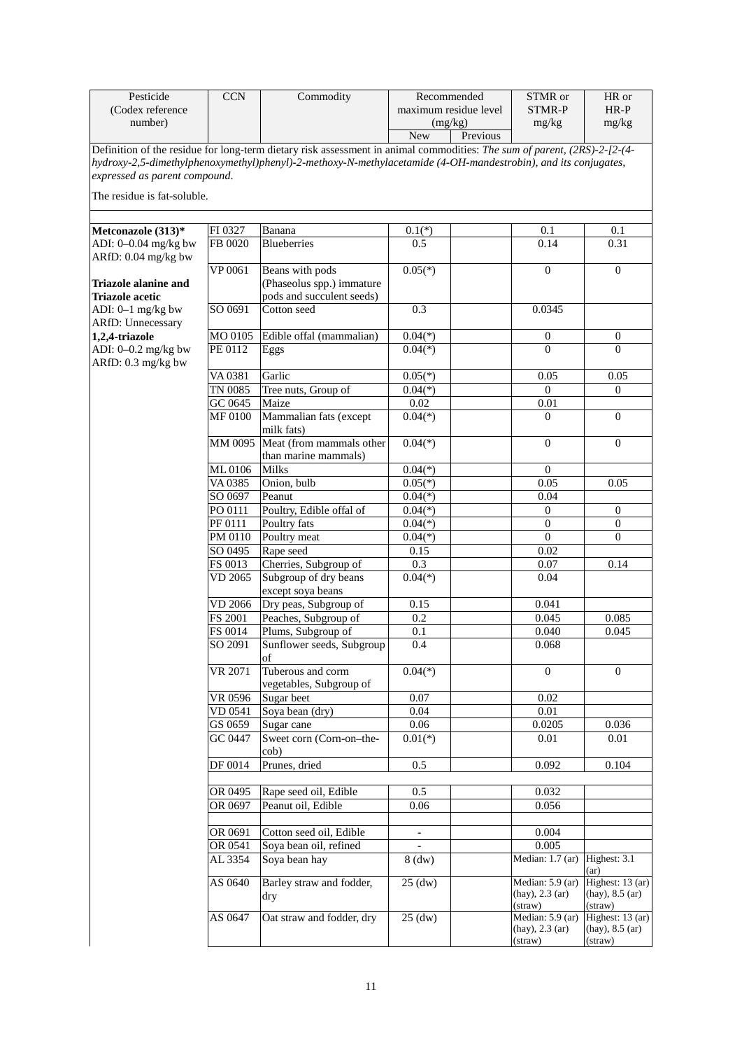| Pesticide                                                    | <b>CCN</b>        | Commodity                                                                                                                | Recommended              |                       | STMR or                                               | HR or                                               |
|--------------------------------------------------------------|-------------------|--------------------------------------------------------------------------------------------------------------------------|--------------------------|-----------------------|-------------------------------------------------------|-----------------------------------------------------|
| (Codex reference                                             |                   |                                                                                                                          |                          | maximum residue level | <b>STMR-P</b>                                         | $HR-P$                                              |
| number)                                                      |                   |                                                                                                                          | <b>New</b>               | (mg/kg)<br>Previous   | mg/kg                                                 | mg/kg                                               |
|                                                              |                   | Definition of the residue for long-term dietary risk assessment in animal commodities: The sum of parent, (2RS)-2-[2-(4- |                          |                       |                                                       |                                                     |
| expressed as parent compound.<br>The residue is fat-soluble. |                   | hydroxy-2,5-dimethylphenoxymethyl)phenyl)-2-methoxy-N-methylacetamide (4-OH-mandestrobin), and its conjugates,           |                          |                       |                                                       |                                                     |
|                                                              |                   |                                                                                                                          |                          |                       |                                                       |                                                     |
| Metconazole (313)*                                           | FI 0327           | Banana                                                                                                                   | $0.1(*)$                 |                       | 0.1                                                   | 0.1                                                 |
| ADI: 0-0.04 mg/kg bw<br>ARfD: 0.04 mg/kg bw                  | FB 0020           | <b>Blueberries</b>                                                                                                       | 0.5                      |                       | 0.14                                                  | 0.31                                                |
|                                                              | VP 0061           | Beans with pods                                                                                                          | $0.05(*)$                |                       | $\mathbf{0}$                                          | $\boldsymbol{0}$                                    |
| <b>Triazole alanine and</b><br><b>Triazole acetic</b>        |                   | (Phaseolus spp.) immature<br>pods and succulent seeds)                                                                   |                          |                       |                                                       |                                                     |
|                                                              | SO 0691           | Cotton seed                                                                                                              | 0.3                      |                       | 0.0345                                                |                                                     |
| ADI: $0-1$ mg/kg bw<br><b>ARfD: Unnecessary</b>              |                   |                                                                                                                          |                          |                       |                                                       |                                                     |
| 1,2,4-triazole                                               | MO 0105           | Edible offal (mammalian)                                                                                                 | $0.04(*)$                |                       | $\boldsymbol{0}$                                      | $\boldsymbol{0}$                                    |
| ADI: 0-0.2 mg/kg bw<br>ARfD: 0.3 mg/kg bw                    | PE 0112           | Eggs                                                                                                                     | $0.04(*)$                |                       | $\theta$                                              | $\Omega$                                            |
|                                                              | VA 0381           | Garlic                                                                                                                   | $0.05(*)$                |                       | 0.05                                                  | 0.05                                                |
|                                                              | TN 0085           | Tree nuts, Group of                                                                                                      | $0.04(*)$                |                       | $\Omega$                                              | $\overline{0}$                                      |
|                                                              | GC 0645           | Maize                                                                                                                    | 0.02                     |                       | 0.01                                                  |                                                     |
|                                                              | MF 0100           | Mammalian fats (except<br>milk fats)                                                                                     | $0.04(*)$                |                       | $\Omega$                                              | $\mathbf{0}$                                        |
|                                                              | MM 0095           | Meat (from mammals other                                                                                                 | $0.04(*)$                |                       | $\Omega$                                              | $\overline{0}$                                      |
|                                                              |                   | than marine mammals)<br>Milks                                                                                            | $0.04(*)$                |                       | $\Omega$                                              |                                                     |
|                                                              | ML0106<br>VA 0385 | Onion, bulb                                                                                                              | $0.05(*)$                |                       | 0.05                                                  | 0.05                                                |
|                                                              | SO 0697           | Peanut                                                                                                                   | $0.04(*)$                |                       | 0.04                                                  |                                                     |
|                                                              | PO 0111           | Poultry, Edible offal of                                                                                                 | $0.04(*)$                |                       | $\boldsymbol{0}$                                      | 0                                                   |
|                                                              | PF 0111           | Poultry fats                                                                                                             | $0.04(*)$                |                       | $\theta$                                              | $\mathbf{0}$                                        |
|                                                              | PM 0110           | Poultry meat                                                                                                             | $0.04(*)$                |                       | $\mathbf{0}$                                          | $\mathbf{0}$                                        |
|                                                              | SO 0495           | Rape seed                                                                                                                | 0.15                     |                       | 0.02                                                  |                                                     |
|                                                              | FS 0013           | Cherries, Subgroup of                                                                                                    | 0.3                      |                       | 0.07                                                  | 0.14                                                |
|                                                              | VD 2065           | Subgroup of dry beans                                                                                                    | $0.04(*)$                |                       | 0.04                                                  |                                                     |
|                                                              |                   | except soya beans                                                                                                        |                          |                       |                                                       |                                                     |
|                                                              | VD 2066           | Dry peas, Subgroup of                                                                                                    | 0.15                     |                       | 0.041                                                 |                                                     |
|                                                              | <b>FS 2001</b>    | Peaches, Subgroup of                                                                                                     | 0.2                      |                       | 0.045                                                 | 0.085                                               |
|                                                              | FS 0014           | Plums, Subgroup of                                                                                                       | 0.1                      |                       | 0.040                                                 | 0.045                                               |
|                                                              | SO 2091           | Sunflower seeds, Subgroup<br>of                                                                                          | $\overline{0.4}$         |                       | 0.068                                                 |                                                     |
|                                                              | VR 2071           | Tuberous and corm<br>vegetables, Subgroup of                                                                             | $0.04(*)$                |                       | $\Omega$                                              | $\Omega$                                            |
|                                                              | VR 0596           | Sugar beet                                                                                                               | 0.07                     |                       | 0.02                                                  |                                                     |
|                                                              | VD 0541           | Soya bean (dry)                                                                                                          | 0.04                     |                       | 0.01                                                  |                                                     |
|                                                              | GS 0659           | Sugar cane                                                                                                               | 0.06                     |                       | 0.0205                                                | 0.036                                               |
|                                                              | GC 0447           | Sweet corn (Corn-on-the-<br>cob)                                                                                         | $0.01(*)$                |                       | 0.01                                                  | 0.01                                                |
|                                                              | DF 0014           | Prunes, dried                                                                                                            | 0.5                      |                       | 0.092                                                 | 0.104                                               |
|                                                              | OR 0495           | Rape seed oil, Edible                                                                                                    | 0.5                      |                       | 0.032                                                 |                                                     |
|                                                              | OR 0697           | Peanut oil, Edible                                                                                                       | 0.06                     |                       | 0.056                                                 |                                                     |
|                                                              |                   |                                                                                                                          |                          |                       |                                                       |                                                     |
|                                                              | OR 0691           | Cotton seed oil, Edible                                                                                                  | $\overline{\phantom{a}}$ |                       | 0.004                                                 |                                                     |
|                                                              | OR 0541           | Soya bean oil, refined                                                                                                   |                          |                       | 0.005                                                 |                                                     |
|                                                              | AL 3354           | Soya bean hay                                                                                                            | $8$ (dw)                 |                       | Median: 1.7 (ar)                                      | Highest: 3.1<br>(ar)                                |
|                                                              | AS 0640           | Barley straw and fodder,<br>dry                                                                                          | $25$ (dw)                |                       | Median: 5.9 (ar)<br>$(hay)$ , 2.3 $(ar)$<br>(straw)   | Highest: 13 (ar)<br>$(hay)$ , 8.5 $(ar)$<br>(straw) |
|                                                              | AS 0647           | Oat straw and fodder, dry                                                                                                | $25 \text{ (dw)}$        |                       | Median: $5.9$ (ar)<br>$(hay)$ , 2.3 $(ar)$<br>(straw) | Highest: 13 (ar)<br>$(hay)$ , 8.5 $(ar)$<br>(straw) |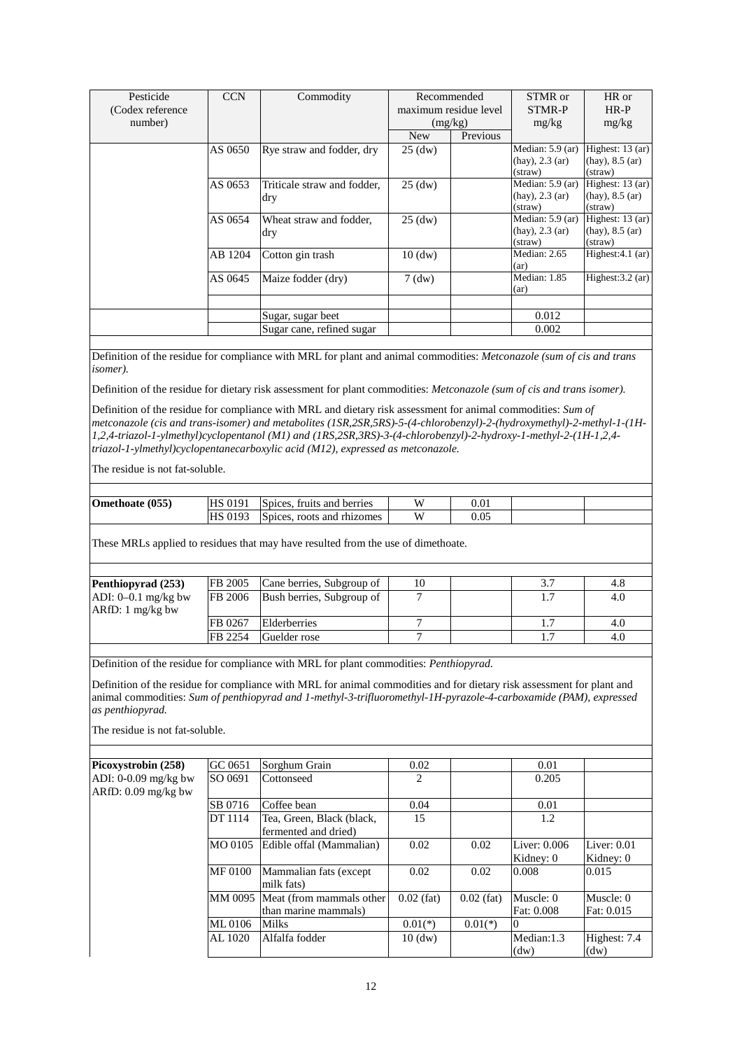| Pesticide         | <b>CCN</b> | Commodity                   | Recommended           |          | STMR or              | HR or                |
|-------------------|------------|-----------------------------|-----------------------|----------|----------------------|----------------------|
| (Codex reference) |            |                             | maximum residue level |          | STMR-P               | $HR-P$               |
| number)           |            |                             | (mg/kg)               |          | mg/kg                | mg/kg                |
|                   |            |                             | <b>New</b>            | Previous |                      |                      |
|                   | AS 0650    | Rye straw and fodder, dry   | $25 \text{ (dw)}$     |          | Median: $5.9$ (ar)   | Highest: $13$ (ar)   |
|                   |            |                             |                       |          | $(hay)$ , 2.3 $(ar)$ | $(hay)$ , 8.5 $(ar)$ |
|                   |            |                             |                       |          | (straw)              | (straw)              |
|                   | AS 0653    | Triticale straw and fodder, | $25 \text{ (dw)}$     |          | Median: $5.9$ (ar)   | Highest: 13 (ar)     |
|                   |            | dry                         |                       |          | $(hay)$ , 2.3 $(ar)$ | $(hay)$ , 8.5 $(ar)$ |
|                   |            |                             |                       |          | (straw)              | (straw)              |
|                   | AS 0654    | Wheat straw and fodder,     | $25 \text{ (dw)}$     |          | Median: $5.9$ (ar)   | Highest: $13$ (ar)   |
|                   |            | dry                         |                       |          | $(hay)$ , 2.3 $(ar)$ | $(hay)$ , 8.5 $(ar)$ |
|                   |            |                             |                       |          | (straw)              | (straw)              |
|                   | AB 1204    | Cotton gin trash            | $10 \text{ (dw)}$     |          | Median: 2.65         | Highest: $4.1$ (ar)  |
|                   |            |                             |                       |          | (ar)                 |                      |
|                   | AS 0645    | Maize fodder (dry)          | $7$ (dw)              |          | Median: 1.85         | Highest: $3.2$ (ar)  |
|                   |            |                             |                       |          | (ar)                 |                      |
|                   |            |                             |                       |          |                      |                      |
|                   |            | Sugar, sugar beet           |                       |          | 0.012                |                      |
|                   |            | Sugar cane, refined sugar   |                       |          | 0.002                |                      |

Definition of the residue for compliance with MRL for plant and animal commodities: *Metconazole (sum of cis and trans isomer).*

Definition of the residue for dietary risk assessment for plant commodities: *Metconazole (sum of cis and trans isomer).*

Definition of the residue for compliance with MRL and dietary risk assessment for animal commodities: *Sum of metconazole (cis and trans-isomer) and metabolites (1SR,2SR,5RS)-5-(4-chlorobenzyl)-2-(hydroxymethyl)-2-methyl-1-(1H-1,2,4-triazol-1-ylmethyl)cyclopentanol (M1) and (1RS,2SR,3RS)-3-(4-chlorobenzyl)-2-hydroxy-1-methyl-2-(1H-1,2,4 triazol-1-ylmethyl)cyclopentanecarboxylic acid (M12), expressed as metconazole.*

The residue is not fat-soluble.

| Omethoate (055) | <b>HS 0191</b> | Spices, fruits and berries | $0.01\,$ |  |
|-----------------|----------------|----------------------------|----------|--|
|                 | <b>HS 0193</b> | Spices, roots and rhizomes | $0.05\,$ |  |

These MRLs applied to residues that may have resulted from the use of dimethoate.

| Penthiopyrad (253)    | FB 2005        | Cane berries, Subgroup of | 10 |  | 4.8 |
|-----------------------|----------------|---------------------------|----|--|-----|
| ADI: $0-0.1$ mg/kg bw | <b>FB</b> 2006 | Bush berries, Subgroup of |    |  | 4.0 |
| $ARfD: 1 mg/kg$ bw    |                |                           |    |  |     |
|                       | FB 0267        | Elderberries              |    |  | 4.0 |
|                       | FB 2254        | Guelder rose              |    |  | 4.0 |
|                       |                |                           |    |  |     |

Definition of the residue for compliance with MRL for plant commodities: *Penthiopyrad.*

Definition of the residue for compliance with MRL for animal commodities and for dietary risk assessment for plant and animal commodities: *Sum of penthiopyrad and 1-methyl-3-trifluoromethyl-1H-pyrazole-4-carboxamide (PAM), expressed as penthiopyrad.* 

| Picoxystrobin (258)   | GC 0651 | Sorghum Grain             | 0.02                          |              | 0.01         |               |
|-----------------------|---------|---------------------------|-------------------------------|--------------|--------------|---------------|
| ADI: 0-0.09 mg/kg bw  | SO 0691 | Cottonseed                | $\mathfrak{D}_{\mathfrak{p}}$ |              | 0.205        |               |
| $ARfD: 0.09$ mg/kg bw |         |                           |                               |              |              |               |
|                       | SB 0716 | Coffee bean               | 0.04                          |              | 0.01         |               |
|                       | DT 1114 | Tea, Green, Black (black, | 15                            |              | 1.2          |               |
|                       |         | fermented and dried)      |                               |              |              |               |
|                       | MO 0105 | Edible offal (Mammalian)  | 0.02                          | 0.02         | Liver: 0.006 | Liver: $0.01$ |
|                       |         |                           |                               |              | Kidney: 0    | Kidney: 0     |
|                       | MF 0100 | Mammalian fats (except)   | 0.02                          | 0.02         | 0.008        | 0.015         |
|                       |         | milk fats)                |                               |              |              |               |
|                       | MM 0095 | Meat (from mammals other  | $0.02$ (fat)                  | $0.02$ (fat) | Muscle: 0    | Muscle: $0$   |
|                       |         | than marine mammals)      |                               |              | Fat: 0.008   | Fat: 0.015    |
|                       | ML 0106 | <b>Milks</b>              | $0.01(*)$                     | $0.01(*)$    | Ю            |               |
|                       | AL 1020 | Alfalfa fodder            | $10 \text{ (dw)}$             |              | Median:1.3   | Highest: 7.4  |
|                       |         |                           |                               |              | (dw)         | (dw)          |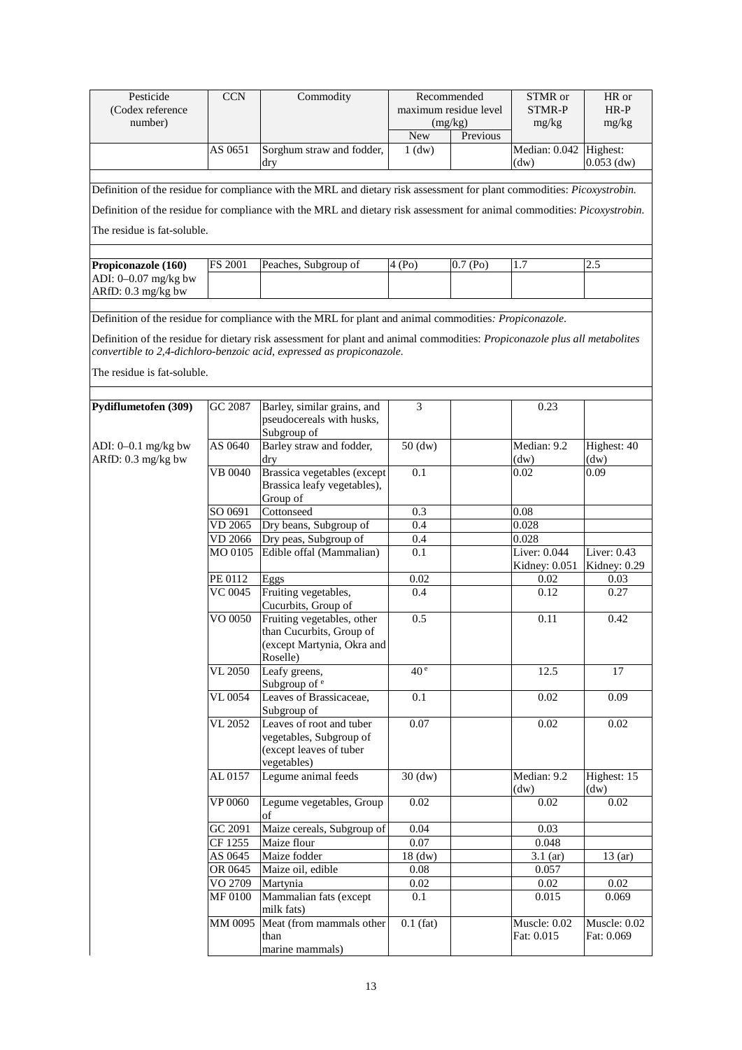| Pesticide                                   | <b>CCN</b>           | Commodity                                                                                                                                                                                           | Recommended                      |                      | STMR or                       | HR or                       |
|---------------------------------------------|----------------------|-----------------------------------------------------------------------------------------------------------------------------------------------------------------------------------------------------|----------------------------------|----------------------|-------------------------------|-----------------------------|
| (Codex reference<br>number)                 |                      |                                                                                                                                                                                                     | maximum residue level<br>(mg/kg) |                      | <b>STMR-P</b>                 | $HR-P$                      |
|                                             |                      |                                                                                                                                                                                                     | <b>New</b>                       | Previous             | mg/kg                         | mg/kg                       |
|                                             | AS 0651              | Sorghum straw and fodder,                                                                                                                                                                           | $1$ (dw)                         |                      | Median: 0.042                 | Highest:                    |
|                                             |                      | dry                                                                                                                                                                                                 |                                  |                      | (dw)                          | $0.053$ (dw)                |
|                                             |                      |                                                                                                                                                                                                     |                                  |                      |                               |                             |
|                                             |                      | Definition of the residue for compliance with the MRL and dietary risk assessment for plant commodities: Picoxystrobin.                                                                             |                                  |                      |                               |                             |
|                                             |                      | Definition of the residue for compliance with the MRL and dietary risk assessment for animal commodities: Picoxystrobin.                                                                            |                                  |                      |                               |                             |
| The residue is fat-soluble.                 |                      |                                                                                                                                                                                                     |                                  |                      |                               |                             |
|                                             |                      | Peaches, Subgroup of                                                                                                                                                                                |                                  |                      |                               |                             |
| Propiconazole (160)<br>ADI: 0-0.07 mg/kg bw | FS 2001              |                                                                                                                                                                                                     | 4(Po)                            | 0.7(P <sub>0</sub> ) | 1.7                           | 2.5                         |
| ARfD: 0.3 mg/kg bw                          |                      |                                                                                                                                                                                                     |                                  |                      |                               |                             |
|                                             |                      |                                                                                                                                                                                                     |                                  |                      |                               |                             |
|                                             |                      | Definition of the residue for compliance with the MRL for plant and animal commodities: Propiconazole.                                                                                              |                                  |                      |                               |                             |
|                                             |                      | Definition of the residue for dietary risk assessment for plant and animal commodities: Propiconazole plus all metabolites<br>convertible to 2,4-dichloro-benzoic acid, expressed as propiconazole. |                                  |                      |                               |                             |
| The residue is fat-soluble.                 |                      |                                                                                                                                                                                                     |                                  |                      |                               |                             |
| Pydiflumetofen (309)                        | GC 2087              | Barley, similar grains, and                                                                                                                                                                         | 3                                |                      | 0.23                          |                             |
|                                             |                      | pseudocereals with husks,<br>Subgroup of                                                                                                                                                            |                                  |                      |                               |                             |
| ADI: 0-0.1 mg/kg bw                         | AS 0640              | Barley straw and fodder,                                                                                                                                                                            | $50$ (dw)                        |                      | Median: 9.2                   | Highest: 40                 |
| ARfD: 0.3 mg/kg bw                          |                      | dry                                                                                                                                                                                                 |                                  |                      | (dw)                          | (dw)                        |
|                                             | <b>VB 0040</b>       | Brassica vegetables (except<br>Brassica leafy vegetables),<br>Group of                                                                                                                              | 0.1                              |                      | 0.02                          | 0.09                        |
|                                             | SO 0691              | Cottonseed                                                                                                                                                                                          | 0.3                              |                      | 0.08                          |                             |
|                                             | $\overline{VD}$ 2065 | Dry beans, Subgroup of                                                                                                                                                                              | 0.4                              |                      | 0.028                         |                             |
|                                             | VD 2066              | Dry peas, Subgroup of                                                                                                                                                                               | 0.4                              |                      | 0.028                         |                             |
|                                             | MO 0105              | Edible offal (Mammalian)                                                                                                                                                                            | 0.1                              |                      | Liver: 0.044<br>Kidney: 0.051 | Liver: 0.43<br>Kidney: 0.29 |
|                                             | PE 0112              | Eggs                                                                                                                                                                                                | 0.02                             |                      | 0.02                          | 0.03                        |
|                                             | VC 0045              | Fruiting vegetables,<br>Cucurbits, Group of                                                                                                                                                         | 0.4                              |                      | 0.12                          | 0.27                        |
|                                             | VO 0050              | Fruiting vegetables, other<br>than Cucurbits, Group of<br>(except Martynia, Okra and<br>Roselle)                                                                                                    | 0.5                              |                      | 0.11                          | 0.42                        |
|                                             | VL 2050              | Leafy greens,<br>Subgroup of <sup>e</sup>                                                                                                                                                           | 40 <sup>e</sup>                  |                      | 12.5                          | 17                          |
|                                             | VL 0054              | Leaves of Brassicaceae,<br>Subgroup of                                                                                                                                                              | 0.1                              |                      | $0.02\,$                      | 0.09                        |
|                                             | VL 2052              | Leaves of root and tuber<br>vegetables, Subgroup of<br>(except leaves of tuber<br>vegetables)                                                                                                       | 0.07                             |                      | $0.02\,$                      | 0.02                        |
|                                             | AL0157               | Legume animal feeds                                                                                                                                                                                 | $30$ (dw)                        |                      | Median: 9.2<br>(dw)           | Highest: 15<br>(dw)         |
|                                             | VP 0060              | Legume vegetables, Group<br>of                                                                                                                                                                      | $0.02\,$                         |                      | $0.02\,$                      | $0.02\,$                    |
|                                             | GC 2091              | Maize cereals, Subgroup of                                                                                                                                                                          | 0.04                             |                      | 0.03                          |                             |
|                                             | CF 1255              | Maize flour                                                                                                                                                                                         | 0.07                             |                      | 0.048                         |                             |
|                                             | AS 0645              | Maize fodder                                                                                                                                                                                        | $18 \text{ (dw)}$                |                      | $3.1$ (ar)                    | $\overline{13}$ (ar)        |
|                                             | OR 0645              | Maize oil, edible                                                                                                                                                                                   | 0.08                             |                      | 0.057                         |                             |
|                                             | VO 2709              | Martynia                                                                                                                                                                                            | 0.02                             |                      | 0.02                          | 0.02                        |
|                                             | MF 0100              | Mammalian fats (except<br>milk fats)                                                                                                                                                                | 0.1                              |                      | 0.015                         | 0.069                       |
|                                             | MM 0095              | Meat (from mammals other<br>than<br>marine mammals)                                                                                                                                                 | $0.1$ (fat)                      |                      | Muscle: 0.02<br>Fat: 0.015    | Muscle: 0.02<br>Fat: 0.069  |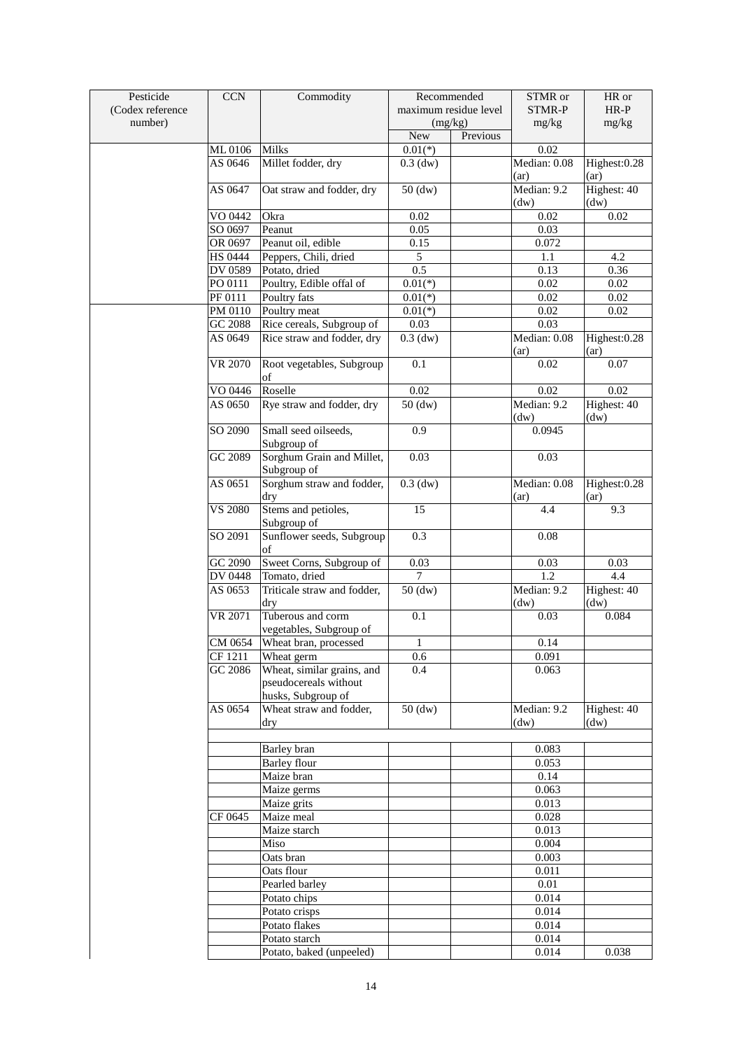| Pesticide        | <b>CCN</b>           | Commodity                                | Recommended           |          | STMR or             | HR or               |
|------------------|----------------------|------------------------------------------|-----------------------|----------|---------------------|---------------------|
| (Codex reference |                      |                                          | maximum residue level |          | STMR-P              | $HR-P$              |
| number)          |                      |                                          | (mg/kg)               |          | mg/kg               | mg/kg               |
|                  |                      |                                          | <b>New</b>            | Previous |                     |                     |
|                  | ML0106               | <b>Milks</b>                             | $0.01(*)$             |          | 0.02                |                     |
|                  | AS 0646              | Millet fodder, dry                       | $0.3$ (dw)            |          | Median: 0.08        | Highest: 0.28       |
|                  |                      |                                          |                       |          | (ar)                | (ar)                |
|                  | AS 0647              | Oat straw and fodder, dry                | $50$ (dw)             |          | Median: 9.2         | Highest: 40         |
|                  |                      |                                          |                       |          | (dw)                | (dw)                |
|                  | VO 0442              | Okra                                     | 0.02                  |          | 0.02                | 0.02                |
|                  | SO 0697              | Peanut                                   | 0.05                  |          | 0.03                |                     |
|                  | OR 0697              | Peanut oil, edible                       | 0.15                  |          |                     |                     |
|                  |                      |                                          |                       |          | 0.072               |                     |
|                  | <b>HS 0444</b>       | Peppers, Chili, dried                    | $\mathfrak{S}$        |          | 1.1                 | 4.2                 |
|                  | DV 0589              | Potato, dried                            | 0.5                   |          | 0.13                | 0.36                |
|                  | PO 0111              | Poultry, Edible offal of                 | $0.01(*)$             |          | 0.02                | 0.02                |
|                  | PF 0111              | Poultry fats                             | $0.01(*)$             |          | 0.02                | $0.02\,$            |
|                  | PM 0110              | Poultry meat                             | $0.01(*)$             |          | 0.02                | $0.02\,$            |
|                  | GC 2088              | Rice cereals, Subgroup of                | 0.03                  |          | 0.03                |                     |
|                  | AS 0649              | Rice straw and fodder, dry               | $0.3$ (dw)            |          | Median: 0.08        | Highest:0.28        |
|                  |                      |                                          |                       |          | (ar)                | (ar)                |
|                  | VR 2070              | Root vegetables, Subgroup                | 0.1                   |          | 0.02                | 0.07                |
|                  |                      | of                                       |                       |          |                     |                     |
|                  | VO 0446              | Roselle                                  | $0.02\,$              |          | 0.02                | $0.02\,$            |
|                  | AS 0650              | Rye straw and fodder, dry                | $50$ (dw)             |          | Median: 9.2<br>(dw) | Highest: 40<br>(dw) |
|                  | SO 2090              | Small seed oilseeds,<br>Subgroup of      | $\overline{0.9}$      |          | 0.0945              |                     |
|                  | GC 2089              | Sorghum Grain and Millet,<br>Subgroup of | 0.03                  |          | 0.03                |                     |
|                  | AS 0651              | Sorghum straw and fodder,                | $0.3$ (dw)            |          | Median: 0.08        | Highest:0.28        |
|                  | <b>VS 2080</b>       | dry<br>Stems and petioles,               | 15                    |          | (ar)<br>4.4         | (ar)<br>9.3         |
|                  |                      | Subgroup of                              |                       |          |                     |                     |
|                  | SO 2091              | Sunflower seeds, Subgroup<br>of          | 0.3                   |          | 0.08                |                     |
|                  | GC 2090              | Sweet Corns, Subgroup of                 | 0.03                  |          | 0.03                | 0.03                |
|                  | <b>DV 0448</b>       | Tomato, dried                            | $\overline{7}$        |          | 1.2                 | 4.4                 |
|                  | AS 0653              | Triticale straw and fodder,              | $50$ (dw)             |          | Median: 9.2         | Highest: 40         |
|                  |                      | dry                                      |                       |          | (dw)                | (dw)                |
|                  | VR 2071              | Tuberous and corm                        | 0.1                   |          | 0.03                | 0.084               |
|                  |                      | vegetables, Subgroup of                  |                       |          |                     |                     |
|                  | CM 0654              | Wheat bran, processed                    | $\mathbf{1}$          |          | 0.14                |                     |
|                  | CF 1211              |                                          |                       |          | 0.091               |                     |
|                  | $\overline{GC}$ 2086 | Wheat germ<br>Wheat, similar grains, and | 0.6<br>0.4            |          | 0.063               |                     |
|                  |                      | pseudocereals without                    |                       |          |                     |                     |
|                  |                      | husks, Subgroup of                       |                       |          |                     |                     |
|                  | AS $06\overline{54}$ | Wheat straw and fodder,<br>dry           | $50$ (dw)             |          | Median: 9.2<br>(dw) | Highest: 40<br>(dw) |
|                  |                      |                                          |                       |          |                     |                     |
|                  |                      | Barley bran                              |                       |          | 0.083               |                     |
|                  |                      | Barley flour                             |                       |          | 0.053               |                     |
|                  |                      | Maize bran                               |                       |          | 0.14                |                     |
|                  |                      | Maize germs                              |                       |          | 0.063               |                     |
|                  |                      | Maize grits                              |                       |          | 0.013               |                     |
|                  | CF 0645              | Maize meal                               |                       |          | 0.028               |                     |
|                  |                      | Maize starch                             |                       |          | 0.013               |                     |
|                  |                      | Miso                                     |                       |          | 0.004               |                     |
|                  |                      | Oats bran                                |                       |          | 0.003               |                     |
|                  |                      | Oats flour                               |                       |          | 0.011               |                     |
|                  |                      | Pearled barley                           |                       |          | $0.01\,$            |                     |
|                  |                      | Potato chips                             |                       |          | 0.014               |                     |
|                  |                      | Potato crisps                            |                       |          | 0.014               |                     |
|                  |                      | Potato flakes                            |                       |          | 0.014               |                     |
|                  |                      |                                          |                       |          |                     |                     |
|                  |                      | Potato starch                            |                       |          | 0.014               |                     |
|                  |                      | Potato, baked (unpeeled)                 |                       |          | 0.014               | 0.038               |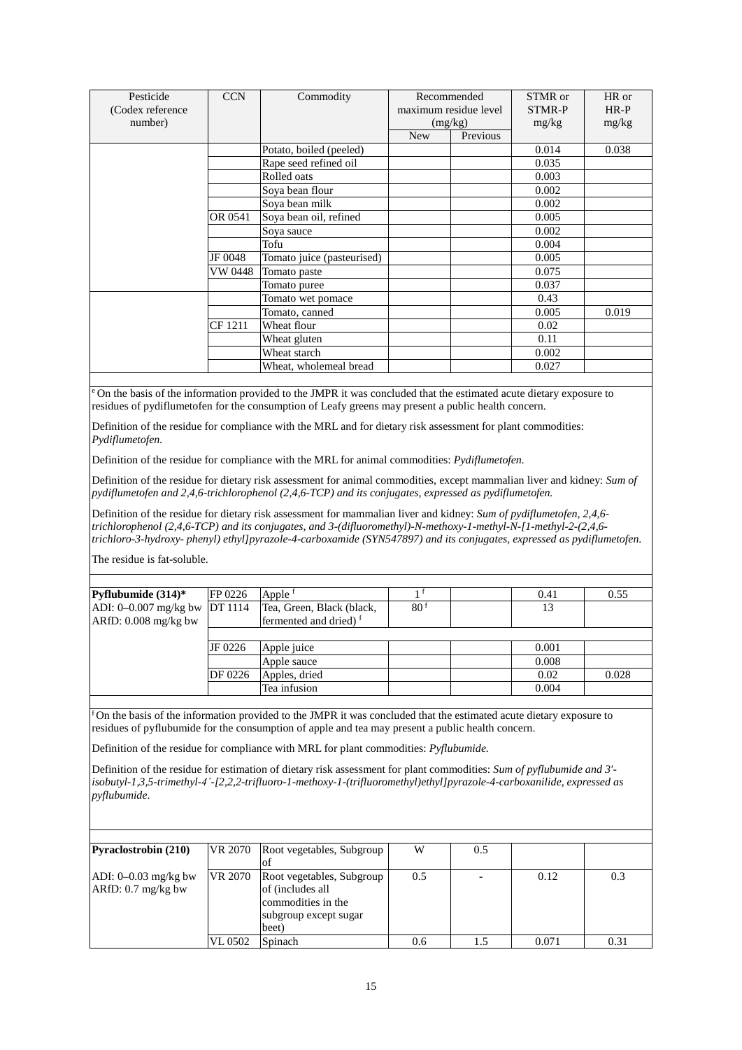| Pesticide         | <b>CCN</b> | Commodity                  |                       | Recommended | STMR or       | HR or  |
|-------------------|------------|----------------------------|-----------------------|-------------|---------------|--------|
| (Codex reference) |            |                            | maximum residue level |             | <b>STMR-P</b> | $HR-P$ |
| number)           |            |                            |                       | (mg/kg)     | mg/kg         | mg/kg  |
|                   |            |                            | <b>New</b>            | Previous    |               |        |
|                   |            | Potato, boiled (peeled)    |                       |             | 0.014         | 0.038  |
|                   |            | Rape seed refined oil      |                       |             | 0.035         |        |
|                   |            | Rolled oats                |                       |             | 0.003         |        |
|                   |            | Soya bean flour            |                       |             | 0.002         |        |
|                   |            | Soya bean milk             |                       |             | 0.002         |        |
|                   | OR 0541    | Soya bean oil, refined     |                       |             | 0.005         |        |
|                   |            | Soya sauce                 |                       |             | 0.002         |        |
|                   |            | Tofu                       |                       |             | 0.004         |        |
|                   | JF 0048    | Tomato juice (pasteurised) |                       |             | 0.005         |        |
|                   | VW 0448    | Tomato paste               |                       |             | 0.075         |        |
|                   |            | Tomato puree               |                       |             | 0.037         |        |
|                   |            | Tomato wet pomace          |                       |             | 0.43          |        |
|                   |            | Tomato, canned             |                       |             | 0.005         | 0.019  |
|                   | CF 1211    | Wheat flour                |                       |             | 0.02          |        |
|                   |            | Wheat gluten               |                       |             | 0.11          |        |
|                   |            | Wheat starch               |                       |             | 0.002         |        |
|                   |            | Wheat, wholemeal bread     |                       |             | 0.027         |        |

<sup>e</sup> On the basis of the information provided to the JMPR it was concluded that the estimated acute dietary exposure to residues of pydiflumetofen for the consumption of Leafy greens may present a public health concern.

Definition of the residue for compliance with the MRL and for dietary risk assessment for plant commodities: *Pydiflumetofen.*

Definition of the residue for compliance with the MRL for animal commodities: *Pydiflumetofen.* 

Definition of the residue for dietary risk assessment for animal commodities, except mammalian liver and kidney: *Sum of pydiflumetofen and 2,4,6-trichlorophenol (2,4,6-TCP) and its conjugates, expressed as pydiflumetofen.*

Definition of the residue for dietary risk assessment for mammalian liver and kidney: *Sum of pydiflumetofen, 2,4,6 trichlorophenol (2,4,6-TCP) and its conjugates, and 3-(difluoromethyl)-N-methoxy-1-methyl-N-[1-methyl-2-(2,4,6 trichloro-3-hydroxy- phenyl) ethyl]pyrazole-4-carboxamide (SYN547897) and its conjugates, expressed as pydiflumetofen*.

The residue is fat-soluble.

| Pyflubumide $(314)*$            | <b>FP 0226</b> | Apple $f$                         |                 | 0.41  | 0.55  |
|---------------------------------|----------------|-----------------------------------|-----------------|-------|-------|
| ADI: $0-0.007$ mg/kg bw DT 1114 |                | Tea, Green, Black (black,         | 80 <sup>f</sup> | 13    |       |
| $ARfD: 0.008$ mg/kg bw          |                | fermented and dried) <sup>f</sup> |                 |       |       |
|                                 |                |                                   |                 |       |       |
|                                 | JF 0226        | Apple juice                       |                 | 0.001 |       |
|                                 |                | Apple sauce                       |                 | 0.008 |       |
|                                 | DF 0226        | Apples, dried                     |                 | 0.02  | 0.028 |
|                                 |                | Tea infusion                      |                 | 0.004 |       |

f On the basis of the information provided to the JMPR it was concluded that the estimated acute dietary exposure to residues of pyflubumide for the consumption of apple and tea may present a public health concern.

Definition of the residue for compliance with MRL for plant commodities: *Pyflubumide.*

Definition of the residue for estimation of dietary risk assessment for plant commodities: *Sum of pyflubumide and 3' isobutyl-1,3,5-trimethyl-4ˊ-[2,2,2-trifluoro-1-methoxy-1-(trifluoromethyl)ethyl]pyrazole-4-carboxanilide, expressed as pyflubumide*.

| <b>Pyraclostrobin (210)</b>                    | VR 2070 | Root vegetables, Subgroup                                                                             | W   | 0.5 |       |      |
|------------------------------------------------|---------|-------------------------------------------------------------------------------------------------------|-----|-----|-------|------|
| ADI: $0-0.03$ mg/kg bw<br>$ARfD: 0.7 mg/kg$ bw | VR 2070 | Root vegetables, Subgroup<br>of (includes all<br>commodities in the<br>subgroup except sugar<br>beet) | 0.5 |     | 0.12  | 0.3  |
|                                                | VL 0502 | Spinach                                                                                               | 0.6 | 1.5 | 0.071 | 0.31 |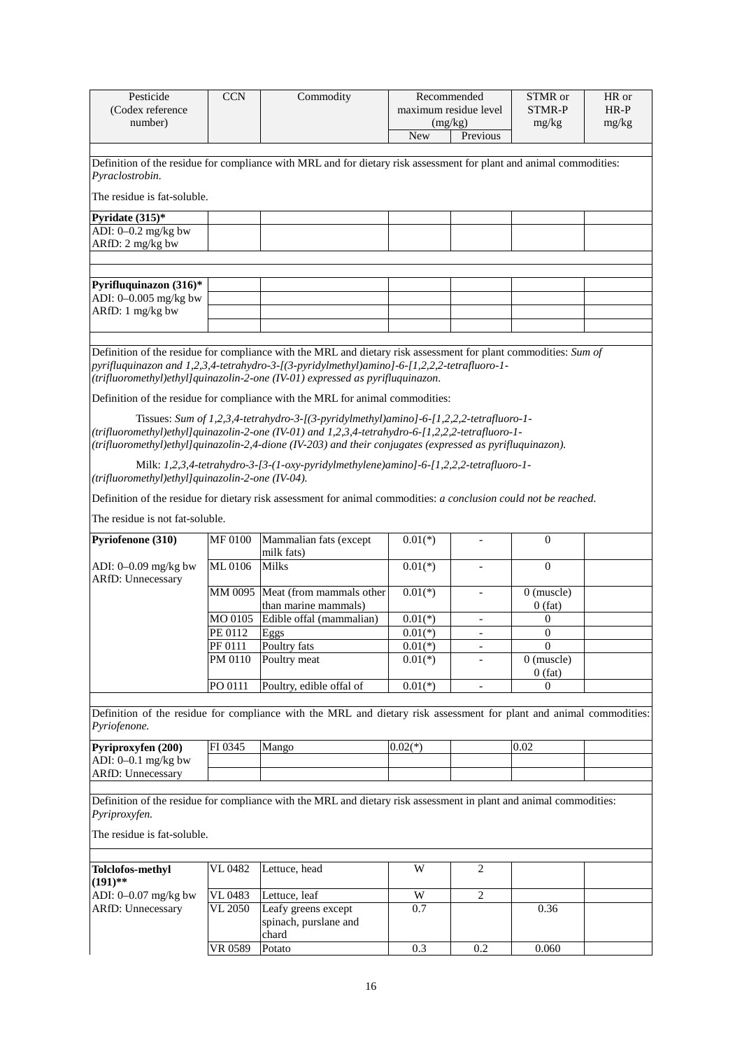| Pesticide                                        | <b>CCN</b>     | Commodity                                                                                                                                                                                                                                                                                                                                                                                                                                                                                                                                                                                                                                                                                     |                  | Recommended              | STMR or                   | HR or  |
|--------------------------------------------------|----------------|-----------------------------------------------------------------------------------------------------------------------------------------------------------------------------------------------------------------------------------------------------------------------------------------------------------------------------------------------------------------------------------------------------------------------------------------------------------------------------------------------------------------------------------------------------------------------------------------------------------------------------------------------------------------------------------------------|------------------|--------------------------|---------------------------|--------|
| (Codex reference                                 |                |                                                                                                                                                                                                                                                                                                                                                                                                                                                                                                                                                                                                                                                                                               |                  | maximum residue level    | STMR-P                    | $HR-P$ |
| number)                                          |                |                                                                                                                                                                                                                                                                                                                                                                                                                                                                                                                                                                                                                                                                                               | (mg/kg)<br>mg/kg |                          | mg/kg                     |        |
|                                                  |                |                                                                                                                                                                                                                                                                                                                                                                                                                                                                                                                                                                                                                                                                                               | <b>New</b>       | Previous                 |                           |        |
|                                                  |                |                                                                                                                                                                                                                                                                                                                                                                                                                                                                                                                                                                                                                                                                                               |                  |                          |                           |        |
| Pyraclostrobin.<br>The residue is fat-soluble.   |                | Definition of the residue for compliance with MRL and for dietary risk assessment for plant and animal commodities:                                                                                                                                                                                                                                                                                                                                                                                                                                                                                                                                                                           |                  |                          |                           |        |
|                                                  |                |                                                                                                                                                                                                                                                                                                                                                                                                                                                                                                                                                                                                                                                                                               |                  |                          |                           |        |
| Pyridate (315)*<br>ADI: $0-0.2$ mg/kg bw         |                |                                                                                                                                                                                                                                                                                                                                                                                                                                                                                                                                                                                                                                                                                               |                  |                          |                           |        |
| ARfD: 2 mg/kg bw                                 |                |                                                                                                                                                                                                                                                                                                                                                                                                                                                                                                                                                                                                                                                                                               |                  |                          |                           |        |
|                                                  |                |                                                                                                                                                                                                                                                                                                                                                                                                                                                                                                                                                                                                                                                                                               |                  |                          |                           |        |
|                                                  |                |                                                                                                                                                                                                                                                                                                                                                                                                                                                                                                                                                                                                                                                                                               |                  |                          |                           |        |
| Pyrifluquinazon (316)*                           |                |                                                                                                                                                                                                                                                                                                                                                                                                                                                                                                                                                                                                                                                                                               |                  |                          |                           |        |
| ADI: 0-0.005 mg/kg bw                            |                |                                                                                                                                                                                                                                                                                                                                                                                                                                                                                                                                                                                                                                                                                               |                  |                          |                           |        |
| ARfD: 1 mg/kg bw                                 |                |                                                                                                                                                                                                                                                                                                                                                                                                                                                                                                                                                                                                                                                                                               |                  |                          |                           |        |
|                                                  |                |                                                                                                                                                                                                                                                                                                                                                                                                                                                                                                                                                                                                                                                                                               |                  |                          |                           |        |
|                                                  |                |                                                                                                                                                                                                                                                                                                                                                                                                                                                                                                                                                                                                                                                                                               |                  |                          |                           |        |
|                                                  |                | Definition of the residue for compliance with the MRL and dietary risk assessment for plant commodities: Sum of<br>pyrifluquinazon and 1,2,3,4-tetrahydro-3-[(3-pyridylmethyl)amino]-6-[1,2,2,2-tetrafluoro-1-<br>$(trifluoromethyl)ethylquinazolin-2-one (IV-01) expressed as pyrifluquinazon.$<br>Definition of the residue for compliance with the MRL for animal commodities:<br>Tissues: Sum of 1,2,3,4-tetrahydro-3-[(3-pyridylmethyl)amino]-6-[1,2,2,2-tetrafluoro-1-<br>(trifluoromethyl)ethyl]quinazolin-2-one (IV-01) and 1,2,3,4-tetrahydro-6-[1,2,2,2-tetrafluoro-1-<br>(trifluoromethyl)ethyl]quinazolin-2,4-dione (IV-203) and their conjugates (expressed as pyrifluquinazon). |                  |                          |                           |        |
| (trifluoromethyl)ethyl]quinazolin-2-one (IV-04). |                | Milk: 1,2,3,4-tetrahydro-3-[3-(1-oxy-pyridylmethylene)amino]-6-[1,2,2,2-tetrafluoro-1-                                                                                                                                                                                                                                                                                                                                                                                                                                                                                                                                                                                                        |                  |                          |                           |        |
|                                                  |                | Definition of the residue for dietary risk assessment for animal commodities: a conclusion could not be reached.                                                                                                                                                                                                                                                                                                                                                                                                                                                                                                                                                                              |                  |                          |                           |        |
| The residue is not fat-soluble.                  |                |                                                                                                                                                                                                                                                                                                                                                                                                                                                                                                                                                                                                                                                                                               |                  |                          |                           |        |
|                                                  |                |                                                                                                                                                                                                                                                                                                                                                                                                                                                                                                                                                                                                                                                                                               |                  |                          |                           |        |
| Pyriofenone (310)                                | <b>MF 0100</b> | Mammalian fats (except<br>milk fats)                                                                                                                                                                                                                                                                                                                                                                                                                                                                                                                                                                                                                                                          | $0.01(*)$        | $\overline{\phantom{a}}$ | $\theta$                  |        |
| ADI: 0-0.09 mg/kg bw<br><b>ARfD: Unnecessary</b> | ML 0106        | <b>Milks</b>                                                                                                                                                                                                                                                                                                                                                                                                                                                                                                                                                                                                                                                                                  | $0.01(*)$        |                          | $\mathbf{0}$              |        |
|                                                  | MM 0095        | Meat (from mammals other<br>than marine mammals)                                                                                                                                                                                                                                                                                                                                                                                                                                                                                                                                                                                                                                              | $0.01(*)$        | $\blacksquare$           | $0$ (muscle)<br>$0$ (fat) |        |
|                                                  | MO 0105        | Edible offal (mammalian)                                                                                                                                                                                                                                                                                                                                                                                                                                                                                                                                                                                                                                                                      | $0.01(*)$        |                          | $\mathbf{0}$              |        |
|                                                  | PE 0112        | Eggs                                                                                                                                                                                                                                                                                                                                                                                                                                                                                                                                                                                                                                                                                          | $0.01(*)$        | $\overline{\phantom{0}}$ | $\boldsymbol{0}$          |        |
|                                                  | PF 0111        | Poultry fats                                                                                                                                                                                                                                                                                                                                                                                                                                                                                                                                                                                                                                                                                  | $0.01(*)$        |                          | $\boldsymbol{0}$          |        |
|                                                  | PM 0110        | Poultry meat                                                                                                                                                                                                                                                                                                                                                                                                                                                                                                                                                                                                                                                                                  | $0.01(*)$        |                          | $0$ (muscle)<br>0(fat)    |        |
|                                                  | PO 0111        | Poultry, edible offal of                                                                                                                                                                                                                                                                                                                                                                                                                                                                                                                                                                                                                                                                      | $0.01(*)$        |                          | $\Omega$                  |        |
|                                                  |                |                                                                                                                                                                                                                                                                                                                                                                                                                                                                                                                                                                                                                                                                                               |                  |                          |                           |        |
| Pyriofenone.                                     |                | Definition of the residue for compliance with the MRL and dietary risk assessment for plant and animal commodities:                                                                                                                                                                                                                                                                                                                                                                                                                                                                                                                                                                           |                  |                          |                           |        |
| Pyriproxyfen (200)                               | FI 0345        | Mango                                                                                                                                                                                                                                                                                                                                                                                                                                                                                                                                                                                                                                                                                         | $0.02(*)$        |                          | 0.02                      |        |
| ADI: $0-0.1$ mg/kg bw                            |                |                                                                                                                                                                                                                                                                                                                                                                                                                                                                                                                                                                                                                                                                                               |                  |                          |                           |        |
| ARfD: Unnecessary                                |                |                                                                                                                                                                                                                                                                                                                                                                                                                                                                                                                                                                                                                                                                                               |                  |                          |                           |        |
| Pyriproxyfen.<br>The residue is fat-soluble.     |                | Definition of the residue for compliance with the MRL and dietary risk assessment in plant and animal commodities:                                                                                                                                                                                                                                                                                                                                                                                                                                                                                                                                                                            |                  |                          |                           |        |
|                                                  |                |                                                                                                                                                                                                                                                                                                                                                                                                                                                                                                                                                                                                                                                                                               |                  |                          |                           |        |
| <b>Tolclofos-methyl</b><br>$(191)$ **            | VL 0482        | Lettuce, head                                                                                                                                                                                                                                                                                                                                                                                                                                                                                                                                                                                                                                                                                 | W                | $\overline{c}$           |                           |        |
| ADI: 0-0.07 mg/kg bw                             | VL 0483        | Lettuce, leaf                                                                                                                                                                                                                                                                                                                                                                                                                                                                                                                                                                                                                                                                                 | $\overline{W}$   | $\overline{2}$           |                           |        |
| ARfD: Unnecessary                                | VL 2050        | Leafy greens except<br>spinach, purslane and<br>chard                                                                                                                                                                                                                                                                                                                                                                                                                                                                                                                                                                                                                                         | 0.7              |                          | 0.36                      |        |
|                                                  | VR 0589        | Potato                                                                                                                                                                                                                                                                                                                                                                                                                                                                                                                                                                                                                                                                                        | 0.3              | 0.2                      | 0.060                     |        |
|                                                  |                |                                                                                                                                                                                                                                                                                                                                                                                                                                                                                                                                                                                                                                                                                               |                  |                          |                           |        |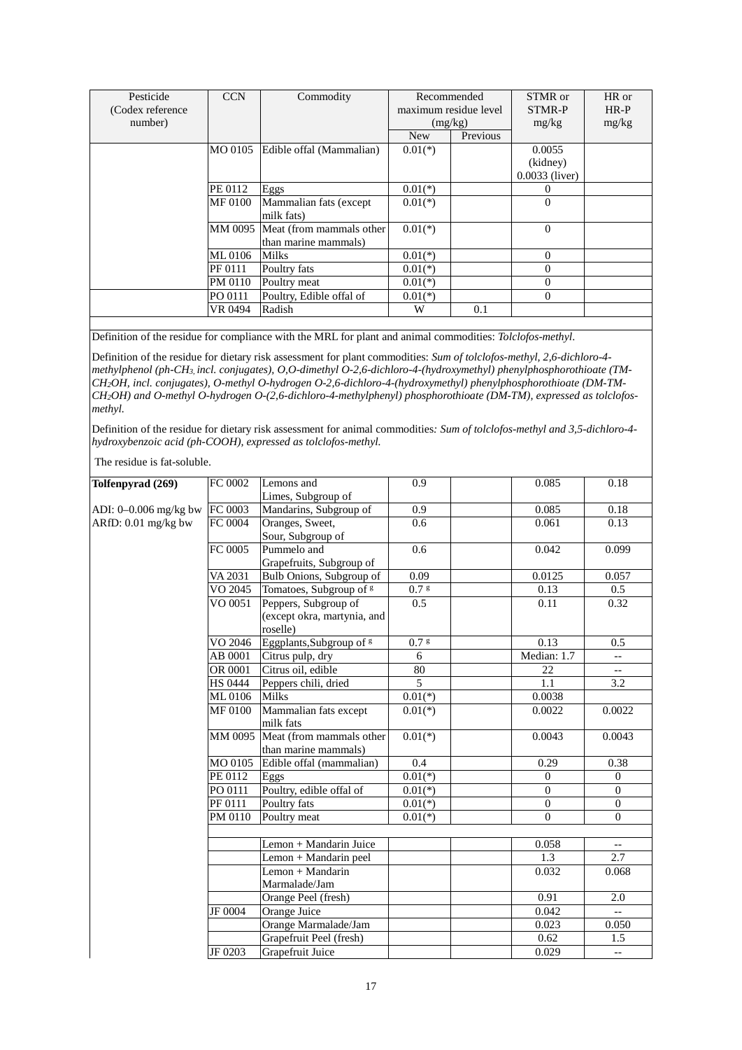| Pesticide         | <b>CCN</b> | Commodity                | Recommended           |          | STMR or          | HR or  |
|-------------------|------------|--------------------------|-----------------------|----------|------------------|--------|
| (Codex reference) |            |                          | maximum residue level |          | STMR-P           | $HR-P$ |
| number)           |            |                          | (mg/kg)               |          | mg/kg            | mg/kg  |
|                   |            |                          | <b>New</b>            | Previous |                  |        |
|                   | MO 0105    | Edible offal (Mammalian) | $0.01(*)$             |          | 0.0055           |        |
|                   |            |                          |                       |          | (kidney)         |        |
|                   |            |                          |                       |          | $0.0033$ (liver) |        |
|                   | PE 0112    | Eggs                     | $0.01(*)$             |          |                  |        |
|                   | MF 0100    | Mammalian fats (except   | $0.01(*)$             |          | $\Omega$         |        |
|                   |            | milk fats)               |                       |          |                  |        |
|                   | MM 0095    | Meat (from mammals other | $0.01(*)$             |          | $\Omega$         |        |
|                   |            | than marine mammals)     |                       |          |                  |        |
|                   | ML 0106    | <b>Milks</b>             | $0.01(*)$             |          | $\Omega$         |        |
|                   | PF 0111    | Poultry fats             | $0.01(*)$             |          | 0                |        |
|                   | PM 0110    | Poultry meat             | $0.01(*)$             |          | $\Omega$         |        |
|                   | PO 0111    | Poultry, Edible offal of | $0.01(*)$             |          | $\theta$         |        |
|                   | VR 0494    | Radish                   | W                     | 0.1      |                  |        |

Definition of the residue for compliance with the MRL for plant and animal commodities: *Tolclofos-methyl*.

Definition of the residue for dietary risk assessment for plant commodities: *Sum of tolclofos-methyl, 2,6-dichloro-4 methylphenol (ph-CH3, incl. conjugates), O,O-dimethyl O-2,6-dichloro-4-(hydroxymethyl) phenylphosphorothioate (TM-CH2OH, incl. conjugates), O-methyl O-hydrogen O-2,6-dichloro-4-(hydroxymethyl) phenylphosphorothioate (DM-TM-CH2OH) and O-methyl O-hydrogen O-(2,6-dichloro-4-methylphenyl) phosphorothioate (DM-TM), expressed as tolclofosmethyl.*

Definition of the residue for dietary risk assessment for animal commodities*: Sum of tolclofos-methyl and 3,5-dichloro-4 hydroxybenzoic acid (ph-COOH), expressed as tolclofos-methyl.*

| Tolfenpyrad (269)     | FC 0002        | Lemons and                          | 0.9       | 0.085          | 0.18                     |
|-----------------------|----------------|-------------------------------------|-----------|----------------|--------------------------|
|                       |                | Limes, Subgroup of                  |           |                |                          |
| ADI: 0-0.006 mg/kg bw | FC 0003        | Mandarins, Subgroup of              | 0.9       | 0.085          | 0.18                     |
| ARfD: 0.01 mg/kg bw   | FC 0004        | Oranges, Sweet,                     | 0.6       | 0.061          | 0.13                     |
|                       |                | Sour, Subgroup of                   |           |                |                          |
|                       | FC 0005        | Pummelo and                         | 0.6       | 0.042          | 0.099                    |
|                       |                | Grapefruits, Subgroup of            |           |                |                          |
|                       | VA 2031        | Bulb Onions, Subgroup of            | 0.09      | 0.0125         | 0.057                    |
|                       | VO 2045        | Tomatoes, Subgroup of <sup>g</sup>  | $0.7$ g   | 0.13           | 0.5                      |
|                       | VO 0051        | Peppers, Subgroup of                | 0.5       | 0.11           | 0.32                     |
|                       |                | (except okra, martynia, and         |           |                |                          |
|                       |                | roselle)                            |           |                |                          |
|                       | VO 2046        | Eggplants, Subgroup of <sup>g</sup> | $0.7$ s   | 0.13           | 0.5                      |
|                       | AB 0001        | Citrus pulp, dry                    | 6         | Median: 1.7    | $\overline{\phantom{a}}$ |
|                       | OR 0001        | Citrus oil, edible                  | 80        | 22             | $\overline{\phantom{a}}$ |
|                       | <b>HS 0444</b> | Peppers chili, dried                | 5         | 1.1            | 3.2                      |
|                       | ML 0106        | <b>Milks</b>                        | $0.01(*)$ | 0.0038         |                          |
|                       | MF 0100        | Mammalian fats except               | $0.01(*)$ | 0.0022         | 0.0022                   |
|                       |                | milk fats                           |           |                |                          |
|                       | MM 0095        | Meat (from mammals other            | $0.01(*)$ | 0.0043         | 0.0043                   |
|                       |                | than marine mammals)                |           |                |                          |
|                       | MO 0105        | Edible offal (mammalian)            | 0.4       | 0.29           | 0.38                     |
|                       | PE 0112        | Eggs                                | $0.01(*)$ | $\mathbf{0}$   | $\boldsymbol{0}$         |
|                       | PO 0111        | Poultry, edible offal of            | $0.01(*)$ | $\overline{0}$ | $\mathbf{0}$             |
|                       | PF 0111        | Poultry fats                        | $0.01(*)$ | $\overline{0}$ | $\overline{0}$           |
|                       | PM 0110        | Poultry meat                        | $0.01(*)$ | $\Omega$       | $\Omega$                 |
|                       |                |                                     |           |                |                          |
|                       |                | Lemon + Mandarin Juice              |           | 0.058          | $\overline{a}$           |
|                       |                | Lemon + Mandarin peel               |           | 1.3            | 2.7                      |
|                       |                | Lemon + Mandarin                    |           | 0.032          | 0.068                    |
|                       |                | Marmalade/Jam                       |           |                |                          |
|                       |                | Orange Peel (fresh)                 |           | 0.91           | 2.0                      |
|                       | JF 0004        | Orange Juice                        |           | 0.042          | $\overline{\phantom{a}}$ |
|                       |                | Orange Marmalade/Jam                |           | 0.023          | 0.050                    |
|                       |                | Grapefruit Peel (fresh)             |           | 0.62           | 1.5                      |
|                       | JF 0203        | Grapefruit Juice                    |           | 0.029          | $-\, -$                  |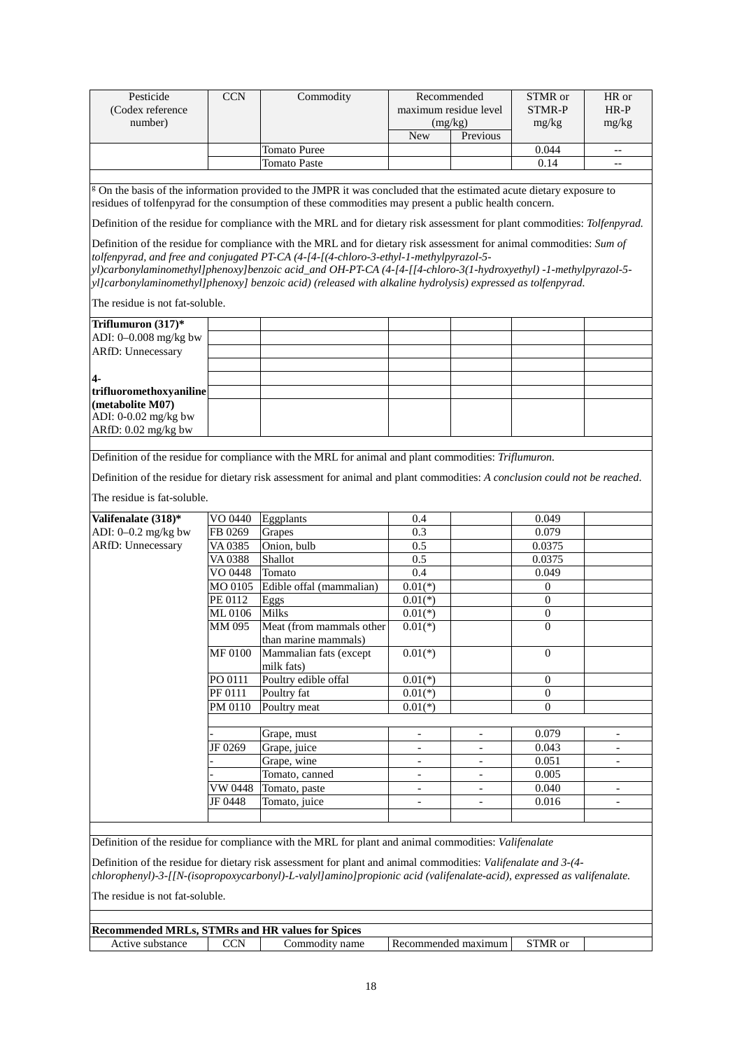| Pesticide                                               | <b>CCN</b>     | Commodity                                                                                                                                                                                                                                                                                                                                                                                                                                        | Recommended              |                          | STMR or          | HR or                    |
|---------------------------------------------------------|----------------|--------------------------------------------------------------------------------------------------------------------------------------------------------------------------------------------------------------------------------------------------------------------------------------------------------------------------------------------------------------------------------------------------------------------------------------------------|--------------------------|--------------------------|------------------|--------------------------|
| (Codex reference                                        |                |                                                                                                                                                                                                                                                                                                                                                                                                                                                  | maximum residue level    |                          | <b>STMR-P</b>    | $HR-P$                   |
| number)                                                 |                |                                                                                                                                                                                                                                                                                                                                                                                                                                                  | (mg/kg)                  |                          | mg/kg            | mg/kg                    |
|                                                         |                |                                                                                                                                                                                                                                                                                                                                                                                                                                                  | <b>New</b>               | Previous                 |                  |                          |
|                                                         |                | <b>Tomato Puree</b>                                                                                                                                                                                                                                                                                                                                                                                                                              |                          |                          | 0.044            | $\overline{\phantom{a}}$ |
|                                                         |                | <b>Tomato Paste</b>                                                                                                                                                                                                                                                                                                                                                                                                                              |                          |                          | 0.14             | $-\, -$                  |
|                                                         |                |                                                                                                                                                                                                                                                                                                                                                                                                                                                  |                          |                          |                  |                          |
|                                                         |                | <sup>g</sup> On the basis of the information provided to the JMPR it was concluded that the estimated acute dietary exposure to<br>residues of tolfenpyrad for the consumption of these commodities may present a public health concern.                                                                                                                                                                                                         |                          |                          |                  |                          |
|                                                         |                | Definition of the residue for compliance with the MRL and for dietary risk assessment for plant commodities: Tolfenpyrad.                                                                                                                                                                                                                                                                                                                        |                          |                          |                  |                          |
|                                                         |                | Definition of the residue for compliance with the MRL and for dietary risk assessment for animal commodities: Sum of<br>tolfenpyrad, and free and conjugated PT-CA (4-[4-[(4-chloro-3-ethyl-1-methylpyrazol-5-<br>yl)carbonylaminomethyl]phenoxy]benzoic acid_and OH-PT-CA (4-[4-[[4-chloro-3(1-hydroxyethyl) -1-methylpyrazol-5-<br>yl]carbonylaminomethyl]phenoxy] benzoic acid) (released with alkaline hydrolysis) expressed as tolfenpyrad. |                          |                          |                  |                          |
| The residue is not fat-soluble.                         |                |                                                                                                                                                                                                                                                                                                                                                                                                                                                  |                          |                          |                  |                          |
| Triflumuron $(317)*$                                    |                |                                                                                                                                                                                                                                                                                                                                                                                                                                                  |                          |                          |                  |                          |
| ADI: 0-0.008 mg/kg bw                                   |                |                                                                                                                                                                                                                                                                                                                                                                                                                                                  |                          |                          |                  |                          |
| <b>ARfD: Unnecessary</b>                                |                |                                                                                                                                                                                                                                                                                                                                                                                                                                                  |                          |                          |                  |                          |
|                                                         |                |                                                                                                                                                                                                                                                                                                                                                                                                                                                  |                          |                          |                  |                          |
| 4.                                                      |                |                                                                                                                                                                                                                                                                                                                                                                                                                                                  |                          |                          |                  |                          |
| trifluoromethoxyaniline                                 |                |                                                                                                                                                                                                                                                                                                                                                                                                                                                  |                          |                          |                  |                          |
| (metabolite M07)                                        |                |                                                                                                                                                                                                                                                                                                                                                                                                                                                  |                          |                          |                  |                          |
| ADI: 0-0.02 mg/kg bw                                    |                |                                                                                                                                                                                                                                                                                                                                                                                                                                                  |                          |                          |                  |                          |
| ARfD: 0.02 mg/kg bw                                     |                |                                                                                                                                                                                                                                                                                                                                                                                                                                                  |                          |                          |                  |                          |
|                                                         |                |                                                                                                                                                                                                                                                                                                                                                                                                                                                  |                          |                          |                  |                          |
|                                                         |                | Definition of the residue for compliance with the MRL for animal and plant commodities: Triflumuron.                                                                                                                                                                                                                                                                                                                                             |                          |                          |                  |                          |
|                                                         |                | Definition of the residue for dietary risk assessment for animal and plant commodities: A conclusion could not be reached.                                                                                                                                                                                                                                                                                                                       |                          |                          |                  |                          |
|                                                         |                |                                                                                                                                                                                                                                                                                                                                                                                                                                                  |                          |                          |                  |                          |
| The residue is fat-soluble.                             |                |                                                                                                                                                                                                                                                                                                                                                                                                                                                  |                          |                          |                  |                          |
| Valifenalate (318)*                                     | VO 0440        | Eggplants                                                                                                                                                                                                                                                                                                                                                                                                                                        | 0.4                      |                          | 0.049            |                          |
| ADI: $0-0.2$ mg/kg bw                                   | FB 0269        | Grapes                                                                                                                                                                                                                                                                                                                                                                                                                                           | 0.3                      |                          | 0.079            |                          |
| ARfD: Unnecessary                                       | VA 0385        | Onion, bulb                                                                                                                                                                                                                                                                                                                                                                                                                                      | 0.5                      |                          | 0.0375           |                          |
|                                                         | VA 0388        | Shallot                                                                                                                                                                                                                                                                                                                                                                                                                                          | 0.5                      |                          | 0.0375           |                          |
|                                                         | VO 0448        | Tomato                                                                                                                                                                                                                                                                                                                                                                                                                                           | 0.4                      |                          | 0.049            |                          |
|                                                         | MO 0105        | Edible offal (mammalian)                                                                                                                                                                                                                                                                                                                                                                                                                         | $0.01(*)$                |                          | $\mathbf{0}$     |                          |
|                                                         | PE 0112        | Eggs                                                                                                                                                                                                                                                                                                                                                                                                                                             | $0.01(*)$                |                          | $\overline{0}$   |                          |
|                                                         | ML0106         | <b>Milks</b>                                                                                                                                                                                                                                                                                                                                                                                                                                     | $0.01(*)$                |                          | $\boldsymbol{0}$ |                          |
|                                                         | MM 095         | Meat (from mammals other                                                                                                                                                                                                                                                                                                                                                                                                                         | $0.01(*)$                |                          | $\mathbf{0}$     |                          |
|                                                         |                | than marine mammals)                                                                                                                                                                                                                                                                                                                                                                                                                             |                          |                          |                  |                          |
|                                                         | <b>MF 0100</b> | Mammalian fats (except<br>milk fats)                                                                                                                                                                                                                                                                                                                                                                                                             | $0.01(*)$                |                          | $\mathbf{0}$     |                          |
|                                                         | PO 0111        | Poultry edible offal                                                                                                                                                                                                                                                                                                                                                                                                                             | $0.01(*)$                |                          | 0                |                          |
|                                                         | PF 0111        | Poultry fat                                                                                                                                                                                                                                                                                                                                                                                                                                      | $0.01(*)$                |                          | $\overline{0}$   |                          |
|                                                         | PM 0110        | Poultry meat                                                                                                                                                                                                                                                                                                                                                                                                                                     | $0.01(*)$                |                          | $\overline{0}$   |                          |
|                                                         |                |                                                                                                                                                                                                                                                                                                                                                                                                                                                  |                          |                          |                  |                          |
|                                                         |                | Grape, must                                                                                                                                                                                                                                                                                                                                                                                                                                      | $\overline{\phantom{a}}$ | $\overline{\phantom{a}}$ | 0.079            | $\overline{\phantom{a}}$ |
|                                                         | JF 0269        | Grape, juice                                                                                                                                                                                                                                                                                                                                                                                                                                     | $\overline{\phantom{a}}$ | $\overline{\phantom{a}}$ | 0.043            | $\overline{\phantom{a}}$ |
|                                                         |                | Grape, wine                                                                                                                                                                                                                                                                                                                                                                                                                                      | $\overline{\phantom{a}}$ |                          | 0.051            | $\overline{\phantom{a}}$ |
|                                                         |                | Tomato, canned                                                                                                                                                                                                                                                                                                                                                                                                                                   | $\overline{\phantom{a}}$ | $\overline{\phantom{a}}$ | 0.005            |                          |
|                                                         | VW 0448        | Tomato, paste                                                                                                                                                                                                                                                                                                                                                                                                                                    |                          |                          | 0.040            |                          |
|                                                         | JF 0448        | Tomato, juice                                                                                                                                                                                                                                                                                                                                                                                                                                    | $\overline{\phantom{a}}$ | $\overline{\phantom{a}}$ | 0.016            |                          |
|                                                         |                |                                                                                                                                                                                                                                                                                                                                                                                                                                                  |                          |                          |                  |                          |
|                                                         |                |                                                                                                                                                                                                                                                                                                                                                                                                                                                  |                          |                          |                  |                          |
|                                                         |                | Definition of the residue for compliance with the MRL for plant and animal commodities: Valifenalate                                                                                                                                                                                                                                                                                                                                             |                          |                          |                  |                          |
|                                                         |                |                                                                                                                                                                                                                                                                                                                                                                                                                                                  |                          |                          |                  |                          |
|                                                         |                | Definition of the residue for dietary risk assessment for plant and animal commodities: Valifenalate and 3-(4-                                                                                                                                                                                                                                                                                                                                   |                          |                          |                  |                          |
|                                                         |                | chlorophenyl)-3-[[N-(isopropoxycarbonyl)-L-valyl]amino]propionic acid (valifenalate-acid), expressed as valifenalate.                                                                                                                                                                                                                                                                                                                            |                          |                          |                  |                          |
| The residue is not fat-soluble.                         |                |                                                                                                                                                                                                                                                                                                                                                                                                                                                  |                          |                          |                  |                          |
|                                                         |                |                                                                                                                                                                                                                                                                                                                                                                                                                                                  |                          |                          |                  |                          |
|                                                         |                |                                                                                                                                                                                                                                                                                                                                                                                                                                                  |                          |                          |                  |                          |
| <b>Recommended MRLs, STMRs and HR values for Spices</b> |                |                                                                                                                                                                                                                                                                                                                                                                                                                                                  |                          |                          |                  |                          |
| Active substance                                        | <b>CCN</b>     | Commodity name                                                                                                                                                                                                                                                                                                                                                                                                                                   | Recommended maximum      |                          | STMR or          |                          |
|                                                         |                |                                                                                                                                                                                                                                                                                                                                                                                                                                                  |                          |                          |                  |                          |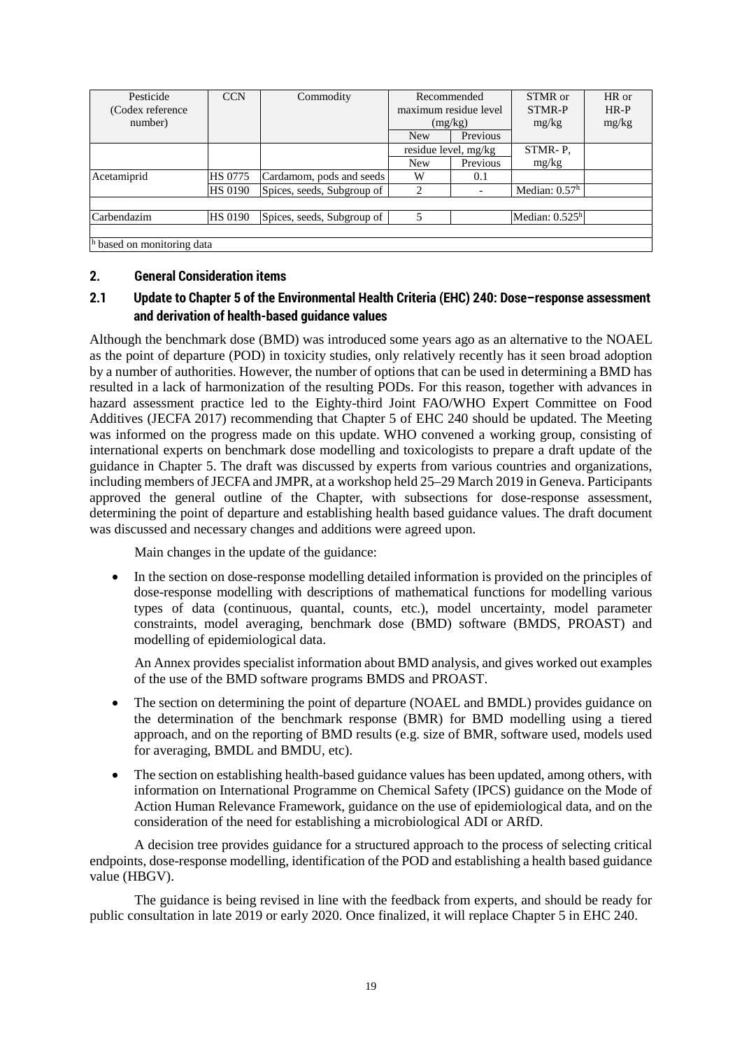| Pesticide                  | <b>CCN</b>     | Commodity                  | Recommended    |                          | STMR or          | HR or  |
|----------------------------|----------------|----------------------------|----------------|--------------------------|------------------|--------|
| (Codex reference)          |                |                            |                | maximum residue level    | STMR-P           | $HR-P$ |
| number)                    |                |                            |                | (mg/kg)                  | mg/kg            | mg/kg  |
|                            |                |                            | <b>New</b>     | Previous                 |                  |        |
|                            |                |                            |                | residue level, mg/kg     |                  |        |
|                            |                |                            | <b>New</b>     | Previous                 | mg/kg            |        |
| Acetamiprid                | <b>HS 0775</b> | Cardamom, pods and seeds   | W              | 0.1                      |                  |        |
|                            | <b>HS 0190</b> | Spices, seeds, Subgroup of | $\mathfrak{D}$ | $\overline{\phantom{a}}$ | Median: $0.57h$  |        |
|                            |                |                            |                |                          |                  |        |
| Carbendazim                | <b>HS 0190</b> | Spices, seeds, Subgroup of |                |                          | Median: $0.525h$ |        |
|                            |                |                            |                |                          |                  |        |
| h based on monitoring data |                |                            |                |                          |                  |        |

### **2. General Consideration items**

# **2.1 Update to Chapter 5 of the Environmental Health Criteria (EHC) 240: Dose–response assessment and derivation of health-based guidance values**

Although the benchmark dose (BMD) was introduced some years ago as an alternative to the NOAEL as the point of departure (POD) in toxicity studies, only relatively recently has it seen broad adoption by a number of authorities. However, the number of options that can be used in determining a BMD has resulted in a lack of harmonization of the resulting PODs. For this reason, together with advances in hazard assessment practice led to the Eighty-third Joint FAO/WHO Expert Committee on Food Additives (JECFA 2017) recommending that Chapter 5 of EHC 240 should be updated. The Meeting was informed on the progress made on this update. WHO convened a working group, consisting of international experts on benchmark dose modelling and toxicologists to prepare a draft update of the guidance in Chapter 5. The draft was discussed by experts from various countries and organizations, including members of JECFA and JMPR, at a workshop held 25–29 March 2019 in Geneva. Participants approved the general outline of the Chapter, with subsections for dose-response assessment, determining the point of departure and establishing health based guidance values. The draft document was discussed and necessary changes and additions were agreed upon.

Main changes in the update of the guidance:

• In the section on dose-response modelling detailed information is provided on the principles of dose-response modelling with descriptions of mathematical functions for modelling various types of data (continuous, quantal, counts, etc.), model uncertainty, model parameter constraints, model averaging, benchmark dose (BMD) software (BMDS, PROAST) and modelling of epidemiological data.

An Annex provides specialist information about BMD analysis, and gives worked out examples of the use of the BMD software programs BMDS and PROAST.

- The section on determining the point of departure (NOAEL and BMDL) provides guidance on the determination of the benchmark response (BMR) for BMD modelling using a tiered approach, and on the reporting of BMD results (e.g. size of BMR, software used, models used for averaging, BMDL and BMDU, etc).
- The section on establishing health-based guidance values has been updated, among others, with information on International Programme on Chemical Safety (IPCS) guidance on the Mode of Action Human Relevance Framework, guidance on the use of epidemiological data, and on the consideration of the need for establishing a microbiological ADI or ARfD.

A decision tree provides guidance for a structured approach to the process of selecting critical endpoints, dose-response modelling, identification of the POD and establishing a health based guidance value (HBGV).

The guidance is being revised in line with the feedback from experts, and should be ready for public consultation in late 2019 or early 2020. Once finalized, it will replace Chapter 5 in EHC 240.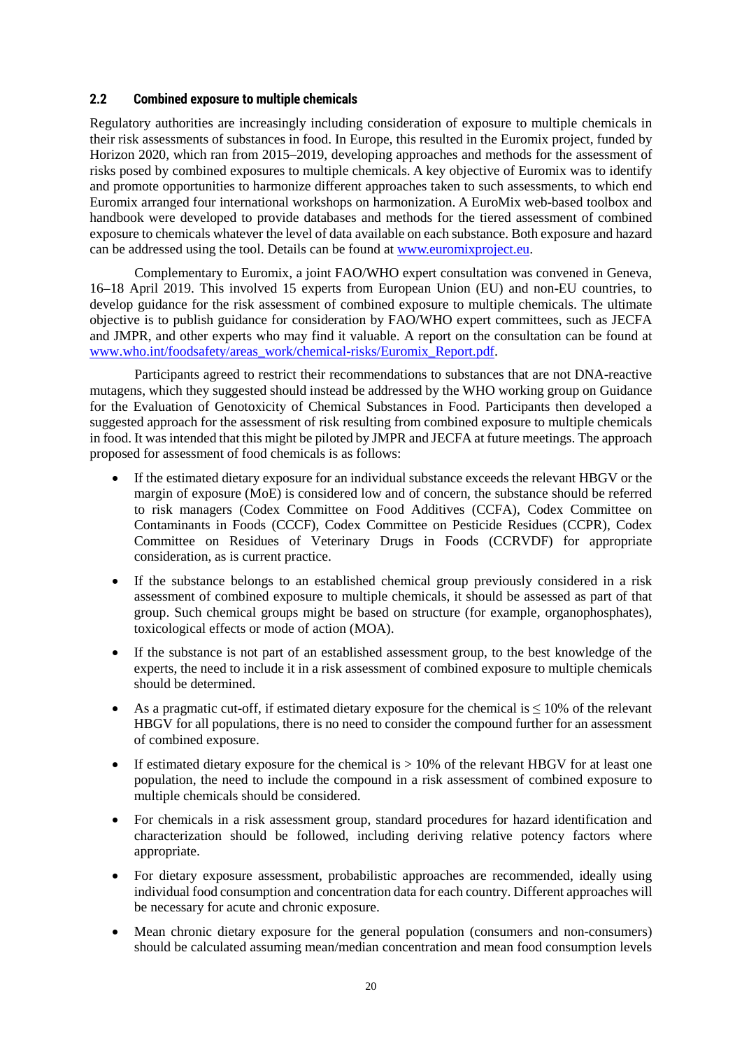### **2.2 Combined exposure to multiple chemicals**

Regulatory authorities are increasingly including consideration of exposure to multiple chemicals in their risk assessments of substances in food. In Europe, this resulted in the Euromix project, funded by Horizon 2020, which ran from 2015–2019, developing approaches and methods for the assessment of risks posed by combined exposures to multiple chemicals. A key objective of Euromix was to identify and promote opportunities to harmonize different approaches taken to such assessments, to which end Euromix arranged four international workshops on harmonization. A EuroMix web-based toolbox and handbook were developed to provide databases and methods for the tiered assessment of combined exposure to chemicals whatever the level of data available on each substance. Both exposure and hazard can be addressed using the tool. Details can be found at [www.euromixproject.eu.](http://www.euromixproject.eu/)

Complementary to Euromix, a joint FAO/WHO expert consultation was convened in Geneva, 16–18 April 2019. This involved 15 experts from European Union (EU) and non-EU countries, to develop guidance for the risk assessment of combined exposure to multiple chemicals. The ultimate objective is to publish guidance for consideration by FAO/WHO expert committees, such as JECFA and JMPR, and other experts who may find it valuable. A report on the consultation can be found at [www.who.int/foodsafety/areas\\_work/chemical-risks/Euromix\\_Report.pdf.](http://www.who.int/foodsafety/areas_work/chemical-risks/Euromix_Report.pdf)

Participants agreed to restrict their recommendations to substances that are not DNA-reactive mutagens, which they suggested should instead be addressed by the WHO working group on Guidance for the Evaluation of Genotoxicity of Chemical Substances in Food. Participants then developed a suggested approach for the assessment of risk resulting from combined exposure to multiple chemicals in food. It was intended that this might be piloted by JMPR and JECFA at future meetings. The approach proposed for assessment of food chemicals is as follows:

- If the estimated dietary exposure for an individual substance exceeds the relevant HBGV or the margin of exposure (MoE) is considered low and of concern, the substance should be referred to risk managers (Codex Committee on Food Additives (CCFA), Codex Committee on Contaminants in Foods (CCCF), Codex Committee on Pesticide Residues (CCPR), Codex Committee on Residues of Veterinary Drugs in Foods (CCRVDF) for appropriate consideration, as is current practice.
- If the substance belongs to an established chemical group previously considered in a risk assessment of combined exposure to multiple chemicals, it should be assessed as part of that group. Such chemical groups might be based on structure (for example, organophosphates), toxicological effects or mode of action (MOA).
- If the substance is not part of an established assessment group, to the best knowledge of the experts, the need to include it in a risk assessment of combined exposure to multiple chemicals should be determined.
- As a pragmatic cut-off, if estimated dietary exposure for the chemical is  $\leq 10\%$  of the relevant HBGV for all populations, there is no need to consider the compound further for an assessment of combined exposure.
- If estimated dietary exposure for the chemical is  $> 10\%$  of the relevant HBGV for at least one population, the need to include the compound in a risk assessment of combined exposure to multiple chemicals should be considered.
- For chemicals in a risk assessment group, standard procedures for hazard identification and characterization should be followed, including deriving relative potency factors where appropriate.
- For dietary exposure assessment, probabilistic approaches are recommended, ideally using individual food consumption and concentration data for each country. Different approaches will be necessary for acute and chronic exposure.
- Mean chronic dietary exposure for the general population (consumers and non-consumers) should be calculated assuming mean/median concentration and mean food consumption levels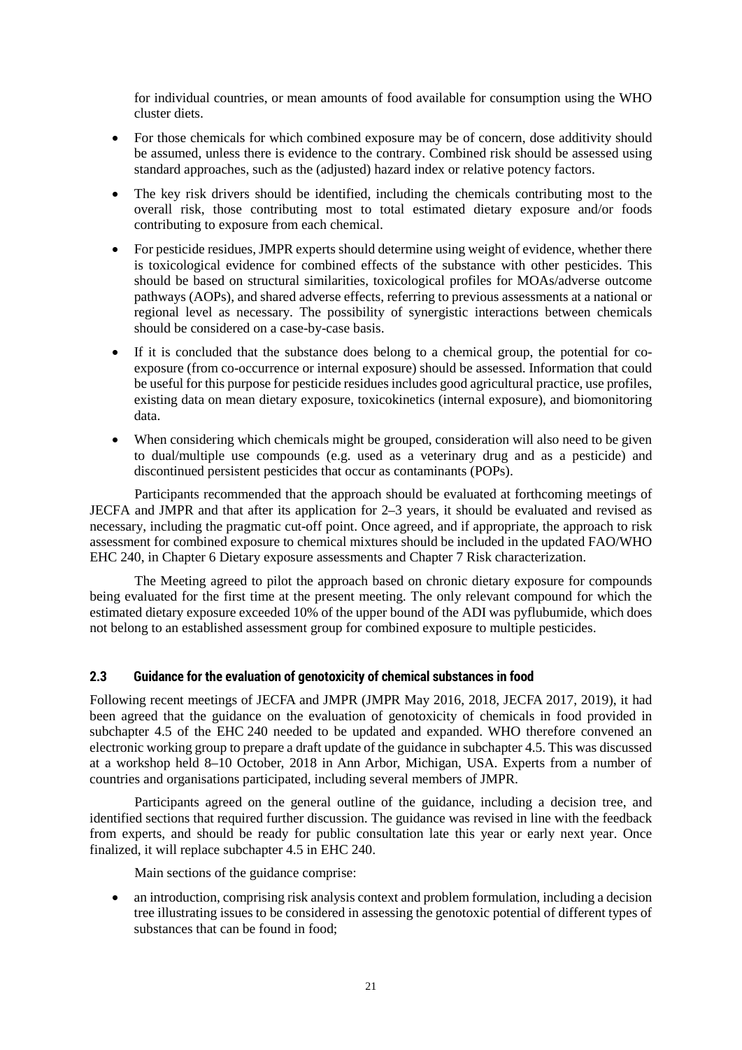for individual countries, or mean amounts of food available for consumption using the WHO cluster diets.

- For those chemicals for which combined exposure may be of concern, dose additivity should be assumed, unless there is evidence to the contrary. Combined risk should be assessed using standard approaches, such as the (adjusted) hazard index or relative potency factors.
- The key risk drivers should be identified, including the chemicals contributing most to the overall risk, those contributing most to total estimated dietary exposure and/or foods contributing to exposure from each chemical.
- For pesticide residues, JMPR experts should determine using weight of evidence, whether there is toxicological evidence for combined effects of the substance with other pesticides. This should be based on structural similarities, toxicological profiles for MOAs/adverse outcome pathways (AOPs), and shared adverse effects, referring to previous assessments at a national or regional level as necessary. The possibility of synergistic interactions between chemicals should be considered on a case-by-case basis.
- If it is concluded that the substance does belong to a chemical group, the potential for coexposure (from co-occurrence or internal exposure) should be assessed. Information that could be useful for this purpose for pesticide residues includes good agricultural practice, use profiles, existing data on mean dietary exposure, toxicokinetics (internal exposure), and biomonitoring data.
- When considering which chemicals might be grouped, consideration will also need to be given to dual/multiple use compounds (e.g. used as a veterinary drug and as a pesticide) and discontinued persistent pesticides that occur as contaminants (POPs).

Participants recommended that the approach should be evaluated at forthcoming meetings of JECFA and JMPR and that after its application for 2–3 years, it should be evaluated and revised as necessary, including the pragmatic cut-off point. Once agreed, and if appropriate, the approach to risk assessment for combined exposure to chemical mixtures should be included in the updated FAO/WHO EHC 240, in Chapter 6 Dietary exposure assessments and Chapter 7 Risk characterization.

The Meeting agreed to pilot the approach based on chronic dietary exposure for compounds being evaluated for the first time at the present meeting. The only relevant compound for which the estimated dietary exposure exceeded 10% of the upper bound of the ADI was pyflubumide, which does not belong to an established assessment group for combined exposure to multiple pesticides.

# **2.3 Guidance for the evaluation of genotoxicity of chemical substances in food**

Following recent meetings of JECFA and JMPR (JMPR May 2016, 2018, JECFA 2017, 2019), it had been agreed that the guidance on the evaluation of genotoxicity of chemicals in food provided in subchapter 4.5 of the EHC 240 needed to be updated and expanded. WHO therefore convened an electronic working group to prepare a draft update of the guidance in subchapter 4.5. This was discussed at a workshop held 8–10 October, 2018 in Ann Arbor, Michigan, USA. Experts from a number of countries and organisations participated, including several members of JMPR.

Participants agreed on the general outline of the guidance, including a decision tree, and identified sections that required further discussion. The guidance was revised in line with the feedback from experts, and should be ready for public consultation late this year or early next year. Once finalized, it will replace subchapter 4.5 in EHC 240.

Main sections of the guidance comprise:

• an introduction, comprising risk analysis context and problem formulation, including a decision tree illustrating issues to be considered in assessing the genotoxic potential of different types of substances that can be found in food;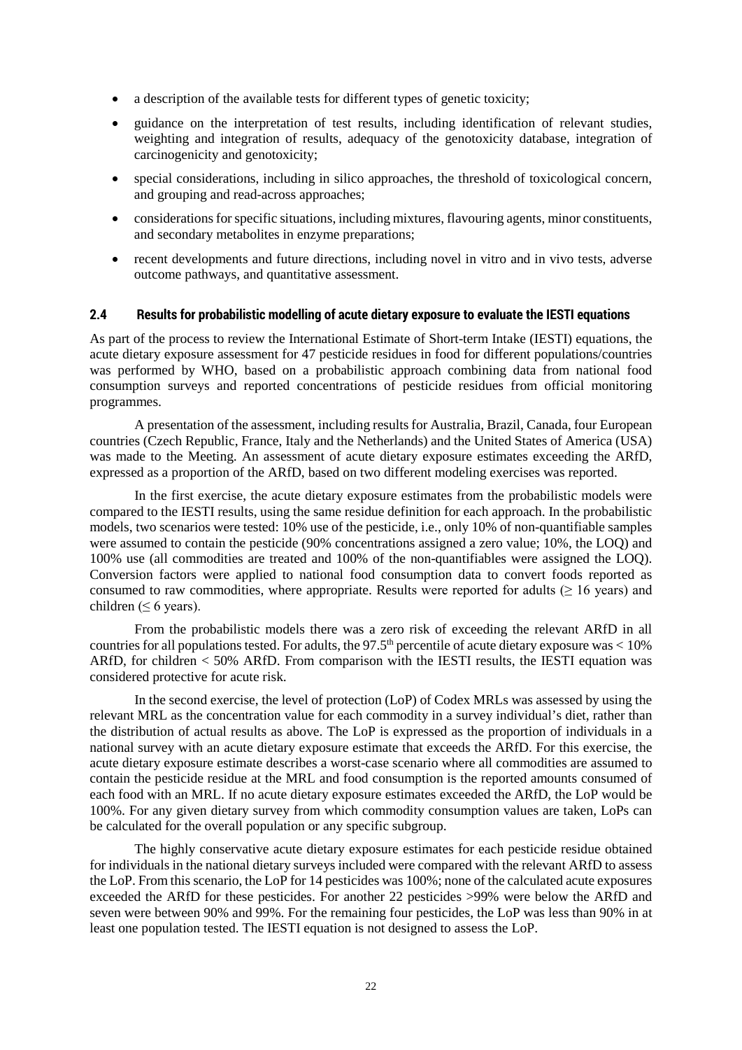- a description of the available tests for different types of genetic toxicity;
- guidance on the interpretation of test results, including identification of relevant studies, weighting and integration of results, adequacy of the genotoxicity database, integration of carcinogenicity and genotoxicity;
- special considerations, including in silico approaches, the threshold of toxicological concern, and grouping and read-across approaches;
- considerations for specific situations, including mixtures, flavouring agents, minor constituents, and secondary metabolites in enzyme preparations;
- recent developments and future directions, including novel in vitro and in vivo tests, adverse outcome pathways, and quantitative assessment.

#### **2.4 Results for probabilistic modelling of acute dietary exposure to evaluate the IESTI equations**

As part of the process to review the International Estimate of Short-term Intake (IESTI) equations, the acute dietary exposure assessment for 47 pesticide residues in food for different populations/countries was performed by WHO, based on a probabilistic approach combining data from national food consumption surveys and reported concentrations of pesticide residues from official monitoring programmes.

A presentation of the assessment, including results for Australia, Brazil, Canada, four European countries (Czech Republic, France, Italy and the Netherlands) and the United States of America (USA) was made to the Meeting. An assessment of acute dietary exposure estimates exceeding the ARfD, expressed as a proportion of the ARfD, based on two different modeling exercises was reported.

In the first exercise, the acute dietary exposure estimates from the probabilistic models were compared to the IESTI results, using the same residue definition for each approach. In the probabilistic models, two scenarios were tested: 10% use of the pesticide, i.e., only 10% of non-quantifiable samples were assumed to contain the pesticide (90% concentrations assigned a zero value; 10%, the LOQ) and 100% use (all commodities are treated and 100% of the non-quantifiables were assigned the LOQ). Conversion factors were applied to national food consumption data to convert foods reported as consumed to raw commodities, where appropriate. Results were reported for adults ( $\geq 16$  years) and children ( $\leq 6$  years).

From the probabilistic models there was a zero risk of exceeding the relevant ARfD in all countries for all populations tested. For adults, the 97.5<sup>th</sup> percentile of acute dietary exposure was  $< 10\%$ ARfD, for children < 50% ARfD. From comparison with the IESTI results, the IESTI equation was considered protective for acute risk.

In the second exercise, the level of protection (LoP) of Codex MRLs was assessed by using the relevant MRL as the concentration value for each commodity in a survey individual's diet, rather than the distribution of actual results as above. The LoP is expressed as the proportion of individuals in a national survey with an acute dietary exposure estimate that exceeds the ARfD. For this exercise, the acute dietary exposure estimate describes a worst-case scenario where all commodities are assumed to contain the pesticide residue at the MRL and food consumption is the reported amounts consumed of each food with an MRL. If no acute dietary exposure estimates exceeded the ARfD, the LoP would be 100%. For any given dietary survey from which commodity consumption values are taken, LoPs can be calculated for the overall population or any specific subgroup.

The highly conservative acute dietary exposure estimates for each pesticide residue obtained for individuals in the national dietary surveys included were compared with the relevant ARfD to assess the LoP. From this scenario, the LoP for 14 pesticides was 100%; none of the calculated acute exposures exceeded the ARfD for these pesticides. For another 22 pesticides >99% were below the ARfD and seven were between 90% and 99%. For the remaining four pesticides, the LoP was less than 90% in at least one population tested. The IESTI equation is not designed to assess the LoP.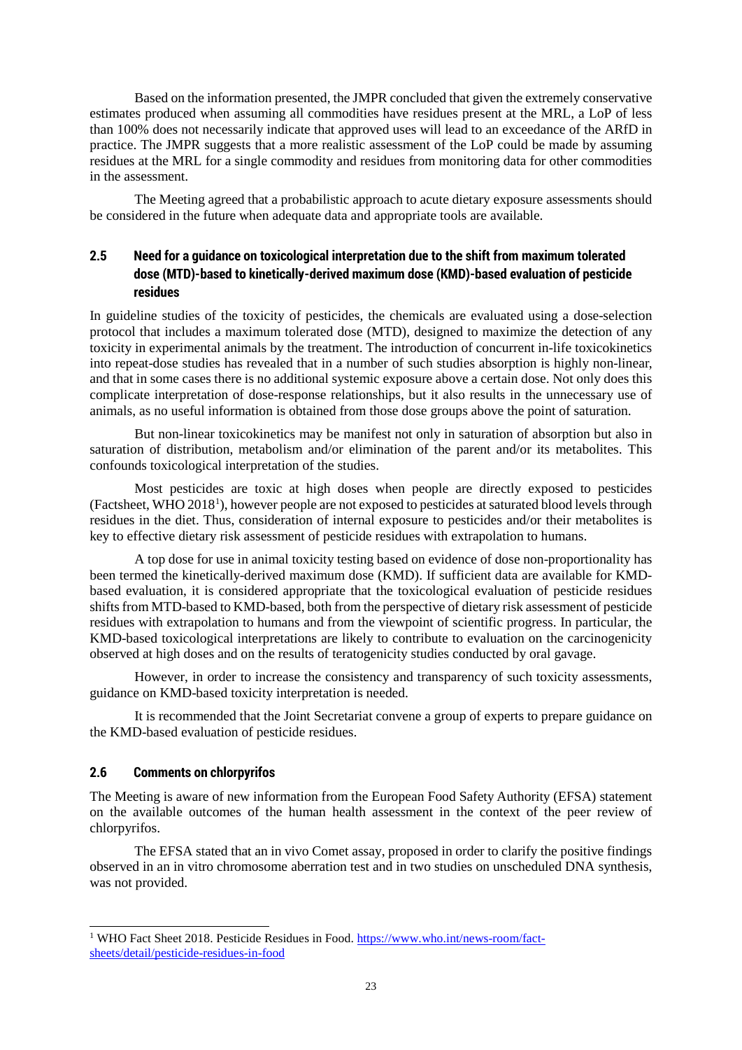Based on the information presented, the JMPR concluded that given the extremely conservative estimates produced when assuming all commodities have residues present at the MRL, a LoP of less than 100% does not necessarily indicate that approved uses will lead to an exceedance of the ARfD in practice. The JMPR suggests that a more realistic assessment of the LoP could be made by assuming residues at the MRL for a single commodity and residues from monitoring data for other commodities in the assessment.

The Meeting agreed that a probabilistic approach to acute dietary exposure assessments should be considered in the future when adequate data and appropriate tools are available.

# **2.5 Need for a guidance on toxicological interpretation due to the shift from maximum tolerated dose (MTD)-based to kinetically-derived maximum dose (KMD)-based evaluation of pesticide residues**

In guideline studies of the toxicity of pesticides, the chemicals are evaluated using a dose-selection protocol that includes a maximum tolerated dose (MTD), designed to maximize the detection of any toxicity in experimental animals by the treatment. The introduction of concurrent in-life toxicokinetics into repeat-dose studies has revealed that in a number of such studies absorption is highly non-linear, and that in some cases there is no additional systemic exposure above a certain dose. Not only does this complicate interpretation of dose-response relationships, but it also results in the unnecessary use of animals, as no useful information is obtained from those dose groups above the point of saturation.

But non-linear toxicokinetics may be manifest not only in saturation of absorption but also in saturation of distribution, metabolism and/or elimination of the parent and/or its metabolites. This confounds toxicological interpretation of the studies.

Most pesticides are toxic at high doses when people are directly exposed to pesticides (Factsheet, WHO 20[1](#page-22-0)8<sup>1</sup>), however people are not exposed to pesticides at saturated blood levels through residues in the diet. Thus, consideration of internal exposure to pesticides and/or their metabolites is key to effective dietary risk assessment of pesticide residues with extrapolation to humans.

A top dose for use in animal toxicity testing based on evidence of dose non-proportionality has been termed the kinetically-derived maximum dose (KMD). If sufficient data are available for KMDbased evaluation, it is considered appropriate that the toxicological evaluation of pesticide residues shifts from MTD-based to KMD-based, both from the perspective of dietary risk assessment of pesticide residues with extrapolation to humans and from the viewpoint of scientific progress. In particular, the KMD-based toxicological interpretations are likely to contribute to evaluation on the carcinogenicity observed at high doses and on the results of teratogenicity studies conducted by oral gavage.

However, in order to increase the consistency and transparency of such toxicity assessments, guidance on KMD-based toxicity interpretation is needed.

It is recommended that the Joint Secretariat convene a group of experts to prepare guidance on the KMD-based evaluation of pesticide residues.

### **2.6 Comments on chlorpyrifos**

The Meeting is aware of new information from the European Food Safety Authority (EFSA) statement on the available outcomes of the human health assessment in the context of the peer review of chlorpyrifos.

The EFSA stated that an in vivo Comet assay, proposed in order to clarify the positive findings observed in an in vitro chromosome aberration test and in two studies on unscheduled DNA synthesis, was not provided.

<span id="page-22-0"></span> <sup>1</sup> WHO Fact Sheet 2018. Pesticide Residues in Food[. https://www.who.int/news-room/fact](https://www.who.int/news-room/fact-sheets/detail/pesticide-residues-in-food)[sheets/detail/pesticide-residues-in-food](https://www.who.int/news-room/fact-sheets/detail/pesticide-residues-in-food)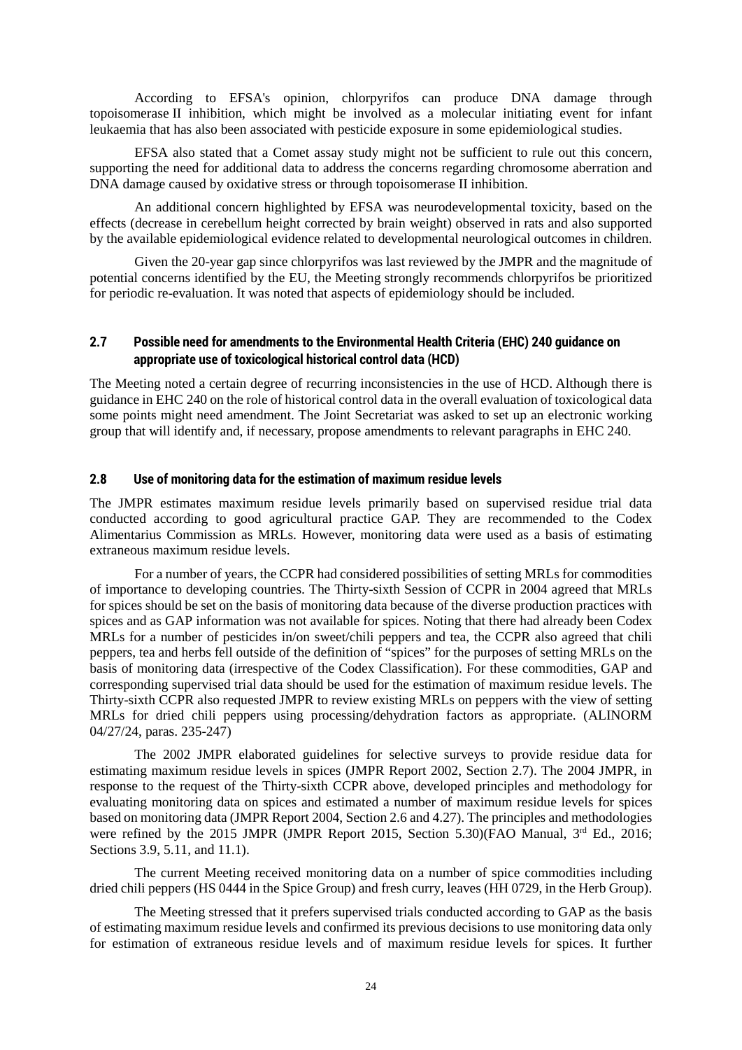According to EFSA's opinion, chlorpyrifos can produce DNA damage through topoisomerase II inhibition, which might be involved as a molecular initiating event for infant leukaemia that has also been associated with pesticide exposure in some epidemiological studies.

EFSA also stated that a Comet assay study might not be sufficient to rule out this concern, supporting the need for additional data to address the concerns regarding chromosome aberration and DNA damage caused by oxidative stress or through topoisomerase II inhibition.

An additional concern highlighted by EFSA was neurodevelopmental toxicity, based on the effects (decrease in cerebellum height corrected by brain weight) observed in rats and also supported by the available epidemiological evidence related to developmental neurological outcomes in children.

Given the 20-year gap since chlorpyrifos was last reviewed by the JMPR and the magnitude of potential concerns identified by the EU, the Meeting strongly recommends chlorpyrifos be prioritized for periodic re-evaluation. It was noted that aspects of epidemiology should be included.

# **2.7 Possible need for amendments to the Environmental Health Criteria (EHC) 240 guidance on appropriate use of toxicological historical control data (HCD)**

The Meeting noted a certain degree of recurring inconsistencies in the use of HCD. Although there is guidance in EHC 240 on the role of historical control data in the overall evaluation of toxicological data some points might need amendment. The Joint Secretariat was asked to set up an electronic working group that will identify and, if necessary, propose amendments to relevant paragraphs in EHC 240.

### **2.8 Use of monitoring data for the estimation of maximum residue levels**

The JMPR estimates maximum residue levels primarily based on supervised residue trial data conducted according to good agricultural practice GAP. They are recommended to the Codex Alimentarius Commission as MRLs. However, monitoring data were used as a basis of estimating extraneous maximum residue levels.

For a number of years, the CCPR had considered possibilities of setting MRLs for commodities of importance to developing countries. The Thirty-sixth Session of CCPR in 2004 agreed that MRLs for spices should be set on the basis of monitoring data because of the diverse production practices with spices and as GAP information was not available for spices. Noting that there had already been Codex MRLs for a number of pesticides in/on sweet/chili peppers and tea, the CCPR also agreed that chili peppers, tea and herbs fell outside of the definition of "spices" for the purposes of setting MRLs on the basis of monitoring data (irrespective of the Codex Classification). For these commodities, GAP and corresponding supervised trial data should be used for the estimation of maximum residue levels. The Thirty-sixth CCPR also requested JMPR to review existing MRLs on peppers with the view of setting MRLs for dried chili peppers using processing/dehydration factors as appropriate. (ALINORM 04/27/24, paras. 235-247)

The 2002 JMPR elaborated guidelines for selective surveys to provide residue data for estimating maximum residue levels in spices (JMPR Report 2002, Section 2.7). The 2004 JMPR, in response to the request of the Thirty-sixth CCPR above, developed principles and methodology for evaluating monitoring data on spices and estimated a number of maximum residue levels for spices based on monitoring data (JMPR Report 2004, Section 2.6 and 4.27). The principles and methodologies were refined by the 2015 JMPR (JMPR Report 2015, Section 5.30)(FAO Manual, 3<sup>rd</sup> Ed., 2016; Sections 3.9, 5.11, and 11.1).

The current Meeting received monitoring data on a number of spice commodities including dried chili peppers (HS 0444 in the Spice Group) and fresh curry, leaves (HH 0729, in the Herb Group).

The Meeting stressed that it prefers supervised trials conducted according to GAP as the basis of estimating maximum residue levels and confirmed its previous decisions to use monitoring data only for estimation of extraneous residue levels and of maximum residue levels for spices. It further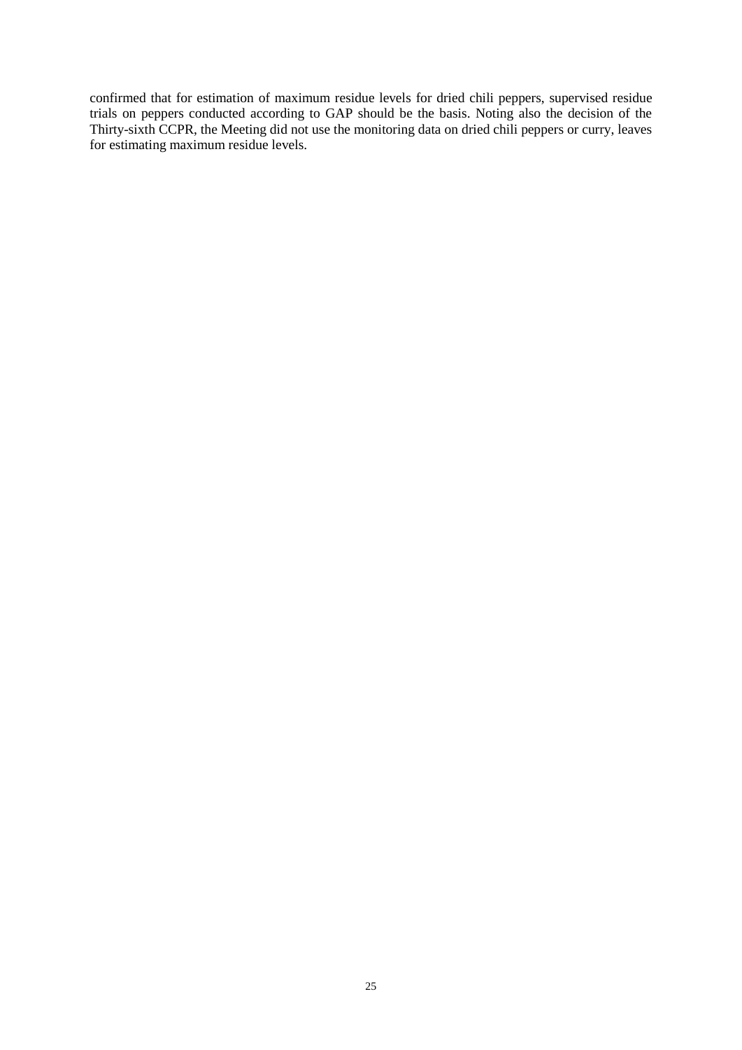confirmed that for estimation of maximum residue levels for dried chili peppers, supervised residue trials on peppers conducted according to GAP should be the basis. Noting also the decision of the Thirty-sixth CCPR, the Meeting did not use the monitoring data on dried chili peppers or curry, leaves for estimating maximum residue levels.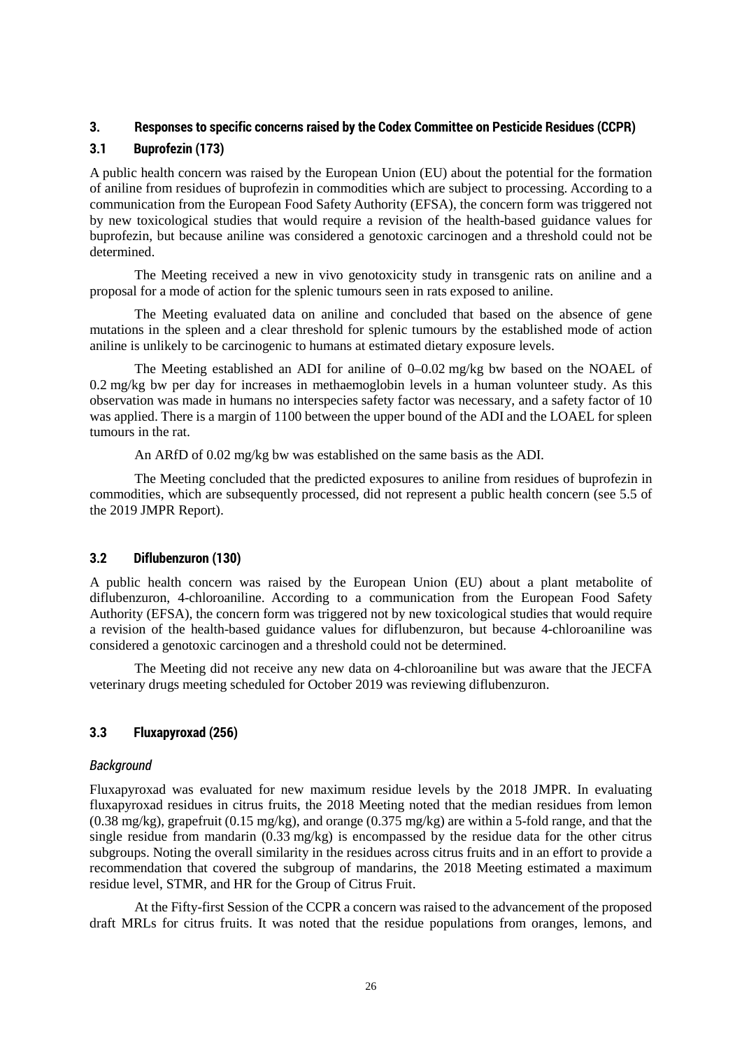### **3. Responses to specific concerns raised by the Codex Committee on Pesticide Residues (CCPR)**

# **3.1 Buprofezin (173)**

A public health concern was raised by the European Union (EU) about the potential for the formation of aniline from residues of buprofezin in commodities which are subject to processing. According to a communication from the European Food Safety Authority (EFSA), the concern form was triggered not by new toxicological studies that would require a revision of the health-based guidance values for buprofezin, but because aniline was considered a genotoxic carcinogen and a threshold could not be determined.

The Meeting received a new in vivo genotoxicity study in transgenic rats on aniline and a proposal for a mode of action for the splenic tumours seen in rats exposed to aniline.

The Meeting evaluated data on aniline and concluded that based on the absence of gene mutations in the spleen and a clear threshold for splenic tumours by the established mode of action aniline is unlikely to be carcinogenic to humans at estimated dietary exposure levels.

The Meeting established an ADI for aniline of 0–0.02 mg/kg bw based on the NOAEL of 0.2 mg/kg bw per day for increases in methaemoglobin levels in a human volunteer study. As this observation was made in humans no interspecies safety factor was necessary, and a safety factor of 10 was applied. There is a margin of 1100 between the upper bound of the ADI and the LOAEL for spleen tumours in the rat.

An ARfD of 0.02 mg/kg bw was established on the same basis as the ADI.

The Meeting concluded that the predicted exposures to aniline from residues of buprofezin in commodities, which are subsequently processed, did not represent a public health concern (see 5.5 of the 2019 JMPR Report).

# **3.2 Diflubenzuron (130)**

A public health concern was raised by the European Union (EU) about a plant metabolite of diflubenzuron, 4-chloroaniline. According to a communication from the European Food Safety Authority (EFSA), the concern form was triggered not by new toxicological studies that would require a revision of the health-based guidance values for diflubenzuron, but because 4-chloroaniline was considered a genotoxic carcinogen and a threshold could not be determined.

The Meeting did not receive any new data on 4-chloroaniline but was aware that the JECFA veterinary drugs meeting scheduled for October 2019 was reviewing diflubenzuron.

# **3.3 Fluxapyroxad (256)**

### *Background*

Fluxapyroxad was evaluated for new maximum residue levels by the 2018 JMPR. In evaluating fluxapyroxad residues in citrus fruits, the 2018 Meeting noted that the median residues from lemon (0.38 mg/kg), grapefruit (0.15 mg/kg), and orange (0.375 mg/kg) are within a 5-fold range, and that the single residue from mandarin  $(0.33 \text{ mg/kg})$  is encompassed by the residue data for the other citrus subgroups. Noting the overall similarity in the residues across citrus fruits and in an effort to provide a recommendation that covered the subgroup of mandarins, the 2018 Meeting estimated a maximum residue level, STMR, and HR for the Group of Citrus Fruit.

At the Fifty-first Session of the CCPR a concern was raised to the advancement of the proposed draft MRLs for citrus fruits. It was noted that the residue populations from oranges, lemons, and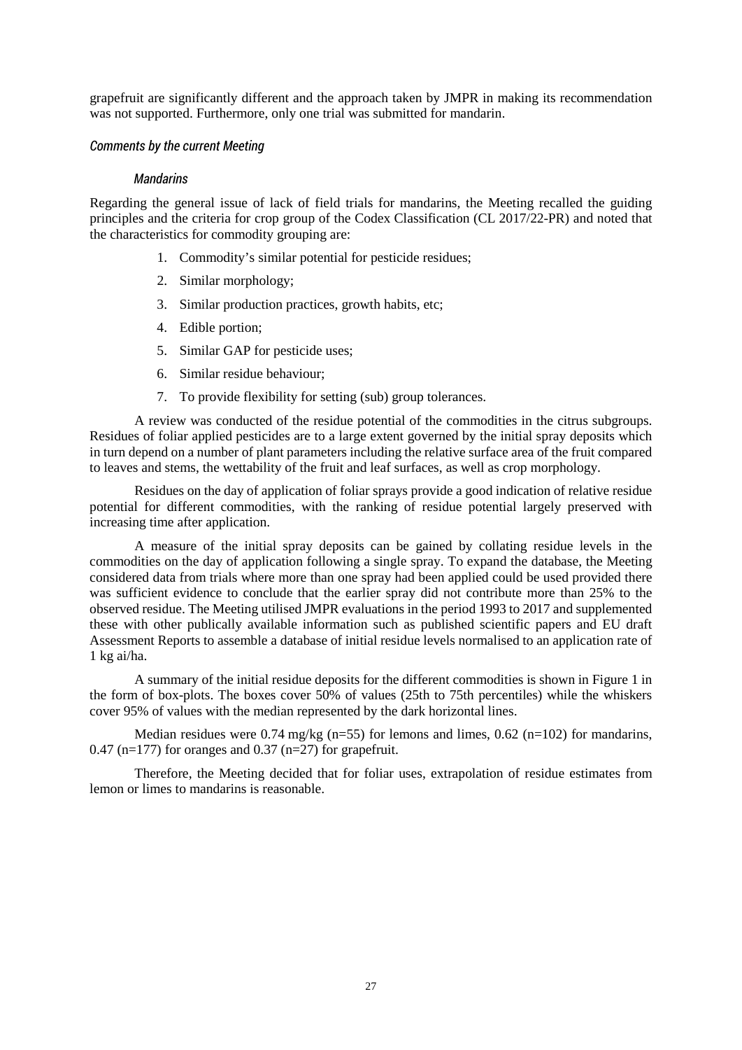grapefruit are significantly different and the approach taken by JMPR in making its recommendation was not supported. Furthermore, only one trial was submitted for mandarin.

### *Comments by the current Meeting*

#### *Mandarins*

Regarding the general issue of lack of field trials for mandarins, the Meeting recalled the guiding principles and the criteria for crop group of the Codex Classification (CL 2017/22-PR) and noted that the characteristics for commodity grouping are:

- 1. Commodity's similar potential for pesticide residues;
- 2. Similar morphology;
- 3. Similar production practices, growth habits, etc;
- 4. Edible portion;
- 5. Similar GAP for pesticide uses;
- 6. Similar residue behaviour;
- 7. To provide flexibility for setting (sub) group tolerances.

A review was conducted of the residue potential of the commodities in the citrus subgroups. Residues of foliar applied pesticides are to a large extent governed by the initial spray deposits which in turn depend on a number of plant parameters including the relative surface area of the fruit compared to leaves and stems, the wettability of the fruit and leaf surfaces, as well as crop morphology.

Residues on the day of application of foliar sprays provide a good indication of relative residue potential for different commodities, with the ranking of residue potential largely preserved with increasing time after application.

A measure of the initial spray deposits can be gained by collating residue levels in the commodities on the day of application following a single spray. To expand the database, the Meeting considered data from trials where more than one spray had been applied could be used provided there was sufficient evidence to conclude that the earlier spray did not contribute more than 25% to the observed residue. The Meeting utilised JMPR evaluations in the period 1993 to 2017 and supplemented these with other publically available information such as published scientific papers and EU draft Assessment Reports to assemble a database of initial residue levels normalised to an application rate of 1 kg ai/ha.

A summary of the initial residue deposits for the different commodities is shown in Figure 1 in the form of box-plots. The boxes cover 50% of values (25th to 75th percentiles) while the whiskers cover 95% of values with the median represented by the dark horizontal lines.

Median residues were 0.74 mg/kg (n=55) for lemons and limes, 0.62 (n=102) for mandarins, 0.47 (n=177) for oranges and 0.37 (n=27) for grapefruit.

Therefore, the Meeting decided that for foliar uses, extrapolation of residue estimates from lemon or limes to mandarins is reasonable.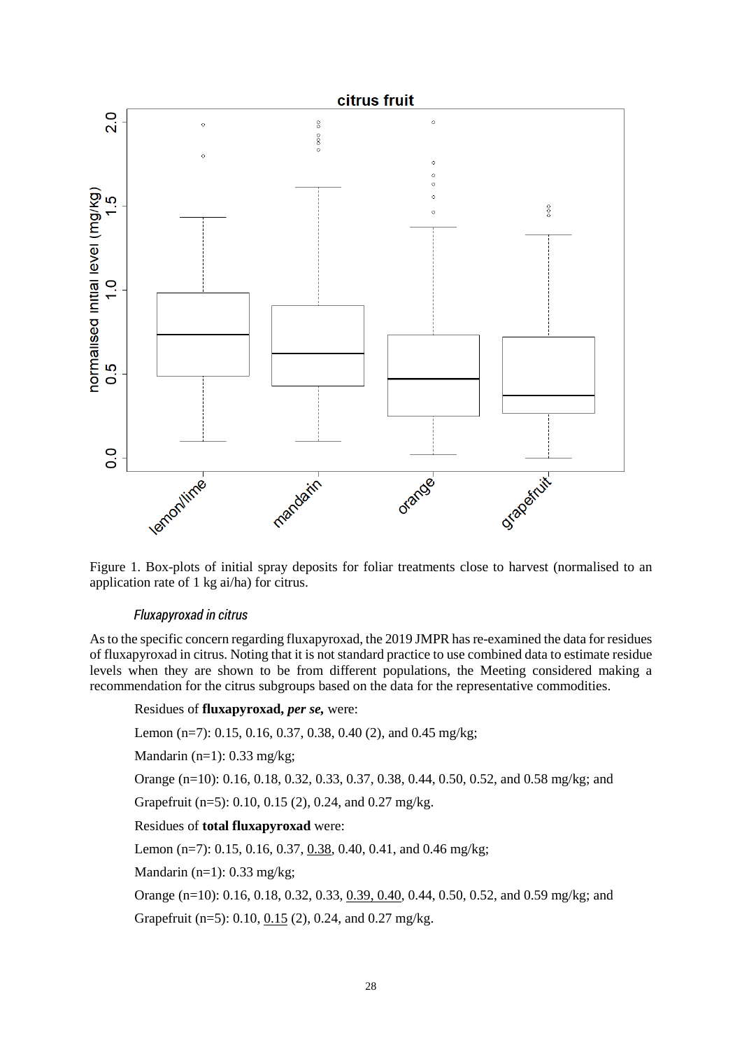

Figure 1. Box-plots of initial spray deposits for foliar treatments close to harvest (normalised to an application rate of 1 kg ai/ha) for citrus.

### *Fluxapyroxad in citrus*

As to the specific concern regarding fluxapyroxad, the 2019 JMPR has re-examined the data for residues of fluxapyroxad in citrus. Noting that it is not standard practice to use combined data to estimate residue levels when they are shown to be from different populations, the Meeting considered making a recommendation for the citrus subgroups based on the data for the representative commodities.

#### Residues of **fluxapyroxad,** *per se,* were:

Lemon (n=7): 0.15, 0.16, 0.37, 0.38, 0.40 (2), and 0.45 mg/kg;

Mandarin  $(n=1)$ : 0.33 mg/kg;

Orange (n=10): 0.16, 0.18, 0.32, 0.33, 0.37, 0.38, 0.44, 0.50, 0.52, and 0.58 mg/kg; and

Grapefruit (n=5): 0.10, 0.15 (2), 0.24, and 0.27 mg/kg.

### Residues of **total fluxapyroxad** were:

Lemon (n=7): 0.15, 0.16, 0.37, 0.38, 0.40, 0.41, and 0.46 mg/kg;

Mandarin (n=1): 0.33 mg/kg;

Orange (n=10): 0.16, 0.18, 0.32, 0.33, 0.39, 0.40, 0.44, 0.50, 0.52, and 0.59 mg/kg; and Grapefruit (n=5): 0.10, 0.15 (2), 0.24, and 0.27 mg/kg.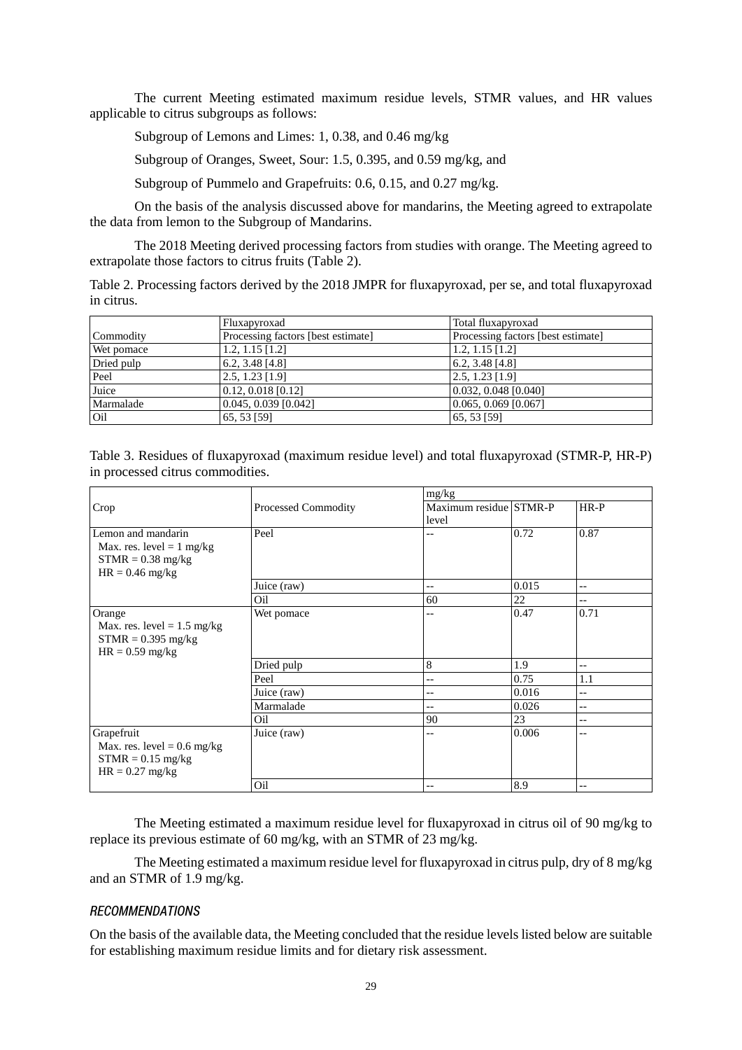The current Meeting estimated maximum residue levels, STMR values, and HR values applicable to citrus subgroups as follows:

Subgroup of Lemons and Limes: 1, 0.38, and 0.46 mg/kg

Subgroup of Oranges, Sweet, Sour: 1.5, 0.395, and 0.59 mg/kg, and

Subgroup of Pummelo and Grapefruits: 0.6, 0.15, and 0.27 mg/kg.

On the basis of the analysis discussed above for mandarins, the Meeting agreed to extrapolate the data from lemon to the Subgroup of Mandarins.

The 2018 Meeting derived processing factors from studies with orange. The Meeting agreed to extrapolate those factors to citrus fruits (Table 2).

Table 2. Processing factors derived by the 2018 JMPR for fluxapyroxad, per se, and total fluxapyroxad in citrus.

|            | Fluxapyroxad                       | Total fluxapyroxad                 |
|------------|------------------------------------|------------------------------------|
| Commodity  | Processing factors [best estimate] | Processing factors [best estimate] |
| Wet pomace | $1.2, 1.15$ [1.2]                  | 1.2, 1.15 $\lceil 1.2 \rceil$      |
| Dried pulp | $[6.2, 3.48]$ [4.8]                | $6.2, 3.48$ [4.8]                  |
| Peel       | $2.5, 1.23$ [1.9]                  | $2.5, 1.23$ [1.9]                  |
| Juice      | $0.12, 0.018$ [0.12]               | $0.032, 0.048$ [0.040]             |
| Marmalade  | $0.045, 0.039$ [0.042]             | 0.065, 0.069 [0.067]               |
| Oil        | 65, 53 [59]                        | 65, 53 [59]                        |

| Table 3. Residues of fluxapyroxad (maximum residue level) and total fluxapyroxad (STMR-P, HR-P) |  |  |
|-------------------------------------------------------------------------------------------------|--|--|
| in processed citrus commodities.                                                                |  |  |

|                                                                                                       |                            | mg/kg                           |       |        |  |  |
|-------------------------------------------------------------------------------------------------------|----------------------------|---------------------------------|-------|--------|--|--|
| Crop                                                                                                  | <b>Processed Commodity</b> | Maximum residue STMR-P<br>level |       | $HR-P$ |  |  |
| Lemon and mandarin<br>Max. res. level = $1 \text{ mg/kg}$<br>$STMR = 0.38$ mg/kg<br>$HR = 0.46$ mg/kg | Peel                       |                                 | 0.72  | 0.87   |  |  |
|                                                                                                       | Juice (raw)                | $-$                             | 0.015 | --     |  |  |
|                                                                                                       | Oil                        | 60                              | 22    | $-$    |  |  |
| Orange<br>Max. res. level = $1.5 \text{ mg/kg}$<br>$STMR = 0.395$ mg/kg<br>$HR = 0.59$ mg/kg          | Wet pomace                 | --                              | 0.47  | 0.71   |  |  |
|                                                                                                       | Dried pulp                 | 8                               | 1.9   | $-$    |  |  |
|                                                                                                       | Peel                       | --                              | 0.75  | 1.1    |  |  |
|                                                                                                       | Juice (raw)                | --                              | 0.016 | --     |  |  |
|                                                                                                       | Marmalade                  | $-$                             | 0.026 | --     |  |  |
|                                                                                                       | Oil                        | 90                              | 23    | --     |  |  |
| Grapefruit<br>Max. res. level = $0.6$ mg/kg<br>$STMR = 0.15$ mg/kg<br>$HR = 0.27$ mg/kg               | Juice (raw)                | --                              | 0.006 | $-$    |  |  |
|                                                                                                       | Oil                        | --                              | 8.9   | --     |  |  |

The Meeting estimated a maximum residue level for fluxapyroxad in citrus oil of 90 mg/kg to replace its previous estimate of 60 mg/kg, with an STMR of 23 mg/kg.

The Meeting estimated a maximum residue level for fluxapyroxad in citrus pulp, dry of 8 mg/kg and an STMR of 1.9 mg/kg.

### *RECOMMENDATIONS*

On the basis of the available data, the Meeting concluded that the residue levels listed below are suitable for establishing maximum residue limits and for dietary risk assessment.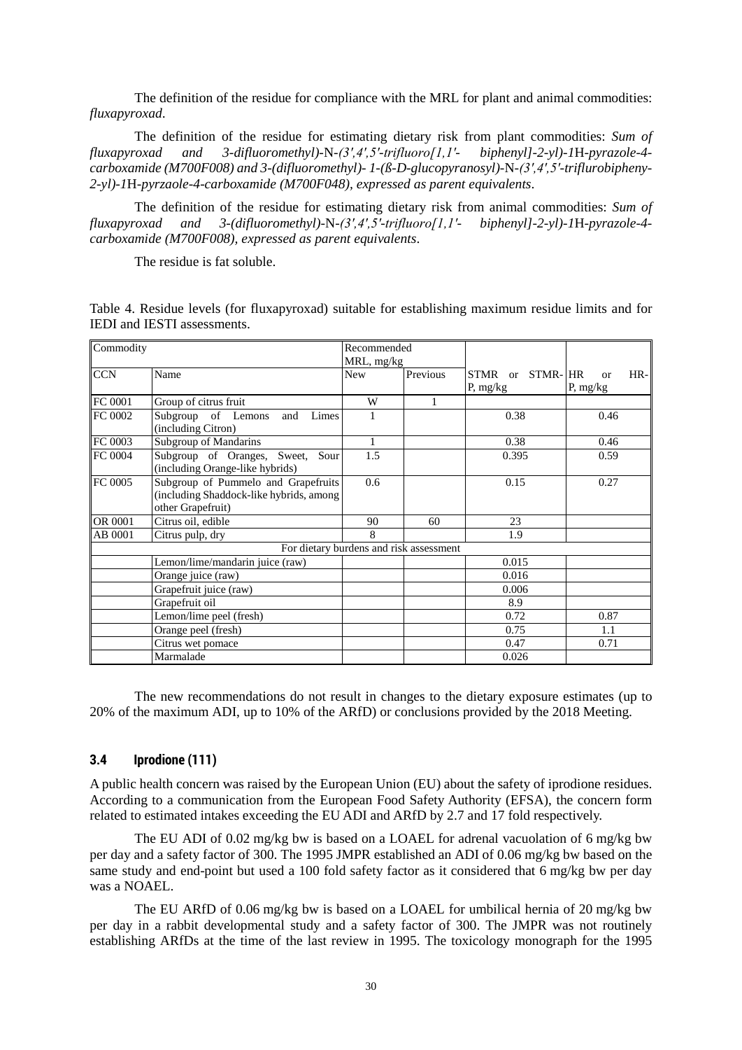The definition of the residue for compliance with the MRL for plant and animal commodities: *fluxapyroxad*.

The definition of the residue for estimating dietary risk from plant commodities: *Sum of fluxapyroxad and 3-difluoromethyl)-*N*-(3′,4′,5′-trifluoro[1,1′- biphenyl]-2-yl)-1*H*-pyrazole-4 carboxamide (M700F008) and 3-(difluoromethyl)- 1-(ß-D-glucopyranosyl)-*N*-(3′,4′,5′-triflurobipheny-2-yl)-1*H*-pyrzaole-4-carboxamide (M700F048), expressed as parent equivalents*.

The definition of the residue for estimating dietary risk from animal commodities: *Sum of fluxapyroxad and 3-(difluoromethyl)-*N*-(3′,4′,5′-trifluoro[1,1′- biphenyl]-2-yl)-1*H*-pyrazole-4 carboxamide (M700F008), expressed as parent equivalents*.

The residue is fat soluble.

Table 4. Residue levels (for fluxapyroxad) suitable for establishing maximum residue limits and for IEDI and IESTI assessments.

| Commodity |                                                                                | Recommended                             |          |                 |                        |
|-----------|--------------------------------------------------------------------------------|-----------------------------------------|----------|-----------------|------------------------|
|           |                                                                                | MRL, mg/kg                              |          |                 |                        |
| CCN       | Name                                                                           | <b>New</b>                              | Previous | STMR or STMR-HR | $HR-$<br><sub>or</sub> |
|           |                                                                                |                                         |          | P, mg/kg        | P, $mg/kg$             |
| FC 0001   | Group of citrus fruit                                                          | W                                       |          |                 |                        |
| FC 0002   | Subgroup of Lemons<br>Limes<br>and                                             |                                         |          | 0.38            | 0.46                   |
|           | (including Citron)                                                             |                                         |          |                 |                        |
| FC 0003   | Subgroup of Mandarins                                                          | 1                                       |          | 0.38            | 0.46                   |
| FC 0004   | Subgroup of Oranges, Sweet, Sour<br>(including Orange-like hybrids)            | 1.5                                     |          | 0.395           | 0.59                   |
| FC 0005   | Subgroup of Pummelo and Grapefruits<br>(including Shaddock-like hybrids, among | 0.6                                     |          | 0.15            | 0.27                   |
|           | other Grapefruit)                                                              |                                         |          |                 |                        |
| OR 0001   | Citrus oil, edible                                                             | 90                                      | 60       | 23              |                        |
| AB 0001   | Citrus pulp, dry                                                               | 8                                       |          | 1.9             |                        |
|           |                                                                                | For dietary burdens and risk assessment |          |                 |                        |
|           | Lemon/lime/mandarin juice (raw)                                                |                                         |          | 0.015           |                        |
|           | Orange juice (raw)                                                             |                                         |          | 0.016           |                        |
|           | Grapefruit juice (raw)                                                         |                                         |          | 0.006           |                        |
|           | Grapefruit oil                                                                 |                                         |          | 8.9             |                        |
|           | Lemon/lime peel (fresh)                                                        |                                         |          | 0.72            | 0.87                   |
|           | Orange peel (fresh)                                                            |                                         |          | 0.75            | 1.1                    |
|           | Citrus wet pomace                                                              |                                         |          | 0.47            | 0.71                   |
|           | Marmalade                                                                      |                                         |          | 0.026           |                        |

The new recommendations do not result in changes to the dietary exposure estimates (up to 20% of the maximum ADI, up to 10% of the ARfD) or conclusions provided by the 2018 Meeting.

#### **3.4 Iprodione (111)**

A public health concern was raised by the European Union (EU) about the safety of iprodione residues. According to a communication from the European Food Safety Authority (EFSA), the concern form related to estimated intakes exceeding the EU ADI and ARfD by 2.7 and 17 fold respectively.

The EU ADI of 0.02 mg/kg bw is based on a LOAEL for adrenal vacuolation of 6 mg/kg bw per day and a safety factor of 300. The 1995 JMPR established an ADI of 0.06 mg/kg bw based on the same study and end-point but used a 100 fold safety factor as it considered that 6 mg/kg bw per day was a NOAEL.

The EU ARfD of 0.06 mg/kg bw is based on a LOAEL for umbilical hernia of 20 mg/kg bw per day in a rabbit developmental study and a safety factor of 300. The JMPR was not routinely establishing ARfDs at the time of the last review in 1995. The toxicology monograph for the 1995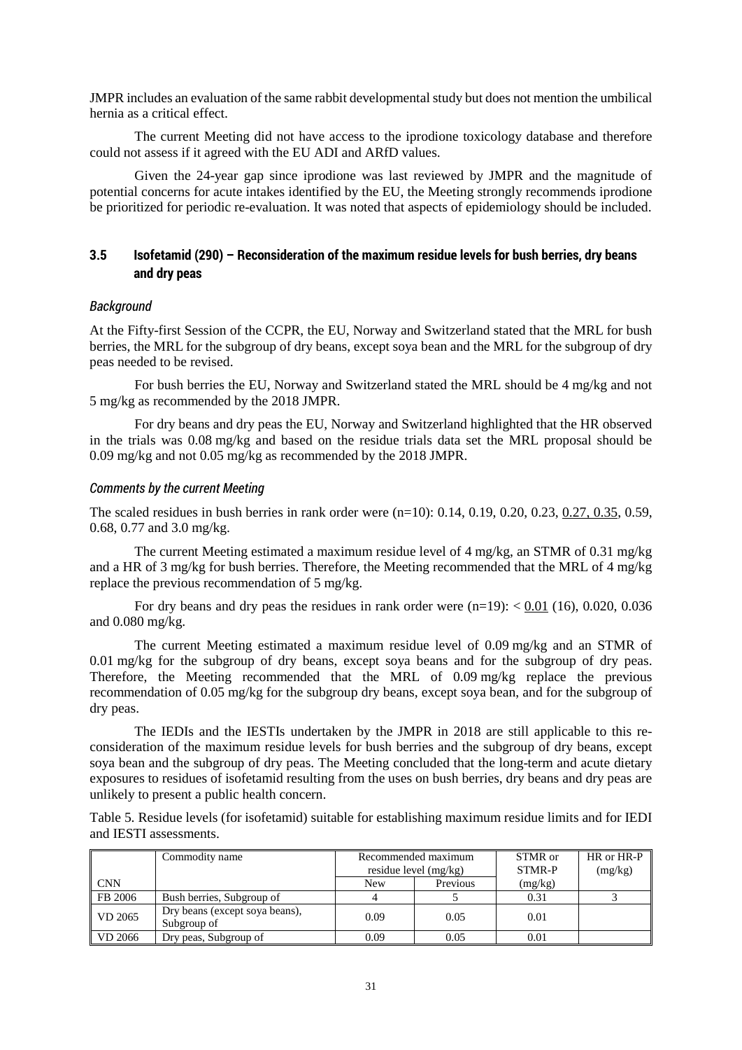JMPR includes an evaluation of the same rabbit developmental study but does not mention the umbilical hernia as a critical effect.

The current Meeting did not have access to the iprodione toxicology database and therefore could not assess if it agreed with the EU ADI and ARfD values.

Given the 24-year gap since iprodione was last reviewed by JMPR and the magnitude of potential concerns for acute intakes identified by the EU, the Meeting strongly recommends iprodione be prioritized for periodic re-evaluation. It was noted that aspects of epidemiology should be included.

# **3.5 Isofetamid (290) – Reconsideration of the maximum residue levels for bush berries, dry beans and dry peas**

#### *Background*

At the Fifty-first Session of the CCPR, the EU, Norway and Switzerland stated that the MRL for bush berries, the MRL for the subgroup of dry beans, except soya bean and the MRL for the subgroup of dry peas needed to be revised.

For bush berries the EU, Norway and Switzerland stated the MRL should be 4 mg/kg and not 5 mg/kg as recommended by the 2018 JMPR.

For dry beans and dry peas the EU, Norway and Switzerland highlighted that the HR observed in the trials was 0.08 mg/kg and based on the residue trials data set the MRL proposal should be 0.09 mg/kg and not 0.05 mg/kg as recommended by the 2018 JMPR.

#### *Comments by the current Meeting*

The scaled residues in bush berries in rank order were (n=10): 0.14, 0.19, 0.20, 0.23, 0.27, 0.35, 0.59, 0.68, 0.77 and 3.0 mg/kg.

The current Meeting estimated a maximum residue level of 4 mg/kg, an STMR of 0.31 mg/kg and a HR of 3 mg/kg for bush berries. Therefore, the Meeting recommended that the MRL of 4 mg/kg replace the previous recommendation of 5 mg/kg.

For dry beans and dry peas the residues in rank order were  $(n=19)$ :  $< 0.01$  (16), 0.020, 0.036 and 0.080 mg/kg.

The current Meeting estimated a maximum residue level of 0.09 mg/kg and an STMR of 0.01 mg/kg for the subgroup of dry beans, except soya beans and for the subgroup of dry peas. Therefore, the Meeting recommended that the MRL of 0.09 mg/kg replace the previous recommendation of 0.05 mg/kg for the subgroup dry beans, except soya bean, and for the subgroup of dry peas.

The IEDIs and the IESTIs undertaken by the JMPR in 2018 are still applicable to this reconsideration of the maximum residue levels for bush berries and the subgroup of dry beans, except soya bean and the subgroup of dry peas. The Meeting concluded that the long-term and acute dietary exposures to residues of isofetamid resulting from the uses on bush berries, dry beans and dry peas are unlikely to present a public health concern.

Table 5. Residue levels (for isofetamid) suitable for establishing maximum residue limits and for IEDI and IESTI assessments.

|            | Commodity name                                | Recommended maximum |                         | STMR or | HR or HR-P |
|------------|-----------------------------------------------|---------------------|-------------------------|---------|------------|
|            |                                               |                     | residue level $(mg/kg)$ |         | (mg/kg)    |
| <b>CNN</b> |                                               | New                 | Previous                | (mg/kg) |            |
| FB 2006    | Bush berries, Subgroup of                     |                     |                         | 0.31    |            |
| VD 2065    | Dry beans (except soya beans),<br>Subgroup of | 0.09                | 0.05                    | 0.01    |            |
| VD 2066    | Dry peas, Subgroup of                         | 0.09                | 0.05                    | 0.01    |            |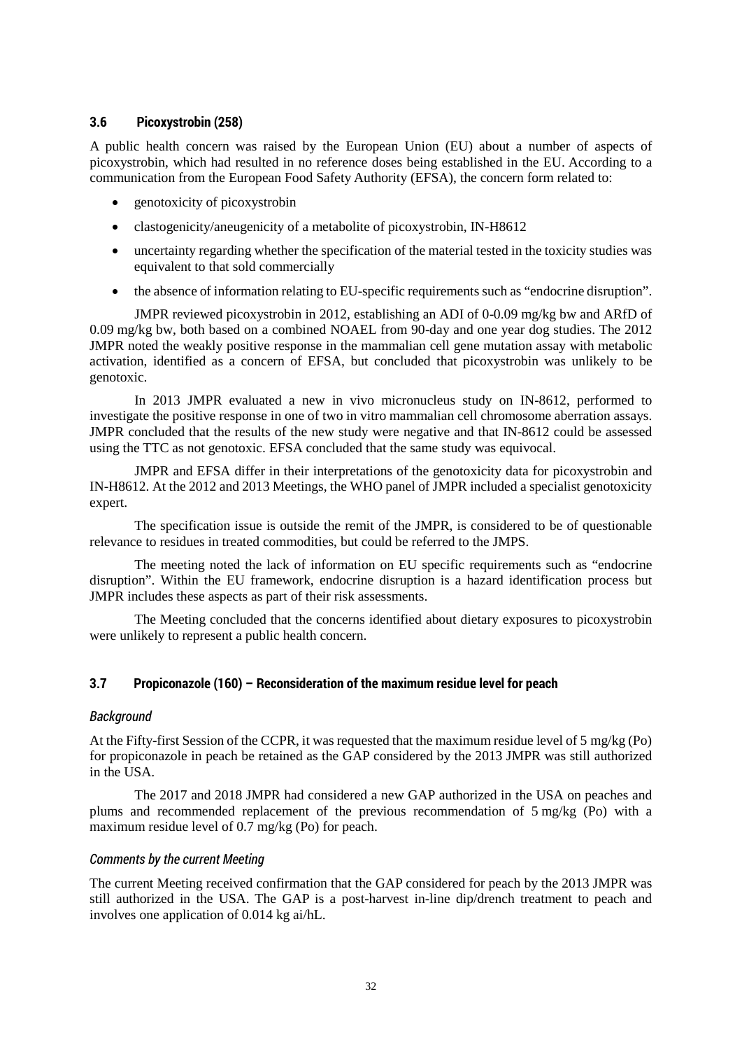### **3.6 Picoxystrobin (258)**

A public health concern was raised by the European Union (EU) about a number of aspects of picoxystrobin, which had resulted in no reference doses being established in the EU. According to a communication from the European Food Safety Authority (EFSA), the concern form related to:

- genotoxicity of picoxystrobin
- clastogenicity/aneugenicity of a metabolite of picoxystrobin, IN-H8612
- uncertainty regarding whether the specification of the material tested in the toxicity studies was equivalent to that sold commercially
- the absence of information relating to EU-specific requirements such as "endocrine disruption".

JMPR reviewed picoxystrobin in 2012, establishing an ADI of 0-0.09 mg/kg bw and ARfD of 0.09 mg/kg bw, both based on a combined NOAEL from 90-day and one year dog studies. The 2012 JMPR noted the weakly positive response in the mammalian cell gene mutation assay with metabolic activation, identified as a concern of EFSA, but concluded that picoxystrobin was unlikely to be genotoxic.

In 2013 JMPR evaluated a new in vivo micronucleus study on IN-8612, performed to investigate the positive response in one of two in vitro mammalian cell chromosome aberration assays. JMPR concluded that the results of the new study were negative and that IN-8612 could be assessed using the TTC as not genotoxic. EFSA concluded that the same study was equivocal.

JMPR and EFSA differ in their interpretations of the genotoxicity data for picoxystrobin and IN-H8612. At the 2012 and 2013 Meetings, the WHO panel of JMPR included a specialist genotoxicity expert.

The specification issue is outside the remit of the JMPR, is considered to be of questionable relevance to residues in treated commodities, but could be referred to the JMPS.

The meeting noted the lack of information on EU specific requirements such as "endocrine disruption". Within the EU framework, endocrine disruption is a hazard identification process but JMPR includes these aspects as part of their risk assessments.

The Meeting concluded that the concerns identified about dietary exposures to picoxystrobin were unlikely to represent a public health concern.

# **3.7 Propiconazole (160) – Reconsideration of the maximum residue level for peach**

### *Background*

At the Fifty-first Session of the CCPR, it was requested that the maximum residue level of 5 mg/kg (Po) for propiconazole in peach be retained as the GAP considered by the 2013 JMPR was still authorized in the USA.

The 2017 and 2018 JMPR had considered a new GAP authorized in the USA on peaches and plums and recommended replacement of the previous recommendation of 5 mg/kg (Po) with a maximum residue level of 0.7 mg/kg (Po) for peach.

### *Comments by the current Meeting*

The current Meeting received confirmation that the GAP considered for peach by the 2013 JMPR was still authorized in the USA. The GAP is a post-harvest in-line dip/drench treatment to peach and involves one application of 0.014 kg ai/hL.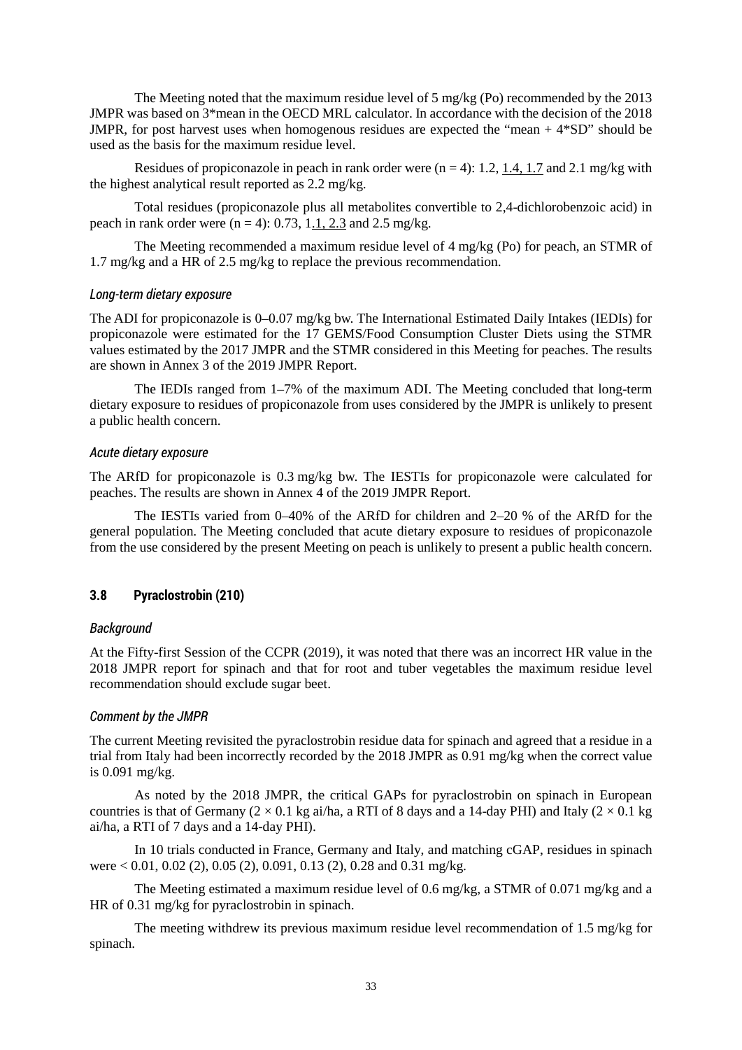The Meeting noted that the maximum residue level of 5 mg/kg (Po) recommended by the 2013 JMPR was based on 3\*mean in the OECD MRL calculator. In accordance with the decision of the 2018 JMPR, for post harvest uses when homogenous residues are expected the "mean  $+4*SD$ " should be used as the basis for the maximum residue level.

Residues of propiconazole in peach in rank order were  $(n = 4)$ : 1.2, 1.4, 1.7 and 2.1 mg/kg with the highest analytical result reported as 2.2 mg/kg.

Total residues (propiconazole plus all metabolites convertible to 2,4-dichlorobenzoic acid) in peach in rank order were  $(n = 4)$ : 0.73, 1.1, 2.3 and 2.5 mg/kg.

The Meeting recommended a maximum residue level of 4 mg/kg (Po) for peach, an STMR of 1.7 mg/kg and a HR of 2.5 mg/kg to replace the previous recommendation.

#### *Long-term dietary exposure*

The ADI for propiconazole is 0–0.07 mg/kg bw. The International Estimated Daily Intakes (IEDIs) for propiconazole were estimated for the 17 GEMS/Food Consumption Cluster Diets using the STMR values estimated by the 2017 JMPR and the STMR considered in this Meeting for peaches. The results are shown in Annex 3 of the 2019 JMPR Report.

The IEDIs ranged from 1–7% of the maximum ADI. The Meeting concluded that long-term dietary exposure to residues of propiconazole from uses considered by the JMPR is unlikely to present a public health concern.

#### *Acute dietary exposure*

The ARfD for propiconazole is 0.3 mg/kg bw. The IESTIs for propiconazole were calculated for peaches. The results are shown in Annex 4 of the 2019 JMPR Report.

The IESTIs varied from 0–40% of the ARfD for children and 2–20 % of the ARfD for the general population. The Meeting concluded that acute dietary exposure to residues of propiconazole from the use considered by the present Meeting on peach is unlikely to present a public health concern.

### **3.8 Pyraclostrobin (210)**

### *Background*

At the Fifty-first Session of the CCPR (2019), it was noted that there was an incorrect HR value in the 2018 JMPR report for spinach and that for root and tuber vegetables the maximum residue level recommendation should exclude sugar beet.

#### *Comment by the JMPR*

The current Meeting revisited the pyraclostrobin residue data for spinach and agreed that a residue in a trial from Italy had been incorrectly recorded by the 2018 JMPR as 0.91 mg/kg when the correct value is 0.091 mg/kg.

As noted by the 2018 JMPR, the critical GAPs for pyraclostrobin on spinach in European countries is that of Germany  $(2 \times 0.1 \text{ kg}$  ai/ha, a RTI of 8 days and a 14-day PHI) and Italy  $(2 \times 0.1 \text{ kg}$ ai/ha, a RTI of 7 days and a 14-day PHI).

In 10 trials conducted in France, Germany and Italy, and matching cGAP, residues in spinach were < 0.01, 0.02 (2), 0.05 (2), 0.091, 0.13 (2), 0.28 and 0.31 mg/kg.

The Meeting estimated a maximum residue level of 0.6 mg/kg, a STMR of 0.071 mg/kg and a HR of 0.31 mg/kg for pyraclostrobin in spinach.

The meeting withdrew its previous maximum residue level recommendation of 1.5 mg/kg for spinach.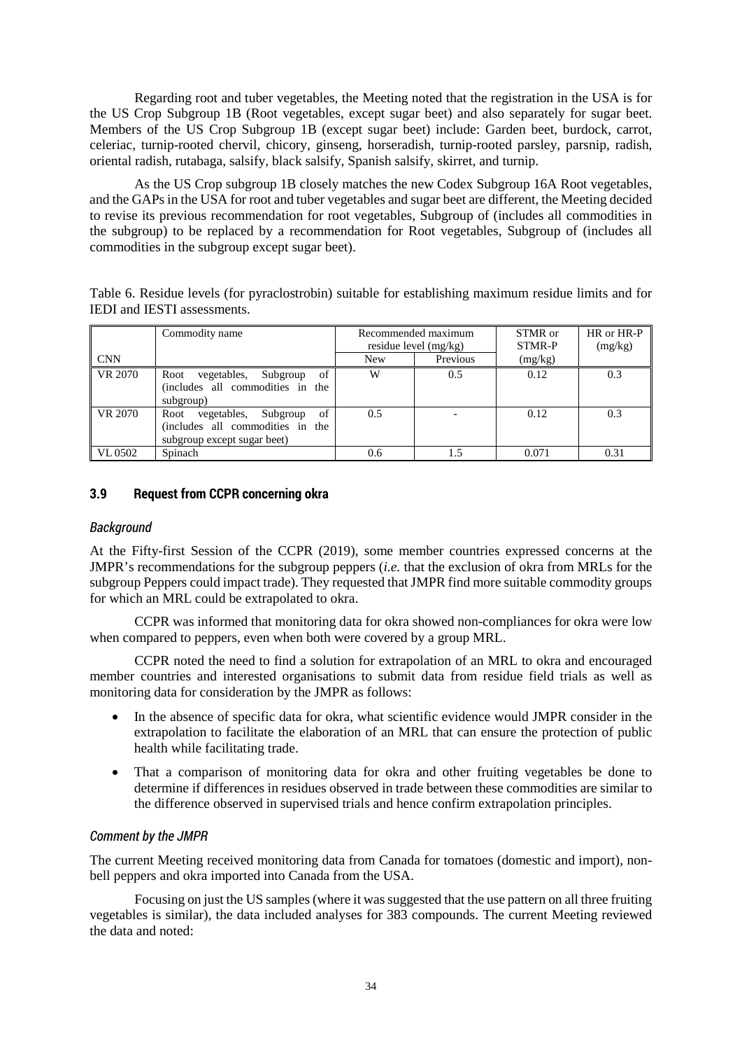Regarding root and tuber vegetables, the Meeting noted that the registration in the USA is for the US Crop Subgroup 1B (Root vegetables, except sugar beet) and also separately for sugar beet. Members of the US Crop Subgroup 1B (except sugar beet) include: Garden beet, burdock, carrot, celeriac, turnip-rooted chervil, chicory, ginseng, horseradish, turnip-rooted parsley, parsnip, radish, oriental radish, rutabaga, salsify, black salsify, Spanish salsify, skirret, and turnip.

As the US Crop subgroup 1B closely matches the new Codex Subgroup 16A Root vegetables, and the GAPs in the USA for root and tuber vegetables and sugar beet are different, the Meeting decided to revise its previous recommendation for root vegetables, Subgroup of (includes all commodities in the subgroup) to be replaced by a recommendation for Root vegetables, Subgroup of (includes all commodities in the subgroup except sugar beet).

Table 6. Residue levels (for pyraclostrobin) suitable for establishing maximum residue limits and for IEDI and IESTI assessments.

|            | Commodity name                                                                                           | Recommended maximum<br>residue level $(mg/kg)$ |          | STMR or<br><b>STMR-P</b> | HR or HR-P<br>(mg/kg) |
|------------|----------------------------------------------------------------------------------------------------------|------------------------------------------------|----------|--------------------------|-----------------------|
| <b>CNN</b> |                                                                                                          | <b>New</b>                                     | Previous | (mg/kg)                  |                       |
| VR 2070    | Root vegetables,<br>Subgroup<br>of<br>(includes all commodities in the<br>subgroup)                      | W                                              | 0.5      | 0.12                     | 0.3                   |
| VR 2070    | vegetables,<br>of<br>Subgroup<br>Root<br>(includes all commodities in the<br>subgroup except sugar beet) | 0.5                                            |          | 0.12                     | 0.3                   |
| VL 0502    | Spinach                                                                                                  | 0.6                                            |          | 0.071                    | 0.31                  |

### **3.9 Request from CCPR concerning okra**

### *Background*

At the Fifty-first Session of the CCPR (2019), some member countries expressed concerns at the JMPR's recommendations for the subgroup peppers (*i.e.* that the exclusion of okra from MRLs for the subgroup Peppers could impact trade). They requested that JMPR find more suitable commodity groups for which an MRL could be extrapolated to okra.

CCPR was informed that monitoring data for okra showed non-compliances for okra were low when compared to peppers, even when both were covered by a group MRL.

CCPR noted the need to find a solution for extrapolation of an MRL to okra and encouraged member countries and interested organisations to submit data from residue field trials as well as monitoring data for consideration by the JMPR as follows:

- In the absence of specific data for okra, what scientific evidence would JMPR consider in the extrapolation to facilitate the elaboration of an MRL that can ensure the protection of public health while facilitating trade.
- That a comparison of monitoring data for okra and other fruiting vegetables be done to determine if differences in residues observed in trade between these commodities are similar to the difference observed in supervised trials and hence confirm extrapolation principles.

# *Comment by the JMPR*

The current Meeting received monitoring data from Canada for tomatoes (domestic and import), nonbell peppers and okra imported into Canada from the USA.

Focusing on just the US samples (where it was suggested that the use pattern on all three fruiting vegetables is similar), the data included analyses for 383 compounds. The current Meeting reviewed the data and noted: